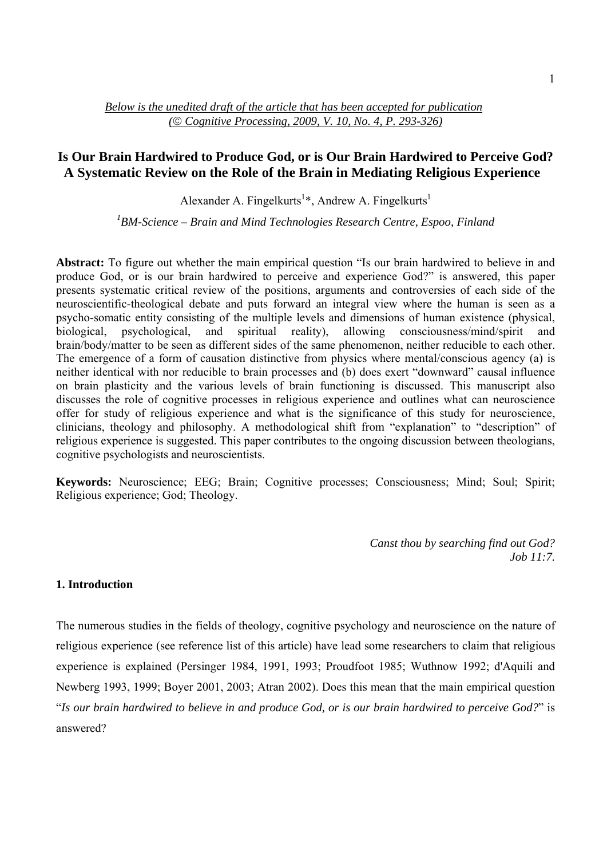# **Is Our Brain Hardwired to Produce God, or is Our Brain Hardwired to Perceive God? A Systematic Review on the Role of the Brain in Mediating Religious Experience**

Alexander A. Fingelkurts<sup>1\*</sup>, Andrew A. Fingelkurts<sup>1</sup>

*1 BM-Science – Brain and Mind Technologies Research Centre, Espoo, Finland*

**Abstract:** To figure out whether the main empirical question "Is our brain hardwired to believe in and produce God, or is our brain hardwired to perceive and experience God?" is answered, this paper presents systematic critical review of the positions, arguments and controversies of each side of the neuroscientific-theological debate and puts forward an integral view where the human is seen as a psycho-somatic entity consisting of the multiple levels and dimensions of human existence (physical, biological, psychological, and spiritual reality), allowing consciousness/mind/spirit and brain/body/matter to be seen as different sides of the same phenomenon, neither reducible to each other. The emergence of a form of causation distinctive from physics where mental/conscious agency (a) is neither identical with nor reducible to brain processes and (b) does exert "downward" causal influence on brain plasticity and the various levels of brain functioning is discussed. This manuscript also discusses the role of cognitive processes in religious experience and outlines what can neuroscience offer for study of religious experience and what is the significance of this study for neuroscience, clinicians, theology and philosophy. A methodological shift from "explanation" to "description" of religious experience is suggested. This paper contributes to the ongoing discussion between theologians, cognitive psychologists and neuroscientists.

**Keywords:** Neuroscience; EEG; Brain; Cognitive processes; Consciousness; Mind; Soul; Spirit; Religious experience; God; Theology.

> *Canst thou by searching find out God? Job 11:7.*

# **1. Introduction**

The numerous studies in the fields of theology, cognitive psychology and neuroscience on the nature of religious experience (see reference list of this article) have lead some researchers to claim that religious experience is explained (Persinger 1984, 1991, 1993; Proudfoot 1985; Wuthnow 1992; d'Aquili and Newberg 1993, 1999; Boyer 2001, 2003; Atran 2002). Does this mean that the main empirical question "*Is our brain hardwired to believe in and produce God, or is our brain hardwired to perceive God?*" is answered?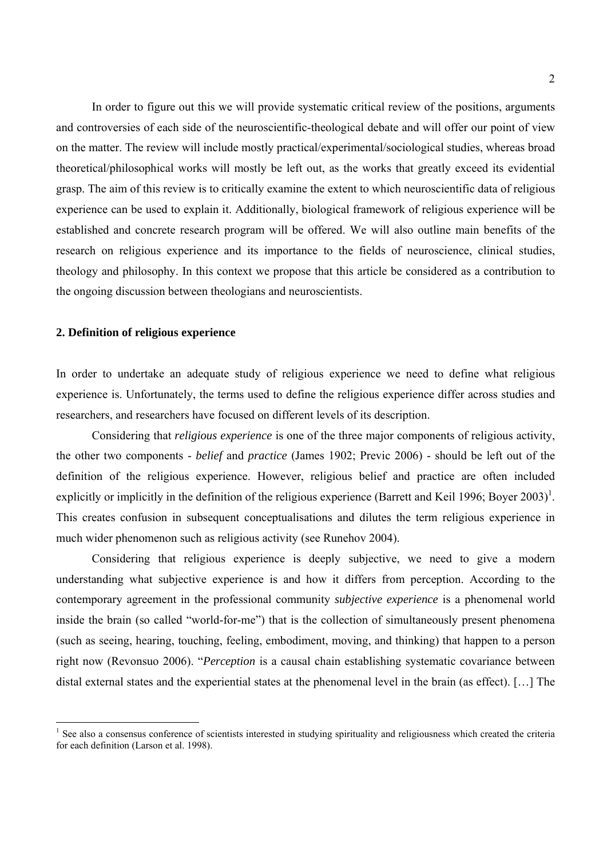In order to figure out this we will provide systematic critical review of the positions, arguments and controversies of each side of the neuroscientific-theological debate and will offer our point of view on the matter. The review will include mostly practical/experimental/sociological studies, whereas broad theoretical/philosophical works will mostly be left out, as the works that greatly exceed its evidential grasp. The aim of this review is to critically examine the extent to which neuroscientific data of religious experience can be used to explain it. Additionally, biological framework of religious experience will be established and concrete research program will be offered. We will also outline main benefits of the research on religious experience and its importance to the fields of neuroscience, clinical studies, theology and philosophy. In this context we propose that this article be considered as a contribution to the ongoing discussion between theologians and neuroscientists.

## **2. Definition of religious experience**

-

In order to undertake an adequate study of religious experience we need to define what religious experience is. Unfortunately, the terms used to define the religious experience differ across studies and researchers, and researchers have focused on different levels of its description.

Considering that *religious experience* is one of the three major components of religious activity, the other two components - *belief* and *practice* (James 1902; Previc 2006) - should be left out of the definition of the religious experience. However, religious belief and practice are often included explicitly or implicitly in the definition of the religious experience (Barrett and Keil 1996; Boyer 2003)<sup>1</sup>. This creates confusion in subsequent conceptualisations and dilutes the term religious experience in much wider phenomenon such as religious activity (see Runehov 2004).

Considering that religious experience is deeply subjective, we need to give a modern understanding what subjective experience is and how it differs from perception. According to the contemporary agreement in the professional community *subjective experience* is a phenomenal world inside the brain (so called "world-for-me") that is the collection of simultaneously present phenomena (such as seeing, hearing, touching, feeling, embodiment, moving, and thinking) that happen to a person right now (Revonsuo 2006). "*Perception* is a causal chain establishing systematic covariance between distal external states and the experiential states at the phenomenal level in the brain (as effect). […] The

<sup>&</sup>lt;sup>1</sup> See also a consensus conference of scientists interested in studying spirituality and religiousness which created the criteria for each definition (Larson et al. 1998).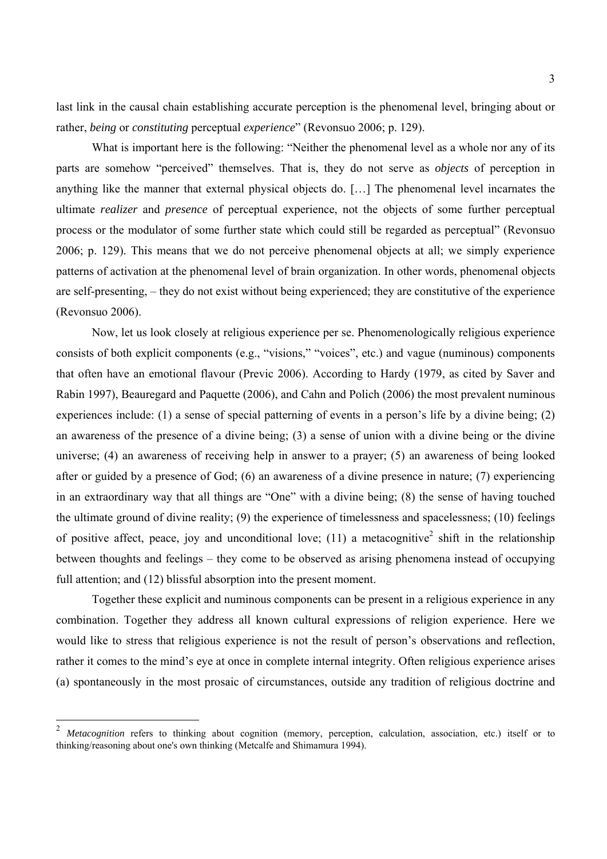last link in the causal chain establishing accurate perception is the phenomenal level, bringing about or rather, *being* or *constituting* perceptual *experience*" (Revonsuo 2006; p. 129).

What is important here is the following: "Neither the phenomenal level as a whole nor any of its parts are somehow "perceived" themselves. That is, they do not serve as *objects* of perception in anything like the manner that external physical objects do. […] The phenomenal level incarnates the ultimate *realizer* and *presence* of perceptual experience, not the objects of some further perceptual process or the modulator of some further state which could still be regarded as perceptual" (Revonsuo 2006; p. 129). This means that we do not perceive phenomenal objects at all; we simply experience patterns of activation at the phenomenal level of brain organization. In other words, phenomenal objects are self-presenting, – they do not exist without being experienced; they are constitutive of the experience (Revonsuo 2006).

Now, let us look closely at religious experience per se. Phenomenologically religious experience consists of both explicit components (e.g., "visions," "voices", etc.) and vague (numinous) components that often have an emotional flavour (Previc 2006). According to Hardy (1979, as cited by Saver and Rabin 1997), Beauregard and Paquette (2006), and Cahn and Polich (2006) the most prevalent numinous experiences include: (1) a sense of special patterning of events in a person's life by a divine being; (2) an awareness of the presence of a divine being; (3) a sense of union with a divine being or the divine universe; (4) an awareness of receiving help in answer to a prayer; (5) an awareness of being looked after or guided by a presence of God; (6) an awareness of a divine presence in nature; (7) experiencing in an extraordinary way that all things are "One" with a divine being; (8) the sense of having touched the ultimate ground of divine reality; (9) the experience of timelessness and spacelessness; (10) feelings of positive affect, peace, joy and unconditional love; (11) a metacognitive<sup>2</sup> shift in the relationship between thoughts and feelings – they come to be observed as arising phenomena instead of occupying full attention; and (12) blissful absorption into the present moment.

Together these explicit and numinous components can be present in a religious experience in any combination. Together they address all known cultural expressions of religion experience. Here we would like to stress that religious experience is not the result of person's observations and reflection, rather it comes to the mind's eye at once in complete internal integrity. Often religious experience arises (a) spontaneously in the most prosaic of circumstances, outside any tradition of religious doctrine and

-

<sup>2</sup> *Metacognition* refers to thinking about cognition (memory, perception, calculation, association, etc.) itself or to thinking/reasoning about one's own thinking (Metcalfe and Shimamura 1994).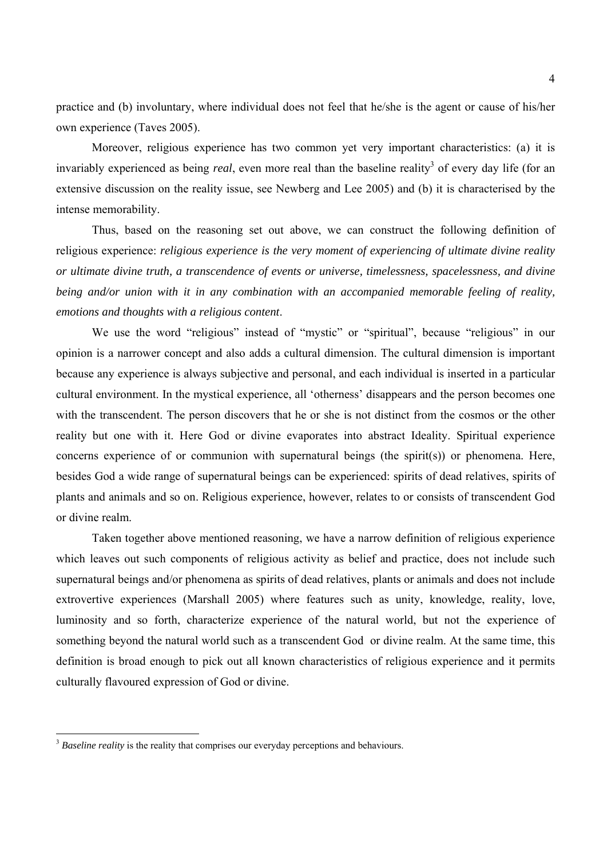practice and (b) involuntary, where individual does not feel that he/she is the agent or cause of his/her own experience (Taves 2005).

 Moreover, religious experience has two common yet very important characteristics: (a) it is invariably experienced as being *real*, even more real than the baseline reality<sup>3</sup> of every day life (for an extensive discussion on the reality issue, see Newberg and Lee 2005) and (b) it is characterised by the intense memorability.

Thus, based on the reasoning set out above, we can construct the following definition of religious experience: *religious experience is the very moment of experiencing of ultimate divine reality or ultimate divine truth, a transcendence of events or universe, timelessness, spacelessness, and divine being and/or union with it in any combination with an accompanied memorable feeling of reality, emotions and thoughts with a religious content*.

We use the word "religious" instead of "mystic" or "spiritual", because "religious" in our opinion is a narrower concept and also adds a cultural dimension. The cultural dimension is important because any experience is always subjective and personal, and each individual is inserted in a particular cultural environment. In the mystical experience, all 'otherness' disappears and the person becomes one with the transcendent. The person discovers that he or she is not distinct from the cosmos or the other reality but one with it. Here God or divine evaporates into abstract Ideality. Spiritual experience concerns experience of or communion with supernatural beings (the spirit(s)) or phenomena. Here, besides God a wide range of supernatural beings can be experienced: spirits of dead relatives, spirits of plants and animals and so on. Religious experience, however, relates to or consists of transcendent God or divine realm.

Taken together above mentioned reasoning, we have a narrow definition of religious experience which leaves out such components of religious activity as belief and practice, does not include such supernatural beings and/or phenomena as spirits of dead relatives, plants or animals and does not include extrovertive experiences (Marshall 2005) where features such as unity, knowledge, reality, love, luminosity and so forth, characterize experience of the natural world, but not the experience of something beyond the natural world such as a transcendent God or divine realm. At the same time, this definition is broad enough to pick out all known characteristics of religious experience and it permits culturally flavoured expression of God or divine.

-

<sup>&</sup>lt;sup>3</sup> Baseline reality is the reality that comprises our everyday perceptions and behaviours.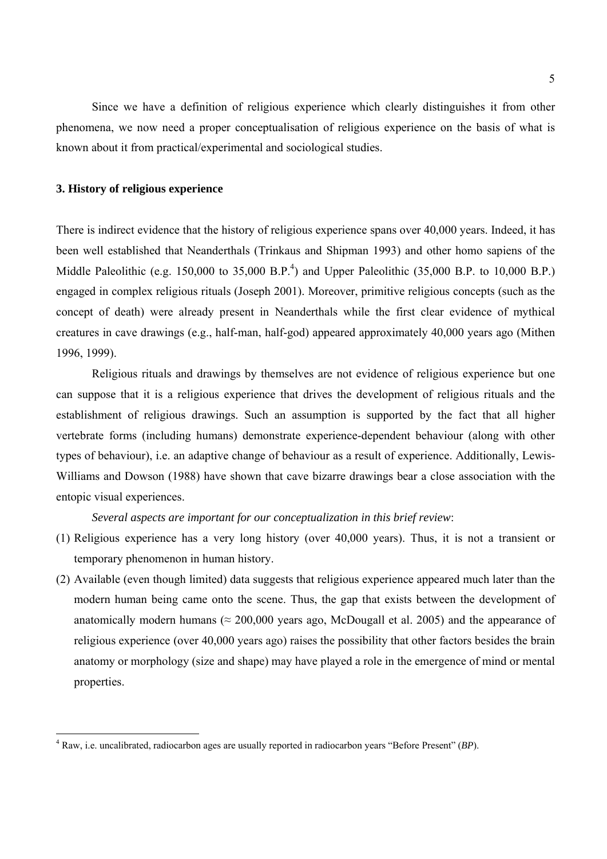Since we have a definition of religious experience which clearly distinguishes it from other phenomena, we now need a proper conceptualisation of religious experience on the basis of what is known about it from practical/experimental and sociological studies.

# **3. History of religious experience**

-

There is indirect evidence that the history of religious experience spans over 40,000 years. Indeed, it has been well established that Neanderthals (Trinkaus and Shipman 1993) and other homo sapiens of the Middle Paleolithic (e.g. 150,000 to 35,000 B.P.<sup>4</sup>) and Upper Paleolithic (35,000 B.P. to 10,000 B.P.) engaged in complex religious rituals (Joseph 2001). Moreover, primitive religious concepts (such as the concept of death) were already present in Neanderthals while the first clear evidence of mythical creatures in cave drawings (e.g., half-man, half-god) appeared approximately 40,000 years ago (Mithen 1996, 1999).

Religious rituals and drawings by themselves are not evidence of religious experience but one can suppose that it is a religious experience that drives the development of religious rituals and the establishment of religious drawings. Such an assumption is supported by the fact that all higher vertebrate forms (including humans) demonstrate experience-dependent behaviour (along with other types of behaviour), i.e. an adaptive change of behaviour as a result of experience. Additionally, Lewis-Williams and Dowson (1988) have shown that cave bizarre drawings bear a close association with the entopic visual experiences.

*Several aspects are important for our conceptualization in this brief review*:

- (1) Religious experience has a very long history (over 40,000 years). Thus, it is not a transient or temporary phenomenon in human history.
- (2) Available (even though limited) data suggests that religious experience appeared much later than the modern human being came onto the scene. Thus, the gap that exists between the development of anatomically modern humans ( $\approx$  200,000 years ago, McDougall et al. 2005) and the appearance of religious experience (over 40,000 years ago) raises the possibility that other factors besides the brain anatomy or morphology (size and shape) may have played a role in the emergence of mind or mental properties.

<sup>4</sup> Raw, i.e. uncalibrated, radiocarbon ages are usually reported in radiocarbon years "Before Present" (*BP*).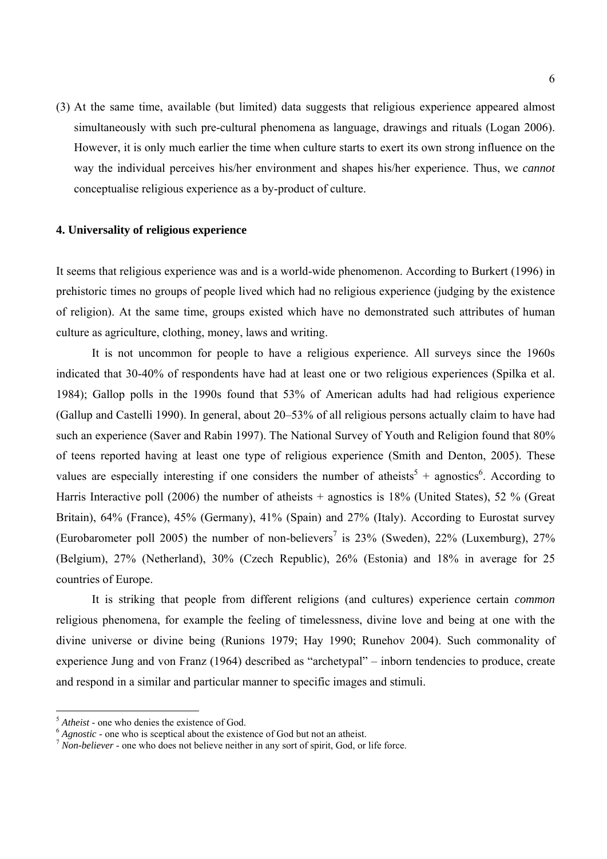(3) At the same time, available (but limited) data suggests that religious experience appeared almost simultaneously with such pre-cultural phenomena as language, drawings and rituals (Logan 2006). However, it is only much earlier the time when culture starts to exert its own strong influence on the way the individual perceives his/her environment and shapes his/her experience. Thus, we *cannot* conceptualise religious experience as a by-product of culture.

# **4. Universality of religious experience**

It seems that religious experience was and is a world-wide phenomenon. According to Burkert (1996) in prehistoric times no groups of people lived which had no religious experience (judging by the existence of religion). At the same time, groups existed which have no demonstrated such attributes of human culture as agriculture, clothing, money, laws and writing.

It is not uncommon for people to have a religious experience. All surveys since the 1960s indicated that 30-40% of respondents have had at least one or two religious experiences (Spilka et al. 1984); Gallop polls in the 1990s found that 53% of American adults had had religious experience (Gallup and Castelli 1990). In general, about 20–53% of all religious persons actually claim to have had such an experience (Saver and Rabin 1997). The National Survey of Youth and Religion found that 80% of teens reported having at least one type of religious experience (Smith and Denton, 2005). These values are especially interesting if one considers the number of atheists<sup>5</sup> + agnostics<sup>6</sup>. According to Harris Interactive poll (2006) the number of atheists + agnostics is 18% (United States), 52 % (Great Britain), 64% (France), 45% (Germany), 41% (Spain) and 27% (Italy). According to Eurostat survey (Eurobarometer poll 2005) the number of non-believers<sup>7</sup> is  $23%$  (Sweden),  $22%$  (Luxemburg),  $27%$ (Belgium), 27% (Netherland), 30% (Czech Republic), 26% (Estonia) and 18% in average for 25 countries of Europe.

It is striking that people from different religions (and cultures) experience certain *common* religious phenomena, for example the feeling of timelessness, divine love and being at one with the divine universe or divine being (Runions 1979; Hay 1990; Runehov 2004). Such commonality of experience Jung and von Franz (1964) described as "archetypal" – inborn tendencies to produce, create and respond in a similar and particular manner to specific images and stimuli.

-

<sup>&</sup>lt;sup>5</sup> *Atheist* - one who denies the existence of God.<br>
<sup>6</sup> *Agnostic* - one who is sceptical about the existence of God but not an atheist.<br>
<sup>7</sup> *Non-believer* - one who does not believe neither in any sort of spirit, God,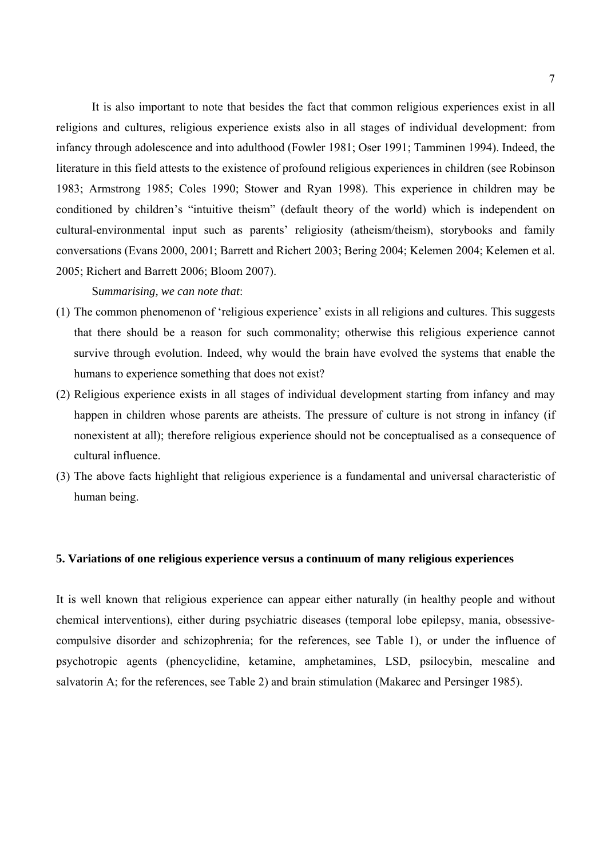It is also important to note that besides the fact that common religious experiences exist in all religions and cultures, religious experience exists also in all stages of individual development: from infancy through adolescence and into adulthood (Fowler 1981; Oser 1991; Tamminen 1994). Indeed, the literature in this field attests to the existence of profound religious experiences in children (see Robinson 1983; Armstrong 1985; Coles 1990; Stower and Ryan 1998). This experience in children may be conditioned by children's "intuitive theism" (default theory of the world) which is independent on cultural-environmental input such as parents' religiosity (atheism/theism), storybooks and family conversations (Evans 2000, 2001; Barrett and Richert 2003; Bering 2004; Kelemen 2004; Kelemen et al. 2005; Richert and Barrett 2006; Bloom 2007).

#### S*ummarising, we can note that*:

- (1) The common phenomenon of 'religious experience' exists in all religions and cultures. This suggests that there should be a reason for such commonality; otherwise this religious experience cannot survive through evolution. Indeed, why would the brain have evolved the systems that enable the humans to experience something that does not exist?
- (2) Religious experience exists in all stages of individual development starting from infancy and may happen in children whose parents are atheists. The pressure of culture is not strong in infancy (if nonexistent at all); therefore religious experience should not be conceptualised as a consequence of cultural influence.
- (3) The above facts highlight that religious experience is a fundamental and universal characteristic of human being.

# **5. Variations of one religious experience versus a continuum of many religious experiences**

It is well known that religious experience can appear either naturally (in healthy people and without chemical interventions), either during psychiatric diseases (temporal lobe epilepsy, mania, obsessivecompulsive disorder and schizophrenia; for the references, see Table 1), or under the influence of psychotropic agents (phencyclidine, ketamine, amphetamines, LSD, psilocybin, mescaline and salvatorin A; for the references, see Table 2) and brain stimulation (Makarec and Persinger 1985).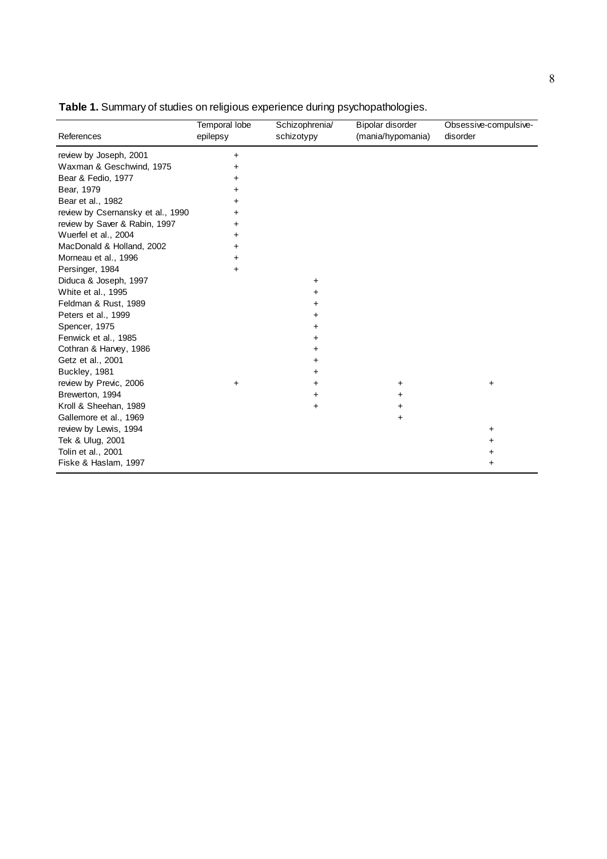|                                   | <b>Temporal lobe</b> | Schizophrenia/ | Bipolar disorder  | Obsessive-compulsive- |
|-----------------------------------|----------------------|----------------|-------------------|-----------------------|
| References                        | epilepsy             | schizotypy     | (mania/hypomania) | disorder              |
| review by Joseph, 2001            | +                    |                |                   |                       |
| Waxman & Geschwind, 1975          | +                    |                |                   |                       |
| Bear & Fedio, 1977                | +                    |                |                   |                       |
| Bear, 1979                        | +                    |                |                   |                       |
| Bear et al., 1982                 | +                    |                |                   |                       |
| review by Csernansky et al., 1990 | +                    |                |                   |                       |
| review by Saver & Rabin, 1997     | +                    |                |                   |                       |
| Wuerfel et al., 2004              | +                    |                |                   |                       |
| MacDonald & Holland, 2002         | +                    |                |                   |                       |
| Morneau et al., 1996              | +                    |                |                   |                       |
| Persinger, 1984                   | +                    |                |                   |                       |
| Diduca & Joseph, 1997             |                      | +              |                   |                       |
| White et al., 1995                |                      | +              |                   |                       |
| Feldman & Rust, 1989              |                      | +              |                   |                       |
| Peters et al., 1999               |                      | +              |                   |                       |
| Spencer, 1975                     |                      | +              |                   |                       |
| Fenwick et al., 1985              |                      | +              |                   |                       |
| Cothran & Harvey, 1986            |                      | +              |                   |                       |
| Getz et al., 2001                 |                      | +              |                   |                       |
| Buckley, 1981                     |                      | +              |                   |                       |
| review by Previc, 2006            | +                    | +              | ÷                 | +                     |
| Brewerton, 1994                   |                      | +              | +                 |                       |
| Kroll & Sheehan, 1989             |                      | +              | +                 |                       |
| Gallemore et al., 1969            |                      |                | +                 |                       |
| review by Lewis, 1994             |                      |                |                   | +                     |
| Tek & Ulug, 2001                  |                      |                |                   | +                     |
| Tolin et al., 2001                |                      |                |                   | +                     |
| Fiske & Haslam, 1997              |                      |                |                   | +                     |

**Table 1.** Summary of studies on religious experience during psychopathologies.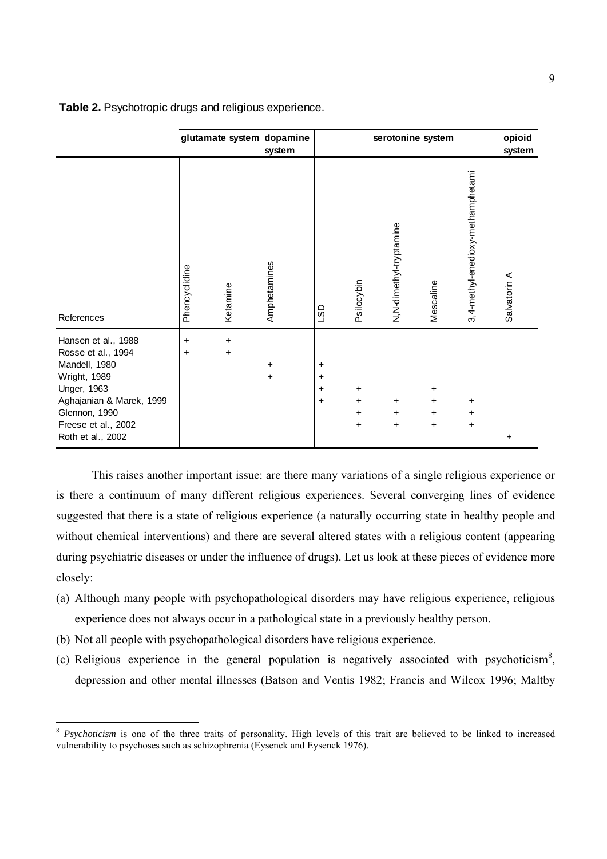|                                                                                                                                                                                    |                        |                | glutamate system dopamine<br>system |                          |                  | serotonine system        |                  |                                   | opioid<br>system |
|------------------------------------------------------------------------------------------------------------------------------------------------------------------------------------|------------------------|----------------|-------------------------------------|--------------------------|------------------|--------------------------|------------------|-----------------------------------|------------------|
| References                                                                                                                                                                         | Phencyclidine          | Ketamine       | Amphetamines                        | GS                       | Psilocybin       | N, N-dimethyl-tryptamine | Mescaline        | 3,4-methyl-enedioxy-methamphetami | Salvatorin A     |
| Hansen et al., 1988<br>Rosse et al., 1994<br>Mandell, 1980<br>Wright, 1989<br>Unger, 1963<br>Aghajanian & Marek, 1999<br>Glennon, 1990<br>Freese et al., 2002<br>Roth et al., 2002 | $\ddot{}$<br>$\ddot{}$ | $\ddot{}$<br>+ | +<br>$\ddot{}$                      | +<br>+<br>+<br>$\ddot{}$ | +<br>+<br>+<br>+ | +<br>+<br>+              | ٠<br>+<br>+<br>+ | +<br>+<br>$\ddot{}$               | +                |

**Table 2.** Psychotropic drugs and religious experience.

 This raises another important issue: are there many variations of a single religious experience or is there a continuum of many different religious experiences. Several converging lines of evidence suggested that there is a state of religious experience (a naturally occurring state in healthy people and without chemical interventions) and there are several altered states with a religious content (appearing during psychiatric diseases or under the influence of drugs). Let us look at these pieces of evidence more closely:

- (a) Although many people with psychopathological disorders may have religious experience, religious experience does not always occur in a pathological state in a previously healthy person.
- (b) Not all people with psychopathological disorders have religious experience.

-

(c) Religious experience in the general population is negatively associated with psychoticism<sup>8</sup>, depression and other mental illnesses (Batson and Ventis 1982; Francis and Wilcox 1996; Maltby

<sup>&</sup>lt;sup>8</sup> *Psychoticism* is one of the three traits of personality. High levels of this trait are believed to be linked to increased vulnerability to psychoses such as schizophrenia (Eysenck and Eysenck 1976).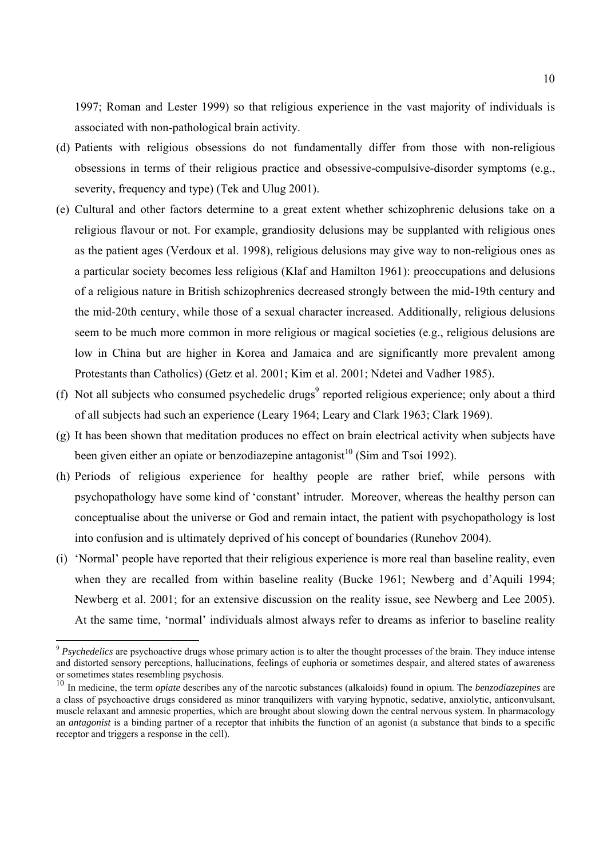1997; Roman and Lester 1999) so that religious experience in the vast majority of individuals is associated with non-pathological brain activity.

- (d) Patients with religious obsessions do not fundamentally differ from those with non-religious obsessions in terms of their religious practice and obsessive-compulsive-disorder symptoms (e.g., severity, frequency and type) (Tek and Ulug 2001).
- (e) Cultural and other factors determine to a great extent whether schizophrenic delusions take on a religious flavour or not. For example, grandiosity delusions may be supplanted with religious ones as the patient ages (Verdoux et al. 1998), religious delusions may give way to non-religious ones as a particular society becomes less religious (Klaf and Hamilton 1961): preoccupations and delusions of a religious nature in British schizophrenics decreased strongly between the mid-19th century and the mid-20th century, while those of a sexual character increased. Additionally, religious delusions seem to be much more common in more religious or magical societies (e.g., religious delusions are low in China but are higher in Korea and Jamaica and are significantly more prevalent among Protestants than Catholics) (Getz et al. 2001; Kim et al. 2001; Ndetei and Vadher 1985).
- (f) Not all subjects who consumed psychedelic drugs<sup>9</sup> reported religious experience; only about a third of all subjects had such an experience (Leary 1964; Leary and Clark 1963; Clark 1969).
- (g) It has been shown that meditation produces no effect on brain electrical activity when subjects have been given either an opiate or benzodiazepine antagonist<sup>10</sup> (Sim and Tsoi 1992).
- (h) Periods of religious experience for healthy people are rather brief, while persons with psychopathology have some kind of 'constant' intruder. Moreover, whereas the healthy person can conceptualise about the universe or God and remain intact, the patient with psychopathology is lost into confusion and is ultimately deprived of his concept of boundaries (Runehov 2004).
- (i) 'Normal' people have reported that their religious experience is more real than baseline reality, even when they are recalled from within baseline reality (Bucke 1961; Newberg and d'Aquili 1994; Newberg et al. 2001; for an extensive discussion on the reality issue, see Newberg and Lee 2005). At the same time, 'normal' individuals almost always refer to dreams as inferior to baseline reality

-

<sup>&</sup>lt;sup>9</sup> *Psychedelics* are psychoactive drugs whose primary action is to alter the thought processes of the brain. They induce intense and distorted sensory perceptions, hallucinations, feelings of euphoria or sometimes despair, and altered states of awareness or sometimes states resembling psychosis.

<sup>10</sup> In medicine, the term *opiate* describes any of the narcotic substances (alkaloids) found in opium. The *benzodiazepines* are a class of psychoactive drugs considered as minor tranquilizers with varying hypnotic, sedative, anxiolytic, anticonvulsant, muscle relaxant and amnesic properties, which are brought about slowing down the central nervous system. In pharmacology an *antagonist* is a binding partner of a receptor that inhibits the function of an agonist (a substance that binds to a specific receptor and triggers a response in the cell).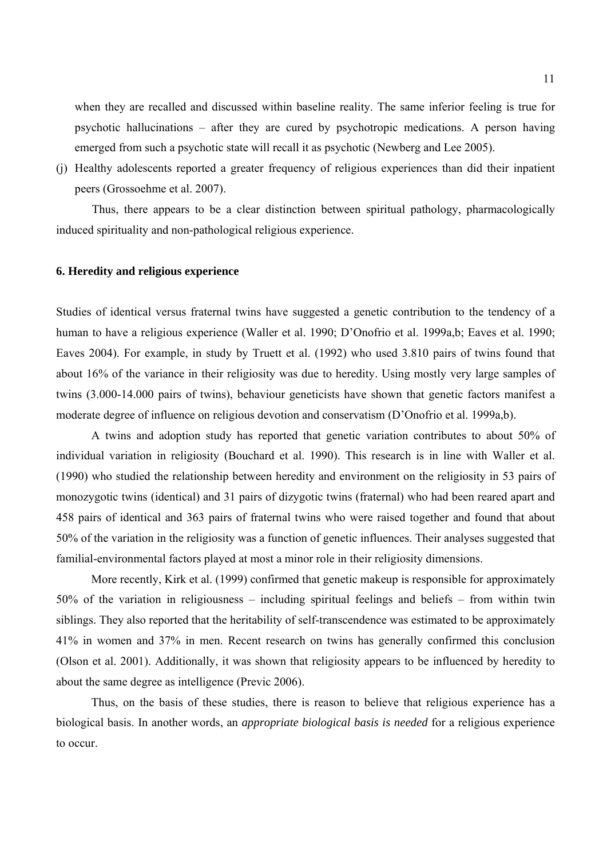when they are recalled and discussed within baseline reality. The same inferior feeling is true for psychotic hallucinations – after they are cured by psychotropic medications. A person having emerged from such a psychotic state will recall it as psychotic (Newberg and Lee 2005).

(j) Healthy adolescents reported a greater frequency of religious experiences than did their inpatient peers (Grossoehme et al. 2007).

Thus, there appears to be a clear distinction between spiritual pathology, pharmacologically induced spirituality and non-pathological religious experience.

# **6. Heredity and religious experience**

Studies of identical versus fraternal twins have suggested a genetic contribution to the tendency of a human to have a religious experience (Waller et al. 1990; D'Onofrio et al. 1999a,b; Eaves et al. 1990; Eaves 2004). For example, in study by Truett et al. (1992) who used 3.810 pairs of twins found that about 16% of the variance in their religiosity was due to heredity. Using mostly very large samples of twins (3.000-14.000 pairs of twins), behaviour geneticists have shown that genetic factors manifest a moderate degree of influence on religious devotion and conservatism (D'Onofrio et al. 1999a,b).

A twins and adoption study has reported that genetic variation contributes to about 50% of individual variation in religiosity (Bouchard et al. 1990). This research is in line with Waller et al. (1990) who studied the relationship between heredity and environment on the religiosity in 53 pairs of monozygotic twins (identical) and 31 pairs of dizygotic twins (fraternal) who had been reared apart and 458 pairs of identical and 363 pairs of fraternal twins who were raised together and found that about 50% of the variation in the religiosity was a function of genetic influences. Their analyses suggested that familial-environmental factors played at most a minor role in their religiosity dimensions.

More recently, Kirk et al. (1999) confirmed that genetic makeup is responsible for approximately 50% of the variation in religiousness – including spiritual feelings and beliefs – from within twin siblings. They also reported that the heritability of self-transcendence was estimated to be approximately 41% in women and 37% in men. Recent research on twins has generally confirmed this conclusion (Olson et al. 2001). Additionally, it was shown that religiosity appears to be influenced by heredity to about the same degree as intelligence (Previc 2006).

Thus, on the basis of these studies, there is reason to believe that religious experience has a biological basis. In another words, an *appropriate biological basis is needed* for a religious experience to occur.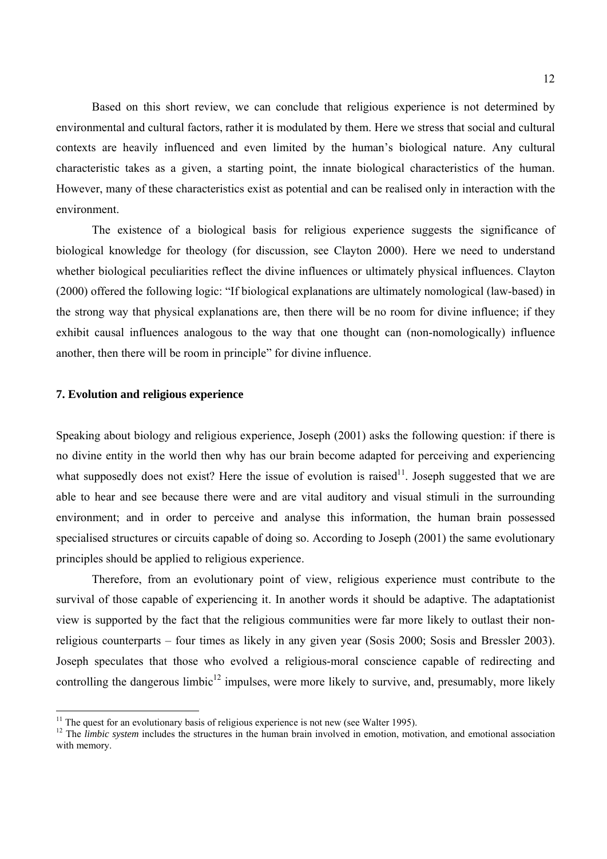Based on this short review, we can conclude that religious experience is not determined by environmental and cultural factors, rather it is modulated by them. Here we stress that social and cultural contexts are heavily influenced and even limited by the human's biological nature. Any cultural characteristic takes as a given, a starting point, the innate biological characteristics of the human. However, many of these characteristics exist as potential and can be realised only in interaction with the environment.

 The existence of a biological basis for religious experience suggests the significance of biological knowledge for theology (for discussion, see Clayton 2000). Here we need to understand whether biological peculiarities reflect the divine influences or ultimately physical influences. Clayton (2000) offered the following logic: "If biological explanations are ultimately nomological (law-based) in the strong way that physical explanations are, then there will be no room for divine influence; if they exhibit causal influences analogous to the way that one thought can (non-nomologically) influence another, then there will be room in principle" for divine influence.

# **7. Evolution and religious experience**

-

Speaking about biology and religious experience, Joseph (2001) asks the following question: if there is no divine entity in the world then why has our brain become adapted for perceiving and experiencing what supposedly does not exist? Here the issue of evolution is raised<sup>11</sup>. Joseph suggested that we are able to hear and see because there were and are vital auditory and visual stimuli in the surrounding environment; and in order to perceive and analyse this information, the human brain possessed specialised structures or circuits capable of doing so. According to Joseph (2001) the same evolutionary principles should be applied to religious experience.

 Therefore, from an evolutionary point of view, religious experience must contribute to the survival of those capable of experiencing it. In another words it should be adaptive. The adaptationist view is supported by the fact that the religious communities were far more likely to outlast their nonreligious counterparts – four times as likely in any given year (Sosis 2000; Sosis and Bressler 2003). Joseph speculates that those who evolved a religious-moral conscience capable of redirecting and controlling the dangerous limbic<sup>12</sup> impulses, were more likely to survive, and, presumably, more likely

 $11$  The quest for an evolutionary basis of religious experience is not new (see Walter 1995).

<sup>&</sup>lt;sup>12</sup> The *limbic system* includes the structures in the human brain involved in emotion, motivation, and emotional association with memory.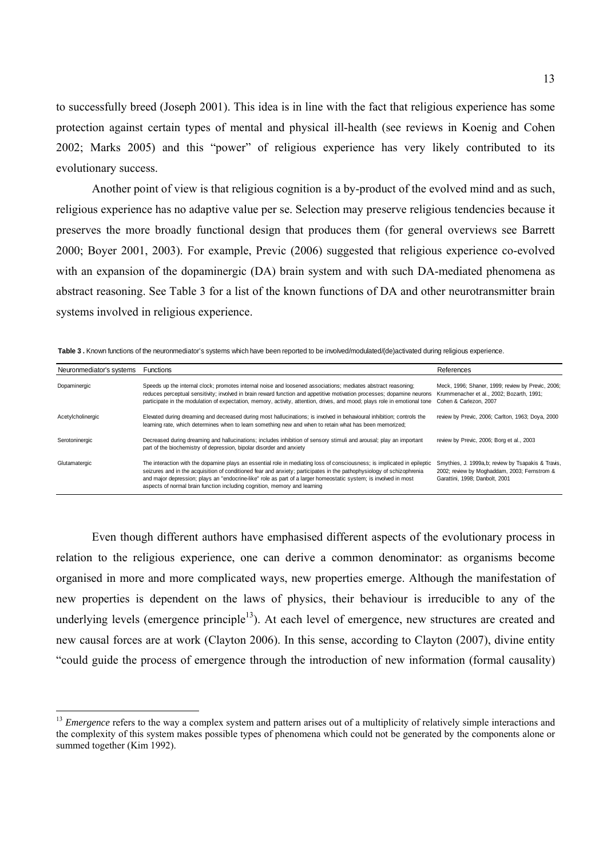to successfully breed (Joseph 2001). This idea is in line with the fact that religious experience has some protection against certain types of mental and physical ill-health (see reviews in Koenig and Cohen 2002; Marks 2005) and this "power" of religious experience has very likely contributed to its evolutionary success.

 Another point of view is that religious cognition is a by-product of the evolved mind and as such, religious experience has no adaptive value per se. Selection may preserve religious tendencies because it preserves the more broadly functional design that produces them (for general overviews see Barrett 2000; Boyer 2001, 2003). For example, Previc (2006) suggested that religious experience co-evolved with an expansion of the dopaminergic (DA) brain system and with such DA-mediated phenomena as abstract reasoning. See Table 3 for a list of the known functions of DA and other neurotransmitter brain systems involved in religious experience.

**Table 3 .** Known functions of the neuronmediator's systems which have been reported to be involved/modulated/(de)activated during religious experience.

| Neuronmediator's systems | <b>Functions</b>                                                                                                                                                                                                                                                                                                                                                                                                                                   | References                                                                                                                            |
|--------------------------|----------------------------------------------------------------------------------------------------------------------------------------------------------------------------------------------------------------------------------------------------------------------------------------------------------------------------------------------------------------------------------------------------------------------------------------------------|---------------------------------------------------------------------------------------------------------------------------------------|
| Dopaminergic             | Speeds up the internal clock; promotes internal noise and loosened associations; mediates abstract reasoning;<br>reduces perceptual sensitivity; involved in brain reward function and appetitive motivation processes; dopamine neurons<br>participate in the modulation of expectation, memory, activity, attention, drives, and mood; plays role in emotional tone                                                                              | Meck, 1996; Shaner, 1999; review by Previc, 2006;<br>Krummenacher et al., 2002; Bozarth, 1991;<br>Cohen & Carlezon, 2007              |
| Acetylcholinergic        | Elevated during dreaming and decreased during most hallucinations; is involved in behavioural inhibition; controls the<br>learning rate, which determines when to learn something new and when to retain what has been memorized;                                                                                                                                                                                                                  | review by Previc, 2006; Carlton, 1963; Doya, 2000                                                                                     |
| Serotoninergic           | Decreased during dreaming and hallucinations; includes inhibition of sensory stimuli and arousal; play an important<br>part of the biochemistry of depression, bipolar disorder and anxiety                                                                                                                                                                                                                                                        | review by Previc, 2006; Borg et al., 2003                                                                                             |
| Glutamatergic            | The interaction with the dopamine plays an essential role in mediating loss of consciousness; is implicated in epileptic<br>seizures and in the acquisition of conditioned fear and anxiety; participates in the pathophysiology of schizophrenia<br>and major depression; plays an "endocrine-like" role as part of a larger homeostatic system; is involved in most<br>aspects of normal brain function including cognition, memory and learning | Smythies, J. 1999a, b; review by Tsapakis & Travis,<br>2002; review by Moghaddam, 2003; Fernstrom &<br>Garattini, 1998; Danbolt, 2001 |

Even though different authors have emphasised different aspects of the evolutionary process in relation to the religious experience, one can derive a common denominator: as organisms become organised in more and more complicated ways, new properties emerge. Although the manifestation of new properties is dependent on the laws of physics, their behaviour is irreducible to any of the underlying levels (emergence principle<sup>13</sup>). At each level of emergence, new structures are created and new causal forces are at work (Clayton 2006). In this sense, according to Clayton (2007), divine entity "could guide the process of emergence through the introduction of new information (formal causality)

-

<sup>&</sup>lt;sup>13</sup> *Emergence* refers to the way a complex system and pattern arises out of a multiplicity of relatively simple interactions and the complexity of this system makes possible types of phenomena which could not be generated by the components alone or summed together (Kim 1992).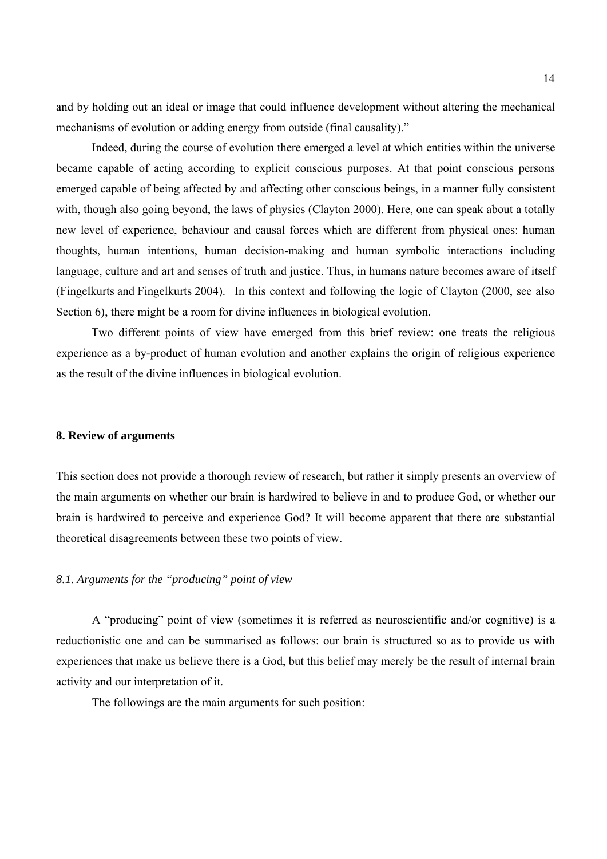and by holding out an ideal or image that could influence development without altering the mechanical mechanisms of evolution or adding energy from outside (final causality)."

 Indeed, during the course of evolution there emerged a level at which entities within the universe became capable of acting according to explicit conscious purposes. At that point conscious persons emerged capable of being affected by and affecting other conscious beings, in a manner fully consistent with, though also going beyond, the laws of physics (Clayton 2000). Here, one can speak about a totally new level of experience, behaviour and causal forces which are different from physical ones: human thoughts, human intentions, human decision-making and human symbolic interactions including language, culture and art and senses of truth and justice. Thus, in humans nature becomes aware of itself (Fingelkurts and Fingelkurts 2004). In this context and following the logic of Clayton (2000, see also Section 6), there might be a room for divine influences in biological evolution.

Two different points of view have emerged from this brief review: one treats the religious experience as a by-product of human evolution and another explains the origin of religious experience as the result of the divine influences in biological evolution.

# **8. Review of arguments**

This section does not provide a thorough review of research, but rather it simply presents an overview of the main arguments on whether our brain is hardwired to believe in and to produce God, or whether our brain is hardwired to perceive and experience God? It will become apparent that there are substantial theoretical disagreements between these two points of view.

# *8.1. Arguments for the "producing" point of view*

A "producing" point of view (sometimes it is referred as neuroscientific and/or cognitive) is a reductionistic one and can be summarised as follows: our brain is structured so as to provide us with experiences that make us believe there is a God, but this belief may merely be the result of internal brain activity and our interpretation of it.

The followings are the main arguments for such position: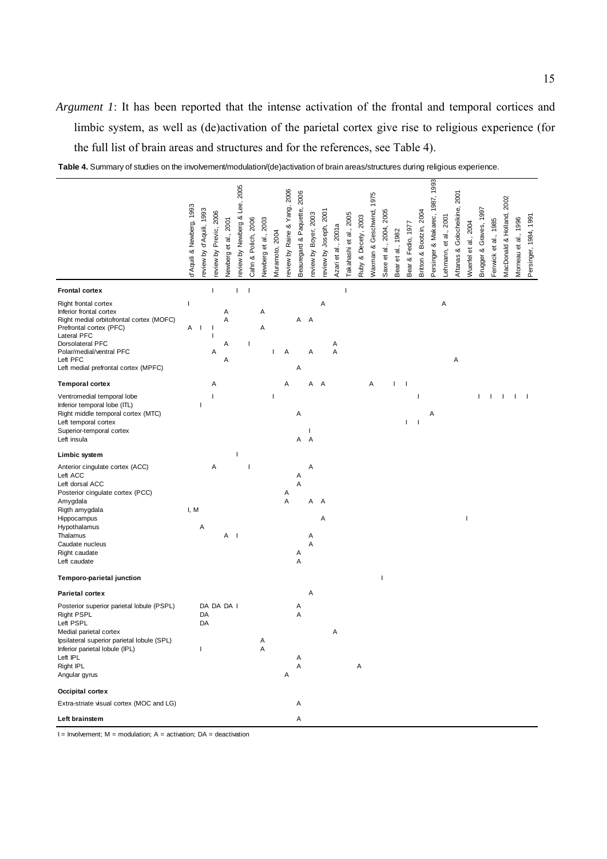*Argument 1*: It has been reported that the intense activation of the frontal and temporal cortices and limbic system, as well as (de)activation of the parietal cortex give rise to religious experience (for the full list of brain areas and structures and for the references, see Table 4).

|                                                                                                                                                                                                | d'Aquili & Newberg, 1993 | 1993<br>review by d'Aquili, | 2006<br>Previc,<br>review by | Newberg et al., 2001 | review by Newberg & Lee, 2005 | Cahn & Polich, 2006      | Newberg et al., 2003 | Muramoto, 2004 | <b>Yang</b> , 2006<br>review by Raine & | 2006<br>Beauregard & Paquette, | 2003<br>review by Boyer, | review by Joseph, 2001 | Azari et al., 2001a | Takahashi et al., 2005 | Ruby & Decety, 2003 | 1975<br>Waxman & Geschwind, | 2005<br>Saxe et al., 2004, | et al., 1982<br>Bear | & Fedio, 1977<br>Bear & | Britton & Bootzin, 2004 | Persinger & Makarec, 1987, 1993 | Lehmann, et al., 2001 | Aftanas & Golocheikine, 2001 | Wuerfel et al., 2004 | 1997<br>Graves,<br>Brugger & | 1985<br>$\frac{1}{\sigma}$<br>Fenwick et | MacDonald & Holland, 2002 | 1996<br>$\vec{a}$<br>Momeau et | Persinger, 1984, 1991 |
|------------------------------------------------------------------------------------------------------------------------------------------------------------------------------------------------|--------------------------|-----------------------------|------------------------------|----------------------|-------------------------------|--------------------------|----------------------|----------------|-----------------------------------------|--------------------------------|--------------------------|------------------------|---------------------|------------------------|---------------------|-----------------------------|----------------------------|----------------------|-------------------------|-------------------------|---------------------------------|-----------------------|------------------------------|----------------------|------------------------------|------------------------------------------|---------------------------|--------------------------------|-----------------------|
| <b>Frontal cortex</b>                                                                                                                                                                          |                          |                             | $\overline{\phantom{a}}$     |                      | ı                             | $\mathbf{I}$             |                      |                |                                         |                                |                          |                        |                     | ı                      |                     |                             |                            |                      |                         |                         |                                 |                       |                              |                      |                              |                                          |                           |                                |                       |
| Right frontal cortex<br>Inferior frontal cortex<br>Right medial orbitofrontal cortex (MOFC)                                                                                                    | T                        |                             |                              | Α<br>Α               |                               |                          | Α                    |                |                                         | Α                              | Α                        | A                      |                     |                        |                     |                             |                            |                      |                         |                         |                                 | A                     |                              |                      |                              |                                          |                           |                                |                       |
| Prefrontal cortex (PFC)<br>Lateral PFC<br>Dorsolateral PFC<br>Polar/medial/ventral PFC                                                                                                         | Α                        |                             | Α                            | Α                    |                               | I                        | Α                    | ı              | Α                                       |                                | Α                        |                        | Α<br>Α              |                        |                     |                             |                            |                      |                         |                         |                                 |                       |                              |                      |                              |                                          |                           |                                |                       |
| Left PFC<br>Left medial prefrontal cortex (MPFC)                                                                                                                                               |                          |                             |                              | Α                    |                               |                          |                      |                |                                         | Α                              |                          |                        |                     |                        |                     |                             |                            |                      |                         |                         |                                 |                       | Α                            |                      |                              |                                          |                           |                                |                       |
| <b>Temporal cortex</b>                                                                                                                                                                         |                          |                             | Α                            |                      |                               |                          |                      |                | Α                                       |                                | Α                        | $\overline{A}$         |                     |                        |                     | Α                           |                            | $\mathbf{I}$         | $\blacksquare$          |                         |                                 |                       |                              |                      |                              |                                          |                           |                                |                       |
| Ventromedial temporal lobe<br>Inferior temporal lobe (ITL)<br>Right middle temporal cortex (MTC)<br>Left temporal cortex<br>Superior-temporal cortex<br>Left insula                            |                          | ı                           |                              |                      |                               |                          |                      | I              |                                         | Α<br>Α                         | п<br>A                   |                        |                     |                        |                     |                             |                            |                      | ı                       | ı                       | Α                               |                       |                              |                      | ı                            | $\mathbf{I}$                             | -1                        | $\overline{\phantom{a}}$<br>-1 |                       |
| Limbic system                                                                                                                                                                                  |                          |                             |                              |                      |                               |                          |                      |                |                                         |                                |                          |                        |                     |                        |                     |                             |                            |                      |                         |                         |                                 |                       |                              |                      |                              |                                          |                           |                                |                       |
| Anterior cingulate cortex (ACC)<br>Left ACC<br>Left dorsal ACC<br>Posterior cingulate cortex (PCC)<br>Amygdala<br>Rigth amygdala<br>Hippocampus<br>Hypothalamus<br>Thalamus<br>Caudate nucleus | I, M                     | Α                           | Α                            | $A \mid$             |                               | $\overline{\phantom{a}}$ |                      |                | Α<br>A                                  | Α<br>A                         | Α<br>A<br>Α<br>A         | A<br>Α                 |                     |                        |                     |                             |                            |                      |                         |                         |                                 |                       |                              | ı                    |                              |                                          |                           |                                |                       |
| Right caudate<br>Left caudate                                                                                                                                                                  |                          |                             |                              |                      |                               |                          |                      |                |                                         | Α<br>A                         |                          |                        |                     |                        |                     |                             |                            |                      |                         |                         |                                 |                       |                              |                      |                              |                                          |                           |                                |                       |
| Temporo-parietal junction                                                                                                                                                                      |                          |                             |                              |                      |                               |                          |                      |                |                                         |                                |                          |                        |                     |                        |                     |                             | I                          |                      |                         |                         |                                 |                       |                              |                      |                              |                                          |                           |                                |                       |
| <b>Parietal cortex</b>                                                                                                                                                                         |                          |                             |                              |                      |                               |                          |                      |                |                                         |                                | Α                        |                        |                     |                        |                     |                             |                            |                      |                         |                         |                                 |                       |                              |                      |                              |                                          |                           |                                |                       |
| Posterior superior parietal lobule (PSPL)<br><b>Right PSPL</b><br>Left PSPL<br>Medial parietal cortex                                                                                          |                          | DA<br>DA                    |                              | DA DA DA I           |                               |                          |                      |                |                                         | Α<br>A                         |                          |                        | Α                   |                        |                     |                             |                            |                      |                         |                         |                                 |                       |                              |                      |                              |                                          |                           |                                |                       |
| Ipsilateral superior parietal lobule (SPL)<br>Inferior parietal lobule (IPL)<br>Left IPL<br>Right IPL<br>Angular gyrus                                                                         |                          | ı                           |                              |                      |                               |                          | Α<br>A               |                | Α                                       | Α<br>Α                         |                          |                        |                     |                        | Α                   |                             |                            |                      |                         |                         |                                 |                       |                              |                      |                              |                                          |                           |                                |                       |
| Occipital cortex                                                                                                                                                                               |                          |                             |                              |                      |                               |                          |                      |                |                                         |                                |                          |                        |                     |                        |                     |                             |                            |                      |                         |                         |                                 |                       |                              |                      |                              |                                          |                           |                                |                       |
| Extra-striate visual cortex (MOC and LG)                                                                                                                                                       |                          |                             |                              |                      |                               |                          |                      |                |                                         | Α                              |                          |                        |                     |                        |                     |                             |                            |                      |                         |                         |                                 |                       |                              |                      |                              |                                          |                           |                                |                       |
| Left brainstem                                                                                                                                                                                 |                          |                             |                              |                      |                               |                          |                      |                |                                         | Α                              |                          |                        |                     |                        |                     |                             |                            |                      |                         |                         |                                 |                       |                              |                      |                              |                                          |                           |                                |                       |

**Table 4.** Summary of studies on the involvement/modulation/(de)activation of brain areas/structures during religious experience.

 $I =$  Involvement;  $M =$  modulation;  $A =$  activation;  $DA =$  deactivation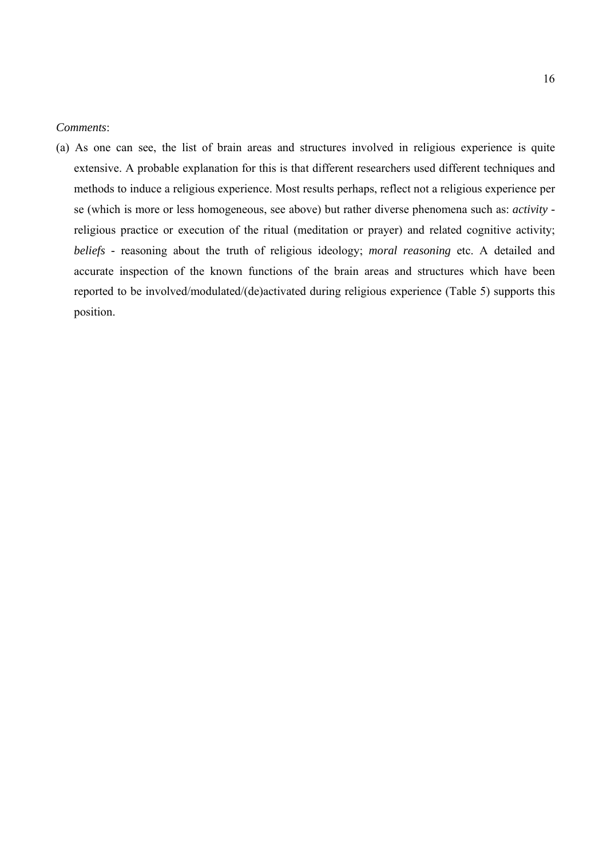# *Comments*:

(a) As one can see, the list of brain areas and structures involved in religious experience is quite extensive. A probable explanation for this is that different researchers used different techniques and methods to induce a religious experience. Most results perhaps, reflect not a religious experience per se (which is more or less homogeneous, see above) but rather diverse phenomena such as: *activity*  religious practice or execution of the ritual (meditation or prayer) and related cognitive activity; *beliefs -* reasoning about the truth of religious ideology; *moral reasoning* etc. A detailed and accurate inspection of the known functions of the brain areas and structures which have been reported to be involved/modulated/(de)activated during religious experience (Table 5) supports this position.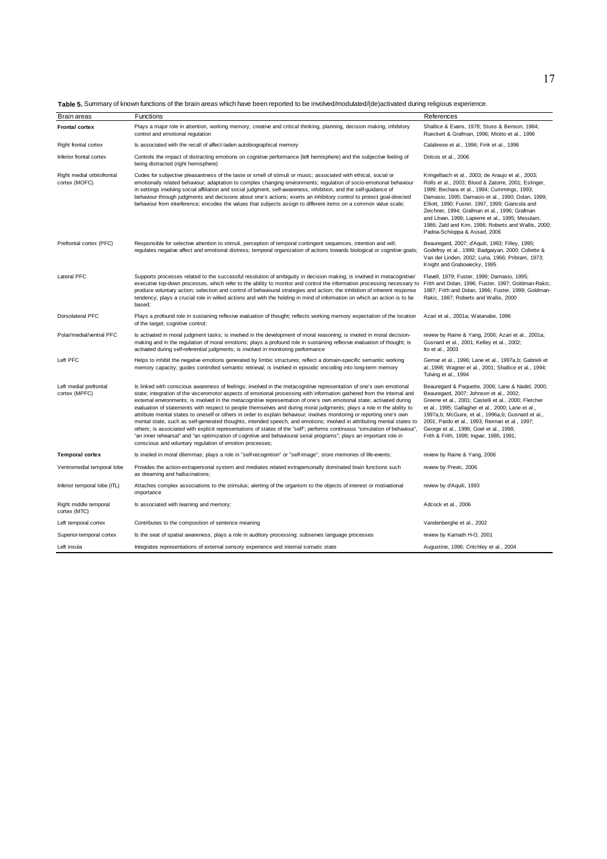**Table 5.** Summary of known functions of the brain areas which have been reported to be involved/modulated/(de)activated during religious experience.

| <b>Brain areas</b>                          | Functions                                                                                                                                                                                                                                                                                                                                                                                                                                                                                                                                                                                                                                                                                                                                                                                                                                                                                                                                                                                                                                                             | References                                                                                                                                                                                                                                                                                                                                                                                                                                                    |
|---------------------------------------------|-----------------------------------------------------------------------------------------------------------------------------------------------------------------------------------------------------------------------------------------------------------------------------------------------------------------------------------------------------------------------------------------------------------------------------------------------------------------------------------------------------------------------------------------------------------------------------------------------------------------------------------------------------------------------------------------------------------------------------------------------------------------------------------------------------------------------------------------------------------------------------------------------------------------------------------------------------------------------------------------------------------------------------------------------------------------------|---------------------------------------------------------------------------------------------------------------------------------------------------------------------------------------------------------------------------------------------------------------------------------------------------------------------------------------------------------------------------------------------------------------------------------------------------------------|
| <b>Frontal cortex</b>                       | Plays a major role in attention, working memory, creative and critical thinking, planning, decision making, inhibitory<br>control and emotional regulation                                                                                                                                                                                                                                                                                                                                                                                                                                                                                                                                                                                                                                                                                                                                                                                                                                                                                                            | Shallice & Evans, 1978; Stuss & Benson, 1984;<br>Rueckert & Grafman, 1996; Miotto et al., 1996                                                                                                                                                                                                                                                                                                                                                                |
| Right frontal cortex                        | Is associated with the recall of affect-laden autobiographical memory                                                                                                                                                                                                                                                                                                                                                                                                                                                                                                                                                                                                                                                                                                                                                                                                                                                                                                                                                                                                 | Calabrese et al., 1996; Fink et al., 1996                                                                                                                                                                                                                                                                                                                                                                                                                     |
| Inferior frontal cortex                     | Controls the impact of distracting emotions on cognitive performance (left hemisphere) and the subjective feeling of<br>being distracted (right hemisphere)                                                                                                                                                                                                                                                                                                                                                                                                                                                                                                                                                                                                                                                                                                                                                                                                                                                                                                           | Dolcos et al., 2006                                                                                                                                                                                                                                                                                                                                                                                                                                           |
| Right medial orbitofrontal<br>cortex (MOFC) | Codes for subjective pleasantness of the taste or smell of stimuli or music; associated with ethical, social or<br>emotionally related behaviour; adaptation to complex changing environments; regulation of socio-emotional behaviour<br>in settings involving social affiliation and social judgment, self-awareness, inhibition, and the self-guidance of<br>behaviour through judgments and decisions about one's actions; exerts an inhibitory control to protect goal-directed<br>behaviour from interference; encodes the values that subjects assign to different items on a common value scale;                                                                                                                                                                                                                                                                                                                                                                                                                                                              | Kringelbach et al., 2003; de Araujo et al., 2003;<br>Rolls et al., 2003; Blood & Zatorre, 2001; Eslinger,<br>1999; Bechara et al., 1994; Cummings, 1993;<br>Damasio, 1995; Damasio et al., 1990; Dolan, 1999;<br>Elliott, 1990; Fuster, 1997, 1999; Giancola and<br>Zeichner, 1994; Grafman et al., 1996; Grafman<br>and Litvan, 1999; Lapierre et al., 1995; Mesulam,<br>1986; Zald and Kim, 1996; Roberts and Wallis, 2000;<br>Padoa-Schioppa & Assad, 2006 |
| Prefrontal cortex (PFC)                     | Responsible for selective attention to stimuli, perception of temporal contingent sequences, intention and will;<br>regulates negative affect and emotional distress; temporal organization of actions towards biological or cognitive goals;                                                                                                                                                                                                                                                                                                                                                                                                                                                                                                                                                                                                                                                                                                                                                                                                                         | Beauregard, 2007; d'Aquili, 1993; Filley, 1995;<br>Godefroy et al., 1999; Badgaiyan, 2000; Collette &<br>Van der Linden, 2002; Luria, 1966; Pribram, 1973;<br>Knight and Grabowecky, 1995                                                                                                                                                                                                                                                                     |
| Lateral PFC                                 | Supports processes related to the successful resolution of ambiguity in decision making; is involved in metacognitive/<br>executive top-down processes, which refer to the ability to monitor and control the information processing necessary to<br>produce voluntary action; selection and control of behavioural strategies and action; the inhibition of inherent response<br>tendency; plays a crucial role in willed actions and with the holding in mind of information on which an action is to be<br>based;                                                                                                                                                                                                                                                                                                                                                                                                                                                                                                                                                  | Flavell, 1979; Fuster, 1999; Damasio, 1995;<br>Frith and Dolan, 1996; Fuster, 1997; Goldman-Rakic,<br>1987; Frith and Dolan, 1996; Fuster, 1999; Goldman-<br>Rakic, 1987; Roberts and Wallis, 2000                                                                                                                                                                                                                                                            |
| <b>Dorsolateral PFC</b>                     | Plays a profound role in sustaining reflexive evaluation of thought; reflects working memory expectation of the location<br>of the target; cognitive control;                                                                                                                                                                                                                                                                                                                                                                                                                                                                                                                                                                                                                                                                                                                                                                                                                                                                                                         | Azari et al., 2001a; Watanabe, 1996                                                                                                                                                                                                                                                                                                                                                                                                                           |
| Polar/medial/ventral PFC                    | Is activated in moral judgment tasks; is involved in the development of moral reasoning; is involed in moral decision-<br>making and in the regulation of moral emotions; plays a profound role in sustaining reflexive evaluation of thought; is<br>activated during self-referential judgments; is involved in monitoring performance                                                                                                                                                                                                                                                                                                                                                                                                                                                                                                                                                                                                                                                                                                                               | review by Raine & Yang, 2006; Azari et al., 2001a;<br>Gusnard et al., 2001; Kelley et al., 2002;<br>Ito et al., 2003                                                                                                                                                                                                                                                                                                                                          |
| Left PFC                                    | Helps to inhibit the negative emotions generated by limbic structures; reflect a domain-specific semantic working<br>memory capacity; guides controlled semantic retrieval; is involved in episodic encoding into long-term memory                                                                                                                                                                                                                                                                                                                                                                                                                                                                                                                                                                                                                                                                                                                                                                                                                                    | Gemar et al., 1996; Lane et al., 1997a, b; Gabrieli et<br>al., 1998; Wagner et al., 2001; Shallice et al., 1994;<br>Tulving et al., 1994                                                                                                                                                                                                                                                                                                                      |
| Left medial prefrontal<br>cortex (MPFC)     | Is linked with conscious awareness of feelings; involved in the metacognitive representation of one's own emotional<br>state; integration of the visceromotor aspects of emotional processing with information gathered from the internal and<br>external environments; is involved in the metacognitive representation of one's own emotional state; activated during<br>evaluation of statements with respect to people themselves and during moral judgments; plays a role in the ability to<br>attribute mental states to oneself or others in order to explain behaviour; involves monitoring or reporting one's own<br>mental state, such as self-generated thoughts, intended speech, and emotions; involved in attributing mental states to<br>others; is associated with explicit representations of states of the "self"; performs continuous "simulation of behaviour",<br>"an inner rehearsal" and "an optimization of cognitive and behavioural serial programs"; plays an important role in<br>conscious and voluntary regulation of emotion processes; | Beauregard & Paquette, 2006; Lane & Nadel, 2000;<br>Beauregard, 2007; Johnson et al., 2002;<br>Greene et al., 2001; Castelli et al., 2000; Fletcher<br>et al., 1995; Gallagher et al., 2000; Lane et al.,<br>1997a, b; McGuire, et al., 1996a, b; Gusnard et al.,<br>2001; Pardo et al., 1993; Reiman et al., 1997;<br>George et al., 1996; Goel et al., 1998;<br>Frith & Frith, 1999; Ingvar, 1985, 1991;                                                    |
| <b>Temporal cortex</b>                      | Is involed in moral dilemmas; plays a role in "self-recognition" or "self-image"; store memories of life-events;                                                                                                                                                                                                                                                                                                                                                                                                                                                                                                                                                                                                                                                                                                                                                                                                                                                                                                                                                      | review by Raine & Yang, 2006                                                                                                                                                                                                                                                                                                                                                                                                                                  |
| Ventromedial temporal lobe                  | Provides the action-extrapersonal system and mediates related extrapersonally dominated brain functions such<br>as dreaming and hallucinations;                                                                                                                                                                                                                                                                                                                                                                                                                                                                                                                                                                                                                                                                                                                                                                                                                                                                                                                       | review by Previc, 2006                                                                                                                                                                                                                                                                                                                                                                                                                                        |
| Inferior temporal lobe (ITL)                | Attaches complex associations to the stimulus; alerting of the organism to the objects of interest or motivational<br>importance                                                                                                                                                                                                                                                                                                                                                                                                                                                                                                                                                                                                                                                                                                                                                                                                                                                                                                                                      | review by d'Aquili, 1993                                                                                                                                                                                                                                                                                                                                                                                                                                      |
| Right middle temporal<br>cortex (MTC)       | Is associated with learning and memory;                                                                                                                                                                                                                                                                                                                                                                                                                                                                                                                                                                                                                                                                                                                                                                                                                                                                                                                                                                                                                               | Adcock et al., 2006                                                                                                                                                                                                                                                                                                                                                                                                                                           |
| Left temporal cortex                        | Contributes to the composition of sentence meaning                                                                                                                                                                                                                                                                                                                                                                                                                                                                                                                                                                                                                                                                                                                                                                                                                                                                                                                                                                                                                    | Vandenberghe et al., 2002                                                                                                                                                                                                                                                                                                                                                                                                                                     |
| Superior-temporal cortex                    | Is the seat of spatial awareness; plays a role in auditory processing; subserves language processes                                                                                                                                                                                                                                                                                                                                                                                                                                                                                                                                                                                                                                                                                                                                                                                                                                                                                                                                                                   | review by Karnath H-O, 2001                                                                                                                                                                                                                                                                                                                                                                                                                                   |
| Left insula                                 | Integrates representations of external sensory experience and internal somatic state                                                                                                                                                                                                                                                                                                                                                                                                                                                                                                                                                                                                                                                                                                                                                                                                                                                                                                                                                                                  | Augustine, 1996; Critchley et al., 2004                                                                                                                                                                                                                                                                                                                                                                                                                       |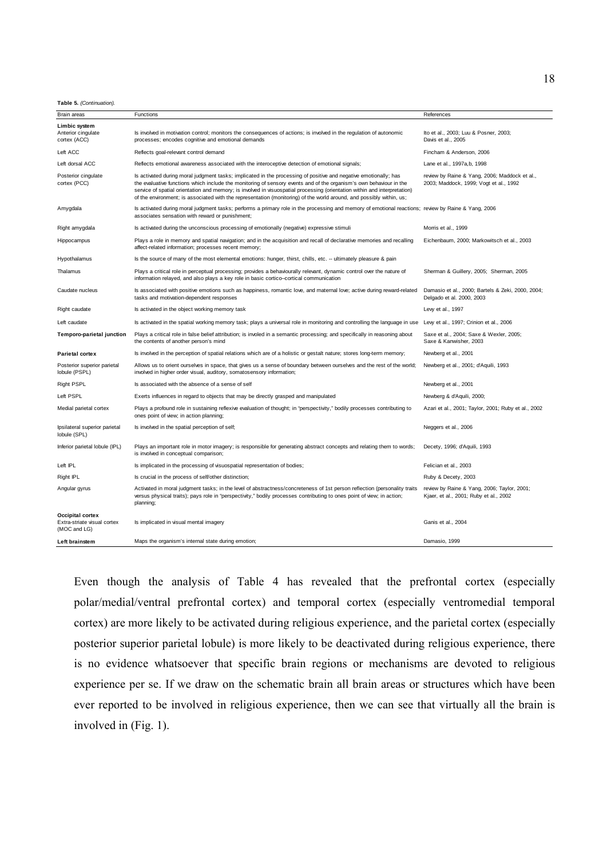**Table 5.** *(Continuation).*

| Brain areas                                                            | Functions                                                                                                                                                                                                                                                                                                                                                                                                                                                                                   | References                                                                              |
|------------------------------------------------------------------------|---------------------------------------------------------------------------------------------------------------------------------------------------------------------------------------------------------------------------------------------------------------------------------------------------------------------------------------------------------------------------------------------------------------------------------------------------------------------------------------------|-----------------------------------------------------------------------------------------|
| Limbic system                                                          |                                                                                                                                                                                                                                                                                                                                                                                                                                                                                             |                                                                                         |
| Anterior cinqulate<br>cortex (ACC)                                     | Is involved in motivation control; monitors the consequences of actions; is involved in the regulation of autonomic<br>processes; encodes cognitive and emotional demands                                                                                                                                                                                                                                                                                                                   | Ito et al., 2003; Luu & Posner, 2003;<br>Davis et al., 2005                             |
| Left ACC                                                               | Reflects goal-relevant control demand                                                                                                                                                                                                                                                                                                                                                                                                                                                       | Fincham & Anderson, 2006                                                                |
| Left dorsal ACC                                                        | Reflects emotional awareness associated with the interoceptive detection of emotional signals;                                                                                                                                                                                                                                                                                                                                                                                              | Lane et al., 1997a, b, 1998                                                             |
| Posterior cingulate<br>cortex (PCC)                                    | Is activated during moral judgment tasks; implicated in the processing of positive and negative emotionally; has<br>the evaluative functions which include the monitoring of sensory events and of the organism's own behaviour in the<br>service of spatial orientation and memory; is involved in visuospatial processing (orientation within and interpretation)<br>of the environment; is associated with the representation (monitoring) of the world around, and possibly within, us; | review by Raine & Yang, 2006; Maddock et al.,<br>2003; Maddock, 1999; Vogt et al., 1992 |
| Amygdala                                                               | Is activated during moral judgment tasks; performs a primary role in the processing and memory of emotional reactions; review by Raine & Yang, 2006<br>associates sensation with reward or punishment;                                                                                                                                                                                                                                                                                      |                                                                                         |
| Right amygdala                                                         | Is activated during the unconscious processing of emotionally (negative) expressive stimuli                                                                                                                                                                                                                                                                                                                                                                                                 | Morris et al., 1999                                                                     |
| Hippocampus                                                            | Plays a role in memory and spatial navigation; and in the acquisition and recall of declarative memories and recalling<br>affect-related information; processes recent memory;                                                                                                                                                                                                                                                                                                              | Eichenbaum, 2000; Markowitsch et al., 2003                                              |
| Hypothalamus                                                           | Is the source of many of the most elemental emotions: hunger, thirst, chills, etc. -- ultimately pleasure & pain                                                                                                                                                                                                                                                                                                                                                                            |                                                                                         |
| Thalamus                                                               | Plays a critical role in perceptual processing; provides a behaviourally relevant, dynamic control over the nature of<br>information relayed, and also plays a key role in basic cortico-cortical communication                                                                                                                                                                                                                                                                             | Sherman & Guillery, 2005; Sherman, 2005                                                 |
| Caudate nucleus                                                        | Is associated with positive emotions such as happiness, romantic love, and maternal love; active during reward-related<br>tasks and motivation-dependent responses                                                                                                                                                                                                                                                                                                                          | Damasio et al., 2000; Bartels & Zeki, 2000, 2004;<br>Delgado et al. 2000, 2003          |
| Right caudate                                                          | Is activated in the object working memory task                                                                                                                                                                                                                                                                                                                                                                                                                                              | Lew et al., 1997                                                                        |
| Left caudate                                                           | Is activated in the spatial working memory task; plays a universal role in monitoring and controlling the language in use                                                                                                                                                                                                                                                                                                                                                                   | Levy et al., 1997; Crinion et al., 2006                                                 |
| Temporo-parietal junction                                              | Plays a critical role in false belief attribution; is involed in a semantic processing; and specifically in reasoning about<br>the contents of another person's mind                                                                                                                                                                                                                                                                                                                        | Saxe et al., 2004; Saxe & Wexler, 2005;<br>Saxe & Kanwisher, 2003                       |
| <b>Parietal cortex</b>                                                 | Is involved in the perception of spatial relations which are of a holistic or gestalt nature; stores long-term memory;                                                                                                                                                                                                                                                                                                                                                                      | Newberg et al., 2001                                                                    |
| Posterior superior parietal<br>lobule (PSPL)                           | Allows us to orient ourselves in space, that gives us a sense of boundary between ourselves and the rest of the world;<br>involved in higher order visual, auditory, somatosensory information;                                                                                                                                                                                                                                                                                             | Newberg et al., 2001; d'Aquili, 1993                                                    |
| Right PSPL                                                             | Is associated with the absence of a sense of self                                                                                                                                                                                                                                                                                                                                                                                                                                           | Newberg et al., 2001                                                                    |
| Left PSPL                                                              | Exerts influences in regard to objects that may be directly grasped and manipulated                                                                                                                                                                                                                                                                                                                                                                                                         | Newberg & d'Aquili, 2000;                                                               |
| Medial parietal cortex                                                 | Plays a profound role in sustaining reflexive evaluation of thought; in "perspectivity," bodily processes contributing to<br>ones point of view; in action planning;                                                                                                                                                                                                                                                                                                                        | Azari et al., 2001; Taylor, 2001; Ruby et al., 2002                                     |
| Ipsilateral superior parietal<br>lobule (SPL)                          | Is involved in the spatial perception of self;                                                                                                                                                                                                                                                                                                                                                                                                                                              | Neggers et al., 2006                                                                    |
| Inferior parietal lobule (IPL)                                         | Plays an important role in motor imagery; is responsible for generating abstract concepts and relating them to words;<br>is involved in conceptual comparison;                                                                                                                                                                                                                                                                                                                              | Decety, 1996; d'Aquili, 1993                                                            |
| Left IPL                                                               | Is implicated in the processing of visuospatial representation of bodies;                                                                                                                                                                                                                                                                                                                                                                                                                   | Felician et al., 2003                                                                   |
| Right IPL                                                              | Is crucial in the process of self/other distinction;                                                                                                                                                                                                                                                                                                                                                                                                                                        | Ruby & Decety, 2003                                                                     |
| Angular gyrus                                                          | Activated in moral judgment tasks; in the level of abstractness/concreteness of 1st person reflection (personality traits<br>versus physical traits); pays role in "perspectivity," bodily processes contributing to ones point of view; in action;<br>planning;                                                                                                                                                                                                                            | review by Raine & Yang, 2006; Taylor, 2001;<br>Kjaer, et al., 2001; Ruby et al., 2002   |
| <b>Occipital cortex</b><br>Extra-striate visual cortex<br>(MOC and LG) | Is implicated in visual mental imagery                                                                                                                                                                                                                                                                                                                                                                                                                                                      | Ganis et al., 2004                                                                      |
| Left brainstem                                                         | Maps the organism's internal state during emotion;                                                                                                                                                                                                                                                                                                                                                                                                                                          | Damasio, 1999                                                                           |

Even though the analysis of Table 4 has revealed that the prefrontal cortex (especially polar/medial/ventral prefrontal cortex) and temporal cortex (especially ventromedial temporal cortex) are more likely to be activated during religious experience, and the parietal cortex (especially posterior superior parietal lobule) is more likely to be deactivated during religious experience, there is no evidence whatsoever that specific brain regions or mechanisms are devoted to religious experience per se. If we draw on the schematic brain all brain areas or structures which have been ever reported to be involved in religious experience, then we can see that virtually all the brain is involved in (Fig. 1).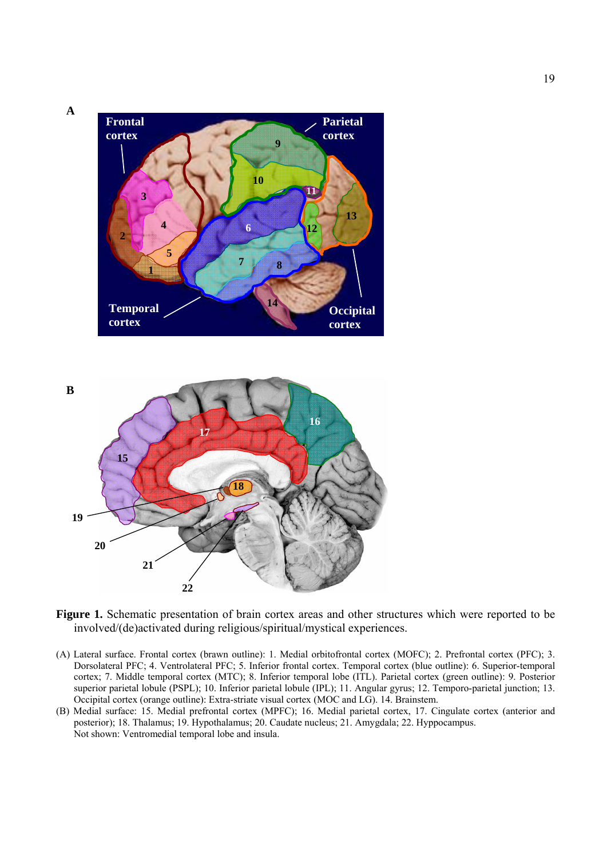



- **Figure 1.** Schematic presentation of brain cortex areas and other structures which were reported to be involved/(de)activated during religious/spiritual/mystical experiences.
- (A) Lateral surface. Frontal cortex (brawn outline): 1. Medial orbitofrontal cortex (MOFC); 2. Prefrontal cortex (PFC); 3. Dorsolateral PFC; 4. Ventrolateral PFC; 5. Inferior frontal cortex. Temporal cortex (blue outline): 6. Superior-temporal cortex; 7. Middle temporal cortex (MTC); 8. Inferior temporal lobe (ITL). Parietal cortex (green outline): 9. Posterior superior parietal lobule (PSPL); 10. Inferior parietal lobule (IPL); 11. Angular gyrus; 12. Temporo-parietal junction; 13. Occipital cortex (orange outline): Extra-striate visual cortex (MOC and LG). 14. Brainstem.
- (B) Medial surface: 15. Medial prefrontal cortex (MPFC); 16. Medial parietal cortex, 17. Cingulate cortex (anterior and posterior); 18. Thalamus; 19. Hypothalamus; 20. Caudate nucleus; 21. Amygdala; 22. Hyppocampus. Not shown: Ventromedial temporal lobe and insula.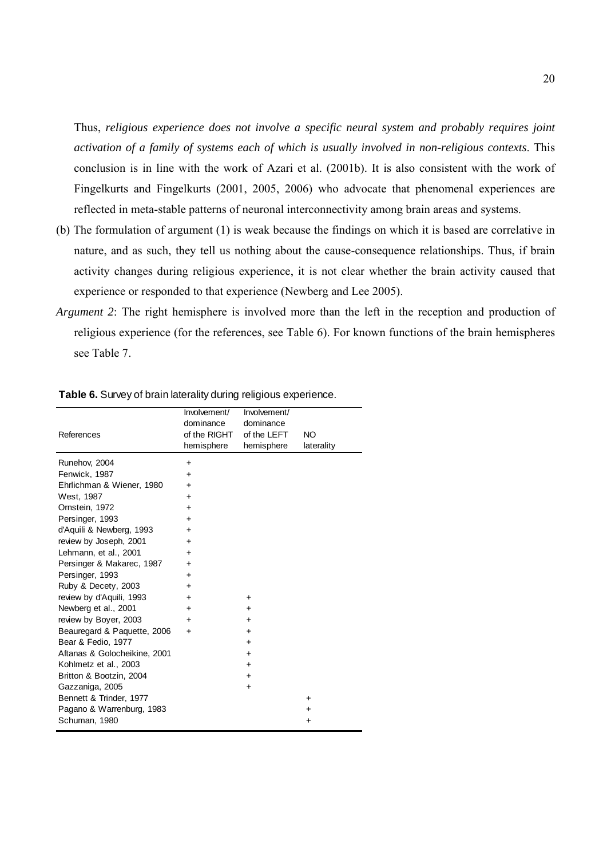Thus, *religious experience does not involve a specific neural system and probably requires joint activation of a family of systems each of which is usually involved in non-religious contexts*. This conclusion is in line with the work of Azari et al. (2001b). It is also consistent with the work of Fingelkurts and Fingelkurts (2001, 2005, 2006) who advocate that phenomenal experiences are reflected in meta-stable patterns of neuronal interconnectivity among brain areas and systems.

- (b) The formulation of argument (1) is weak because the findings on which it is based are correlative in nature, and as such, they tell us nothing about the cause-consequence relationships. Thus, if brain activity changes during religious experience, it is not clear whether the brain activity caused that experience or responded to that experience (Newberg and Lee 2005).
- *Argument 2*: The right hemisphere is involved more than the left in the reception and production of religious experience (for the references, see Table 6). For known functions of the brain hemispheres see Table 7.

|                              | Involvement/ | Involvement/ |            |
|------------------------------|--------------|--------------|------------|
|                              | dominance    | dominance    |            |
| References                   | of the RIGHT | of the LEFT  | <b>NO</b>  |
|                              | hemisphere   | hemisphere   | laterality |
| Runehov, 2004                | $\ddot{}$    |              |            |
| Fenwick, 1987                | ٠            |              |            |
| Ehrlichman & Wiener, 1980    | +            |              |            |
| West, 1987                   | +            |              |            |
| Ornstein, 1972               | ٠            |              |            |
| Persinger, 1993              | +            |              |            |
| d'Aquili & Newberg, 1993     | ٠            |              |            |
| review by Joseph, 2001       | ٠            |              |            |
| Lehmann, et al., 2001        | +            |              |            |
| Persinger & Makarec, 1987    | +            |              |            |
| Persinger, 1993              | ٠            |              |            |
| Ruby & Decety, 2003          | ÷            |              |            |
| review by d'Aquili, 1993     | ٠            | ÷            |            |
| Newberg et al., 2001         | ٠            | ÷            |            |
| review by Boyer, 2003        | +            | +            |            |
| Beauregard & Paguette, 2006  | +            | +            |            |
| Bear & Fedio, 1977           |              | ÷            |            |
| Aftanas & Golocheikine, 2001 |              | +            |            |
| Kohlmetz et al., 2003        |              | ÷            |            |
| Britton & Bootzin, 2004      |              | ÷.           |            |
| Gazzaniga, 2005              |              | $\ddot{}$    |            |
| Bennett & Trinder, 1977      |              |              | +          |
| Pagano & Warrenburg, 1983    |              |              | +          |
| Schuman, 1980                |              |              | +          |

**Table 6.** Survey of brain laterality during religious experience.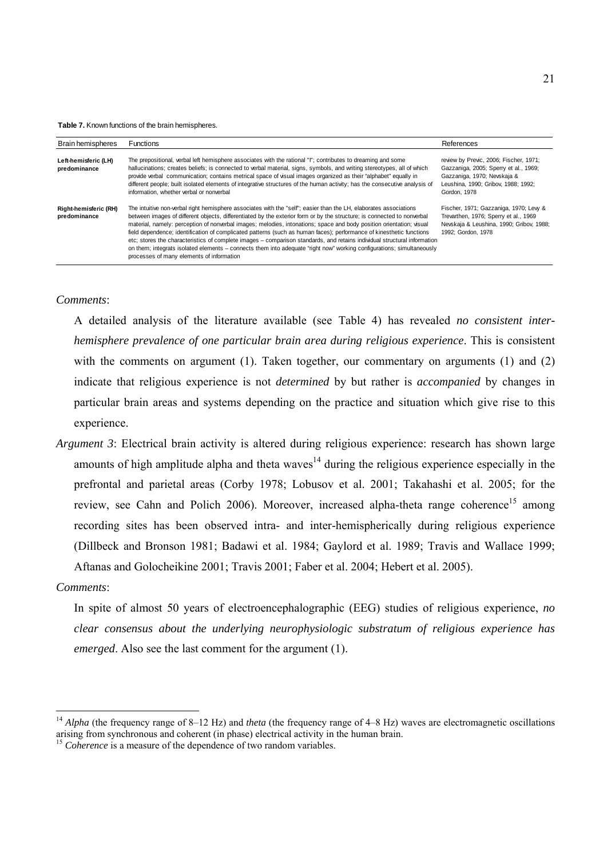**Table 7.** Known functions of the brain hemispheres.

| <b>Brain hemispheres</b>              | <b>Functions</b>                                                                                                                                                                                                                                                                                                                                                                                                                                                                                                                                                                                                                                                                                                                                                                               | References                                                                                                                                                            |
|---------------------------------------|------------------------------------------------------------------------------------------------------------------------------------------------------------------------------------------------------------------------------------------------------------------------------------------------------------------------------------------------------------------------------------------------------------------------------------------------------------------------------------------------------------------------------------------------------------------------------------------------------------------------------------------------------------------------------------------------------------------------------------------------------------------------------------------------|-----------------------------------------------------------------------------------------------------------------------------------------------------------------------|
| Left-hemisferic (LH)<br>predominance  | The prepositional, verbal left hemisphere associates with the rational "I"; contributes to dreaming and some<br>hallucinations; creates beliefs; is connected to verbal material, signs, symbols, and writing stereotypes, all of which<br>provide verbal communication; contains metrical space of visual images organized as their "alphabet" equally in<br>different people; built isolated elements of integrative structures of the human activity; has the consecutive analysis of<br>information, whether verbal or nonverbal                                                                                                                                                                                                                                                           | review by Previc, 2006; Fischer, 1971;<br>Gazzaniga, 2005; Sperry et al., 1969;<br>Gazzaniga, 1970; Nevskaja &<br>Leushina, 1990; Gribov, 1988; 1992;<br>Gordon, 1978 |
| Right-hemisferic (RH)<br>predominance | The intuitive non-verbal right hemisphere associates with the "self"; easier than the LH, elaborates associations<br>between images of different objects, differentiated by the exterior form or by the structure; is connected to nonverbal<br>material, namely: perception of nonverbal images; melodies, intonations; space and body position orientation; visual<br>field dependence; identification of complicated patterns (such as human faces); performance of kinesthetic functions<br>etc; stores the characteristics of complete images – comparison standards, and retains individual structural information<br>on them; integrats isolated elements – connects them into adequate "right now" working configurations; simultaneously<br>processes of many elements of information | Fischer, 1971; Gazzaniga, 1970; Lew &<br>Trevarthen, 1976; Sperry et al., 1969<br>Nevskaia & Leushina, 1990; Gribov, 1988;<br>1992; Gordon, 1978                      |

#### *Comments*:

A detailed analysis of the literature available (see Table 4) has revealed *no consistent interhemisphere prevalence of one particular brain area during religious experience*. This is consistent with the comments on argument (1). Taken together, our commentary on arguments (1) and (2) indicate that religious experience is not *determined* by but rather is *accompanied* by changes in particular brain areas and systems depending on the practice and situation which give rise to this experience.

*Argument 3*: Electrical brain activity is altered during religious experience: research has shown large amounts of high amplitude alpha and theta waves<sup>14</sup> during the religious experience especially in the prefrontal and parietal areas (Corby 1978; Lobusov et al. 2001; Takahashi et al. 2005; for the review, see Cahn and Polich 2006). Moreover, increased alpha-theta range coherence<sup>15</sup> among recording sites has been observed intra- and inter-hemispherically during religious experience (Dillbeck and Bronson 1981; Badawi et al. 1984; Gaylord et al. 1989; Travis and Wallace 1999; Aftanas and Golocheikine 2001; Travis 2001; Faber et al. 2004; Hebert et al. 2005).

#### *Comments*:

-

In spite of almost 50 years of electroencephalographic (EEG) studies of religious experience, *no clear consensus about the underlying neurophysiologic substratum of religious experience has emerged*. Also see the last comment for the argument (1).

<sup>14</sup> *Alpha* (the frequency range of 8–12 Hz) and *theta* (the frequency range of 4–8 Hz) waves are electromagnetic oscillations arising from synchronous and coherent (in phase) electrical activity in the human brain.

<sup>&</sup>lt;sup>15</sup> Coherence is a measure of the dependence of two random variables.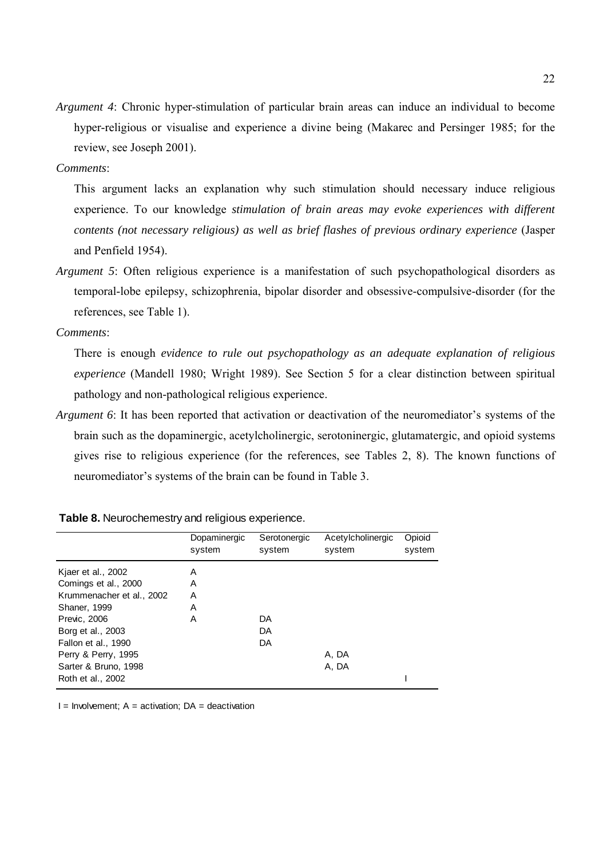*Argument 4*: Chronic hyper-stimulation of particular brain areas can induce an individual to become hyper-religious or visualise and experience a divine being (Makarec and Persinger 1985; for the review, see Joseph 2001).

#### *Comments*:

This argument lacks an explanation why such stimulation should necessary induce religious experience. To our knowledge *stimulation of brain areas may evoke experiences with different contents (not necessary religious) as well as brief flashes of previous ordinary experience* (Jasper and Penfield 1954).

*Argument 5*: Often religious experience is a manifestation of such psychopathological disorders as temporal-lobe epilepsy, schizophrenia, bipolar disorder and obsessive-compulsive-disorder (for the references, see Table 1).

# *Comments*:

There is enough *evidence to rule out psychopathology as an adequate explanation of religious experience* (Mandell 1980; Wright 1989). See Section 5 for a clear distinction between spiritual pathology and non-pathological religious experience.

*Argument 6*: It has been reported that activation or deactivation of the neuromediator's systems of the brain such as the dopaminergic, acetylcholinergic, serotoninergic, glutamatergic, and opioid systems gives rise to religious experience (for the references, see Tables 2, 8). The known functions of neuromediator's systems of the brain can be found in Table 3.

|                           | Dopaminergic<br>system | Serotonergic<br>system | Acetylcholinergic<br>system | Opioid<br>system |
|---------------------------|------------------------|------------------------|-----------------------------|------------------|
| Kjaer et al., 2002        | Α                      |                        |                             |                  |
| Comings et al., 2000      | A                      |                        |                             |                  |
| Krummenacher et al., 2002 | A                      |                        |                             |                  |
| <b>Shaner, 1999</b>       | Α                      |                        |                             |                  |
| Previc, 2006              | Α                      | DA                     |                             |                  |
| Borg et al., 2003         |                        | DA                     |                             |                  |
| Fallon et al., 1990       |                        | DA                     |                             |                  |
| Perry & Perry, 1995       |                        |                        | A, DA                       |                  |
| Sarter & Bruno, 1998      |                        |                        | A, DA                       |                  |
| Roth et al., 2002         |                        |                        |                             |                  |

| Table 8. Neurochemestry and religious experience |  |  |
|--------------------------------------------------|--|--|
|--------------------------------------------------|--|--|

 $I =$  Involvement;  $A =$  activation;  $DA =$  deactivation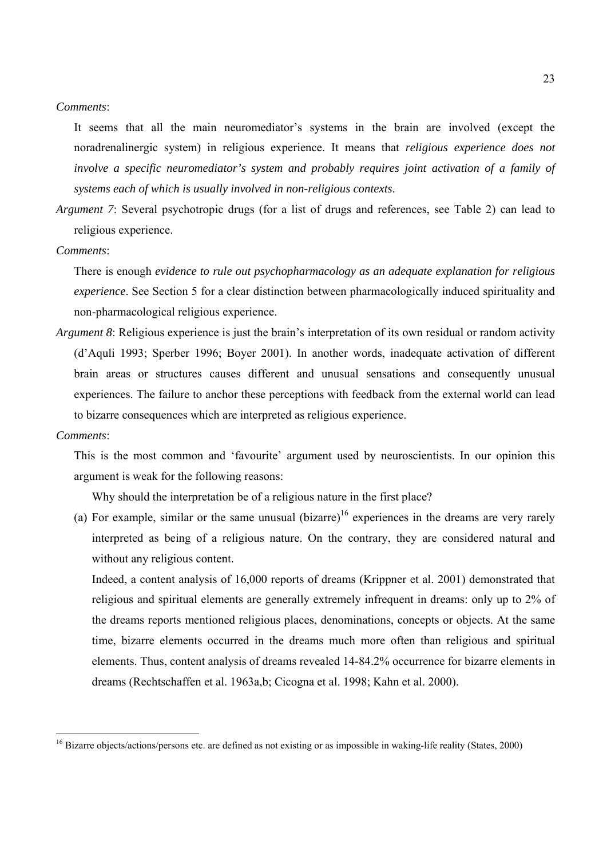*Comments*:

It seems that all the main neuromediator's systems in the brain are involved (except the noradrenalinergic system) in religious experience. It means that *religious experience does not involve a specific neuromediator's system and probably requires joint activation of a family of systems each of which is usually involved in non-religious contexts*.

*Argument 7*: Several psychotropic drugs (for a list of drugs and references, see Table 2) can lead to religious experience.

#### *Comments*:

There is enough *evidence to rule out psychopharmacology as an adequate explanation for religious experience*. See Section 5 for a clear distinction between pharmacologically induced spirituality and non-pharmacological religious experience.

*Argument 8*: Religious experience is just the brain's interpretation of its own residual or random activity (d'Aquli 1993; Sperber 1996; Boyer 2001). In another words, inadequate activation of different brain areas or structures causes different and unusual sensations and consequently unusual experiences. The failure to anchor these perceptions with feedback from the external world can lead to bizarre consequences which are interpreted as religious experience.

#### *Comments*:

-

This is the most common and 'favourite' argument used by neuroscientists. In our opinion this argument is weak for the following reasons:

Why should the interpretation be of a religious nature in the first place?

(a) For example, similar or the same unusual (bizarre)<sup>16</sup> experiences in the dreams are very rarely interpreted as being of a religious nature. On the contrary, they are considered natural and without any religious content.

Indeed, a content analysis of 16,000 reports of dreams (Krippner et al. 2001) demonstrated that religious and spiritual elements are generally extremely infrequent in dreams: only up to 2% of the dreams reports mentioned religious places, denominations, concepts or objects. At the same time, bizarre elements occurred in the dreams much more often than religious and spiritual elements. Thus, content analysis of dreams revealed 14-84.2% occurrence for bizarre elements in dreams (Rechtschaffen et al. 1963a,b; Cicogna et al. 1998; Kahn et al. 2000).

<sup>&</sup>lt;sup>16</sup> Bizarre objects/actions/persons etc. are defined as not existing or as impossible in waking-life reality (States, 2000)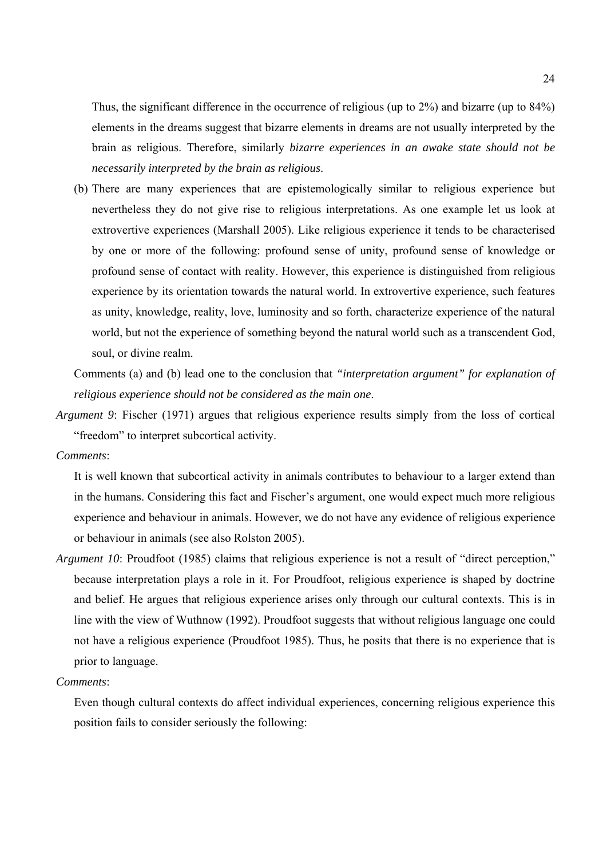Thus, the significant difference in the occurrence of religious (up to 2%) and bizarre (up to 84%) elements in the dreams suggest that bizarre elements in dreams are not usually interpreted by the brain as religious. Therefore, similarly *bizarre experiences in an awake state should not be necessarily interpreted by the brain as religious*.

(b) There are many experiences that are epistemologically similar to religious experience but nevertheless they do not give rise to religious interpretations. As one example let us look at extrovertive experiences (Marshall 2005). Like religious experience it tends to be characterised by one or more of the following: profound sense of unity, profound sense of knowledge or profound sense of contact with reality. However, this experience is distinguished from religious experience by its orientation towards the natural world. In extrovertive experience, such features as unity, knowledge, reality, love, luminosity and so forth, characterize experience of the natural world, but not the experience of something beyond the natural world such as a transcendent God, soul, or divine realm.

Comments (a) and (b) lead one to the conclusion that *"interpretation argument" for explanation of religious experience should not be considered as the main one*.

*Argument 9*: Fischer (1971) argues that religious experience results simply from the loss of cortical "freedom" to interpret subcortical activity.

*Comments*:

It is well known that subcortical activity in animals contributes to behaviour to a larger extend than in the humans. Considering this fact and Fischer's argument, one would expect much more religious experience and behaviour in animals. However, we do not have any evidence of religious experience or behaviour in animals (see also Rolston 2005).

*Argument 10*: Proudfoot (1985) claims that religious experience is not a result of "direct perception," because interpretation plays a role in it. For Proudfoot, religious experience is shaped by doctrine and belief. He argues that religious experience arises only through our cultural contexts. This is in line with the view of Wuthnow (1992). Proudfoot suggests that without religious language one could not have a religious experience (Proudfoot 1985). Thus, he posits that there is no experience that is prior to language.

# *Comments*:

Even though cultural contexts do affect individual experiences, concerning religious experience this position fails to consider seriously the following: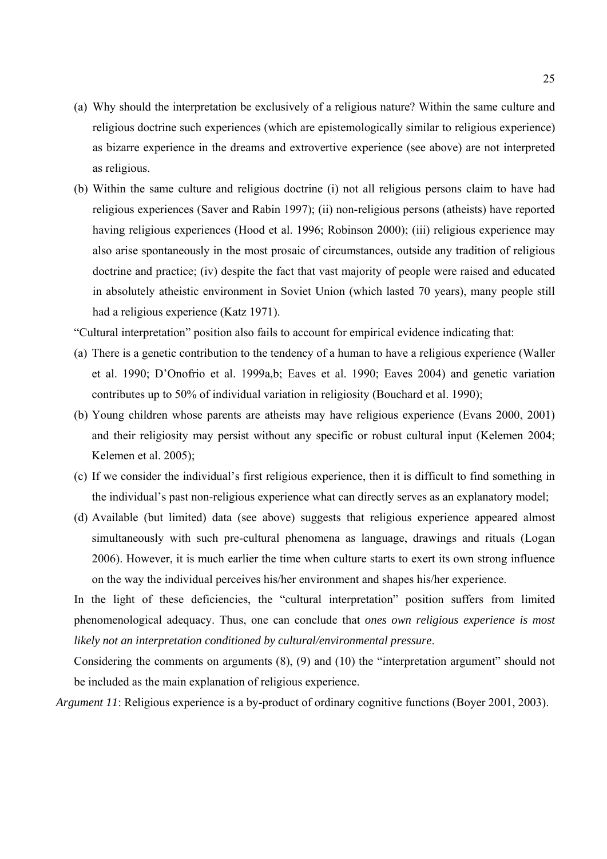- (a) Why should the interpretation be exclusively of a religious nature? Within the same culture and religious doctrine such experiences (which are epistemologically similar to religious experience) as bizarre experience in the dreams and extrovertive experience (see above) are not interpreted as religious.
- (b) Within the same culture and religious doctrine (i) not all religious persons claim to have had religious experiences (Saver and Rabin 1997); (ii) non-religious persons (atheists) have reported having religious experiences (Hood et al. 1996; Robinson 2000); (iii) religious experience may also arise spontaneously in the most prosaic of circumstances, outside any tradition of religious doctrine and practice; (iv) despite the fact that vast majority of people were raised and educated in absolutely atheistic environment in Soviet Union (which lasted 70 years), many people still had a religious experience (Katz 1971).

"Cultural interpretation" position also fails to account for empirical evidence indicating that:

- (a) There is a genetic contribution to the tendency of a human to have a religious experience (Waller et al. 1990; D'Onofrio et al. 1999a,b; Eaves et al. 1990; Eaves 2004) and genetic variation contributes up to 50% of individual variation in religiosity (Bouchard et al. 1990);
- (b) Young children whose parents are atheists may have religious experience (Evans 2000, 2001) and their religiosity may persist without any specific or robust cultural input (Kelemen 2004; Kelemen et al. 2005);
- (c) If we consider the individual's first religious experience, then it is difficult to find something in the individual's past non-religious experience what can directly serves as an explanatory model;
- (d) Available (but limited) data (see above) suggests that religious experience appeared almost simultaneously with such pre-cultural phenomena as language, drawings and rituals (Logan 2006). However, it is much earlier the time when culture starts to exert its own strong influence on the way the individual perceives his/her environment and shapes his/her experience.

In the light of these deficiencies, the "cultural interpretation" position suffers from limited phenomenological adequacy. Thus, one can conclude that *ones own religious experience is most likely not an interpretation conditioned by cultural/environmental pressure*.

 Considering the comments on arguments (8), (9) and (10) the "interpretation argument" should not be included as the main explanation of religious experience.

*Argument 11*: Religious experience is a by-product of ordinary cognitive functions (Boyer 2001, 2003).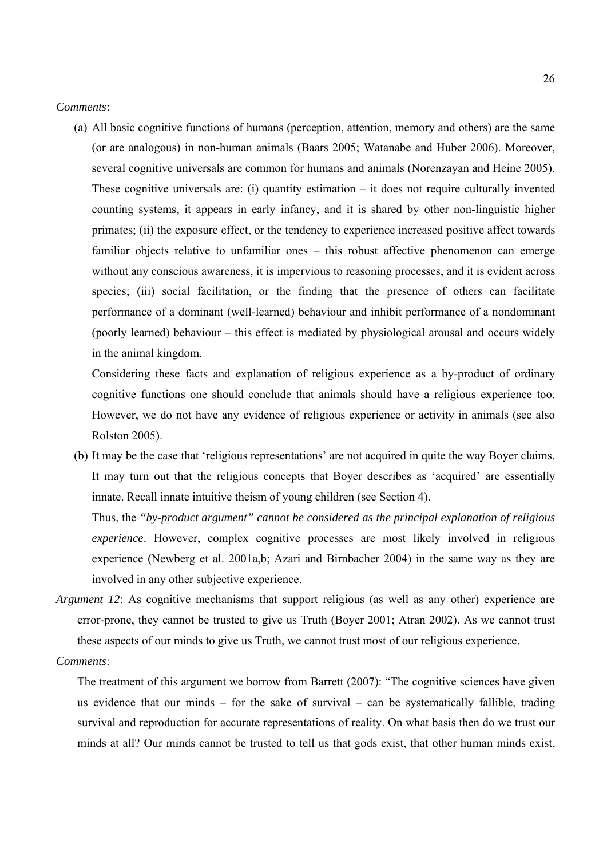*Comments*:

(a) All basic cognitive functions of humans (perception, attention, memory and others) are the same (or are analogous) in non-human animals (Baars 2005; Watanabe and Huber 2006). Moreover, several cognitive universals are common for humans and animals (Norenzayan and Heine 2005). These cognitive universals are: (i) quantity estimation  $-$  it does not require culturally invented counting systems, it appears in early infancy, and it is shared by other non-linguistic higher primates; (ii) the exposure effect, or the tendency to experience increased positive affect towards familiar objects relative to unfamiliar ones – this robust affective phenomenon can emerge without any conscious awareness, it is impervious to reasoning processes, and it is evident across species; (iii) social facilitation, or the finding that the presence of others can facilitate performance of a dominant (well-learned) behaviour and inhibit performance of a nondominant (poorly learned) behaviour – this effect is mediated by physiological arousal and occurs widely in the animal kingdom.

Considering these facts and explanation of religious experience as a by-product of ordinary cognitive functions one should conclude that animals should have a religious experience too. However, we do not have any evidence of religious experience or activity in animals (see also Rolston 2005).

(b) It may be the case that 'religious representations' are not acquired in quite the way Boyer claims. It may turn out that the religious concepts that Boyer describes as 'acquired' are essentially innate. Recall innate intuitive theism of young children (see Section 4).

Thus, the *"by-product argument" cannot be considered as the principal explanation of religious experience*. However, complex cognitive processes are most likely involved in religious experience (Newberg et al. 2001a,b; Azari and Birnbacher 2004) in the same way as they are involved in any other subjective experience.

*Argument 12*: As cognitive mechanisms that support religious (as well as any other) experience are error-prone, they cannot be trusted to give us Truth (Boyer 2001; Atran 2002). As we cannot trust these aspects of our minds to give us Truth, we cannot trust most of our religious experience.

*Comments*:

The treatment of this argument we borrow from Barrett (2007): "The cognitive sciences have given us evidence that our minds – for the sake of survival – can be systematically fallible, trading survival and reproduction for accurate representations of reality. On what basis then do we trust our minds at all? Our minds cannot be trusted to tell us that gods exist, that other human minds exist,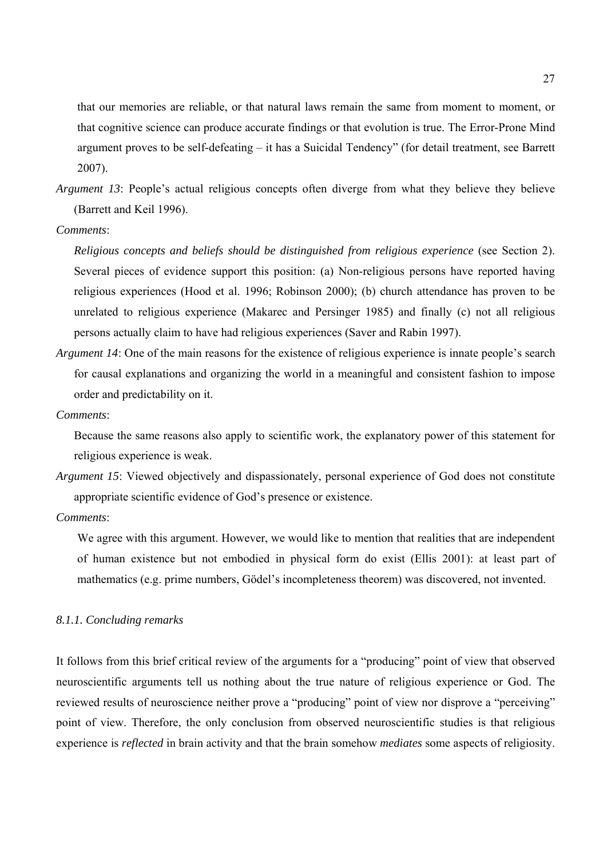that our memories are reliable, or that natural laws remain the same from moment to moment, or that cognitive science can produce accurate findings or that evolution is true. The Error-Prone Mind argument proves to be self-defeating – it has a Suicidal Tendency" (for detail treatment, see Barrett 2007).

*Argument 13*: People's actual religious concepts often diverge from what they believe they believe (Barrett and Keil 1996).

*Comments*:

*Religious concepts and beliefs should be distinguished from religious experience* (see Section 2). Several pieces of evidence support this position: (a) Non-religious persons have reported having religious experiences (Hood et al. 1996; Robinson 2000); (b) church attendance has proven to be unrelated to religious experience (Makarec and Persinger 1985) and finally (c) not all religious persons actually claim to have had religious experiences (Saver and Rabin 1997).

*Argument 14*: One of the main reasons for the existence of religious experience is innate people's search for causal explanations and organizing the world in a meaningful and consistent fashion to impose order and predictability on it.

#### *Comments*:

Because the same reasons also apply to scientific work, the explanatory power of this statement for religious experience is weak.

*Argument 15*: Viewed objectively and dispassionately, personal experience of God does not constitute appropriate scientific evidence of God's presence or existence.

*Comments*:

We agree with this argument. However, we would like to mention that realities that are independent of human existence but not embodied in physical form do exist (Ellis 2001): at least part of mathematics (e.g. prime numbers, Gödel's incompleteness theorem) was discovered, not invented.

#### *8.1.1. Concluding remarks*

It follows from this brief critical review of the arguments for a "producing" point of view that observed neuroscientific arguments tell us nothing about the true nature of religious experience or God. The reviewed results of neuroscience neither prove a "producing" point of view nor disprove a "perceiving" point of view. Therefore, the only conclusion from observed neuroscientific studies is that religious experience is *reflected* in brain activity and that the brain somehow *mediates* some aspects of religiosity.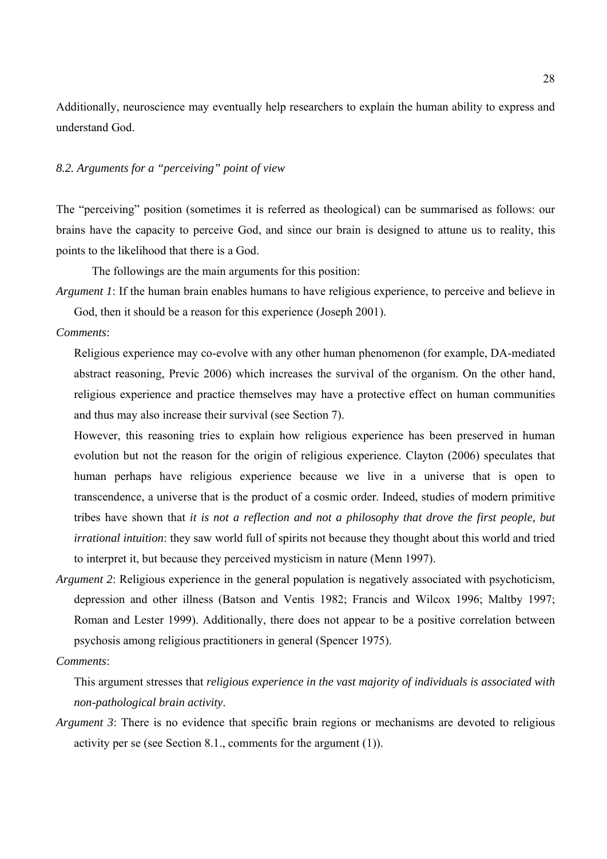Additionally, neuroscience may eventually help researchers to explain the human ability to express and understand God.

# *8.2. Arguments for a "perceiving" point of view*

The "perceiving" position (sometimes it is referred as theological) can be summarised as follows: our brains have the capacity to perceive God, and since our brain is designed to attune us to reality, this points to the likelihood that there is a God.

The followings are the main arguments for this position:

*Argument 1*: If the human brain enables humans to have religious experience, to perceive and believe in

God, then it should be a reason for this experience (Joseph 2001).

*Comments*:

Religious experience may co-evolve with any other human phenomenon (for example, DA-mediated abstract reasoning, Previc 2006) which increases the survival of the organism. On the other hand, religious experience and practice themselves may have a protective effect on human communities and thus may also increase their survival (see Section 7).

 However, this reasoning tries to explain how religious experience has been preserved in human evolution but not the reason for the origin of religious experience. Clayton (2006) speculates that human perhaps have religious experience because we live in a universe that is open to transcendence, a universe that is the product of a cosmic order. Indeed, studies of modern primitive tribes have shown that *it is not a reflection and not a philosophy that drove the first people, but irrational intuition*: they saw world full of spirits not because they thought about this world and tried to interpret it, but because they perceived mysticism in nature (Menn 1997).

*Argument 2*: Religious experience in the general population is negatively associated with psychoticism, depression and other illness (Batson and Ventis 1982; Francis and Wilcox 1996; Maltby 1997; Roman and Lester 1999). Additionally, there does not appear to be a positive correlation between psychosis among religious practitioners in general (Spencer 1975).

*Comments*:

This argument stresses that *religious experience in the vast majority of individuals is associated with non-pathological brain activity*.

*Argument 3*: There is no evidence that specific brain regions or mechanisms are devoted to religious activity per se (see Section 8.1., comments for the argument (1)).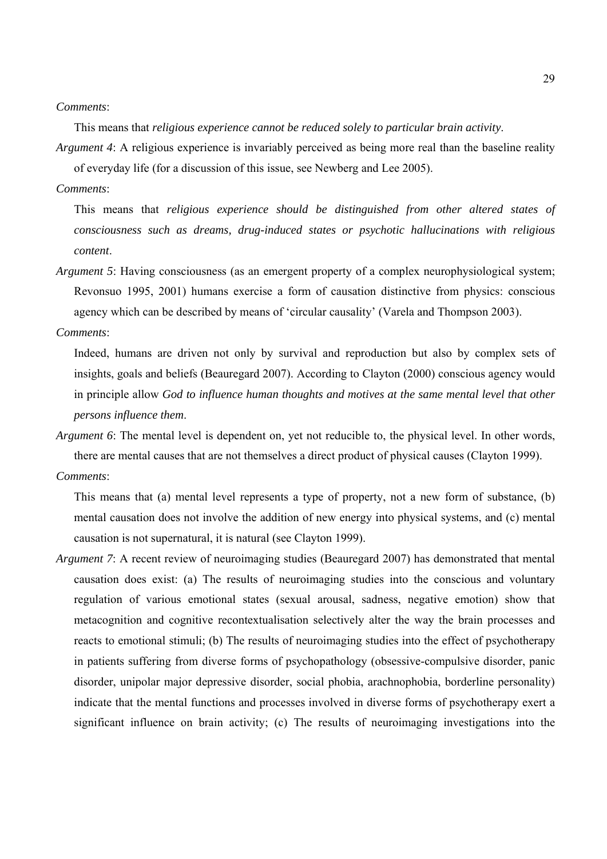*Comments*:

This means that *religious experience cannot be reduced solely to particular brain activity*.

- *Argument 4*: A religious experience is invariably perceived as being more real than the baseline reality of everyday life (for a discussion of this issue, see Newberg and Lee 2005).
- *Comments*:
	- This means that *religious experience should be distinguished from other altered states of consciousness such as dreams, drug-induced states or psychotic hallucinations with religious content*.
- *Argument 5*: Having consciousness (as an emergent property of a complex neurophysiological system; Revonsuo 1995, 2001) humans exercise a form of causation distinctive from physics: conscious agency which can be described by means of 'circular causality' (Varela and Thompson 2003).
- *Comments*:
	- Indeed, humans are driven not only by survival and reproduction but also by complex sets of insights, goals and beliefs (Beauregard 2007). According to Clayton (2000) conscious agency would in principle allow *God to influence human thoughts and motives at the same mental level that other persons influence them*.
- *Argument 6*: The mental level is dependent on, yet not reducible to, the physical level. In other words, there are mental causes that are not themselves a direct product of physical causes (Clayton 1999). *Comments*:

This means that (a) mental level represents a type of property, not a new form of substance, (b) mental causation does not involve the addition of new energy into physical systems, and (c) mental causation is not supernatural, it is natural (see Clayton 1999).

*Argument 7*: A recent review of neuroimaging studies (Beauregard 2007) has demonstrated that mental causation does exist: (a) The results of neuroimaging studies into the conscious and voluntary regulation of various emotional states (sexual arousal, sadness, negative emotion) show that metacognition and cognitive recontextualisation selectively alter the way the brain processes and reacts to emotional stimuli; (b) The results of neuroimaging studies into the effect of psychotherapy in patients suffering from diverse forms of psychopathology (obsessive-compulsive disorder, panic disorder, unipolar major depressive disorder, social phobia, arachnophobia, borderline personality) indicate that the mental functions and processes involved in diverse forms of psychotherapy exert a significant influence on brain activity; (c) The results of neuroimaging investigations into the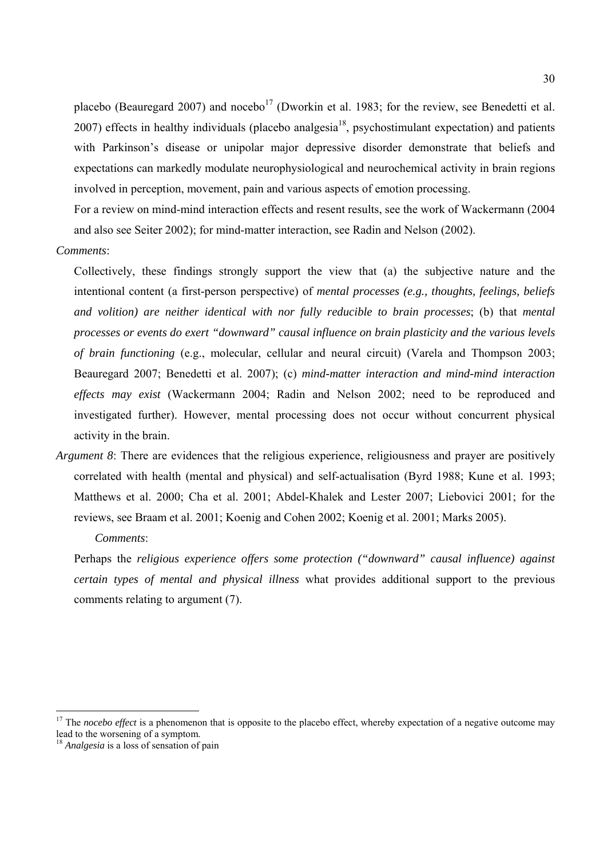placebo (Beauregard 2007) and nocebo<sup>17</sup> (Dworkin et al. 1983; for the review, see Benedetti et al.  $2007$ ) effects in healthy individuals (placebo analgesia<sup>18</sup>, psychostimulant expectation) and patients with Parkinson's disease or unipolar major depressive disorder demonstrate that beliefs and expectations can markedly modulate neurophysiological and neurochemical activity in brain regions involved in perception, movement, pain and various aspects of emotion processing.

For a review on mind-mind interaction effects and resent results, see the work of Wackermann (2004 and also see Seiter 2002); for mind-matter interaction, see Radin and Nelson (2002).

#### *Comments*:

Collectively, these findings strongly support the view that (a) the subjective nature and the intentional content (a first-person perspective) of *mental processes (e.g., thoughts, feelings, beliefs and volition) are neither identical with nor fully reducible to brain processes*; (b) that *mental processes or events do exert "downward" causal influence on brain plasticity and the various levels of brain functioning* (e.g., molecular, cellular and neural circuit) (Varela and Thompson 2003; Beauregard 2007; Benedetti et al. 2007); (c) *mind-matter interaction and mind-mind interaction effects may exist* (Wackermann 2004; Radin and Nelson 2002; need to be reproduced and investigated further). However, mental processing does not occur without concurrent physical activity in the brain.

*Argument 8*: There are evidences that the religious experience, religiousness and prayer are positively correlated with health (mental and physical) and self-actualisation (Byrd 1988; Kune et al. 1993; Matthews et al. 2000; Cha et al. 2001; Abdel-Khalek and Lester 2007; Liebovici 2001; for the reviews, see Braam et al. 2001; Koenig and Cohen 2002; Koenig et al. 2001; Marks 2005).

*Comments*:

Perhaps the *religious experience offers some protection ("downward" causal influence) against certain types of mental and physical illness* what provides additional support to the previous comments relating to argument (7).

-

<sup>&</sup>lt;sup>17</sup> The *nocebo effect* is a phenomenon that is opposite to the placebo effect, whereby expectation of a negative outcome may lead to the worsening of a symptom.

<sup>18</sup> *Analgesia* is a loss of sensation of pain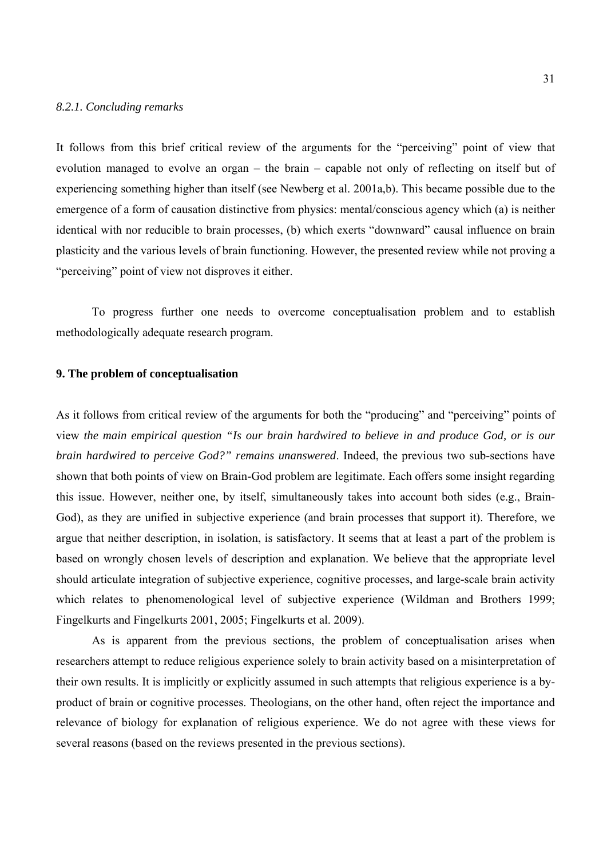#### *8.2.1. Concluding remarks*

It follows from this brief critical review of the arguments for the "perceiving" point of view that evolution managed to evolve an organ – the brain – capable not only of reflecting on itself but of experiencing something higher than itself (see Newberg et al. 2001a,b). This became possible due to the emergence of a form of causation distinctive from physics: mental/conscious agency which (a) is neither identical with nor reducible to brain processes, (b) which exerts "downward" causal influence on brain plasticity and the various levels of brain functioning. However, the presented review while not proving a "perceiving" point of view not disproves it either.

 To progress further one needs to overcome conceptualisation problem and to establish methodologically adequate research program.

# **9. The problem of conceptualisation**

As it follows from critical review of the arguments for both the "producing" and "perceiving" points of view *the main empirical question "Is our brain hardwired to believe in and produce God, or is our brain hardwired to perceive God?" remains unanswered*. Indeed, the previous two sub-sections have shown that both points of view on Brain-God problem are legitimate. Each offers some insight regarding this issue. However, neither one, by itself, simultaneously takes into account both sides (e.g., Brain-God), as they are unified in subjective experience (and brain processes that support it). Therefore, we argue that neither description, in isolation, is satisfactory. It seems that at least a part of the problem is based on wrongly chosen levels of description and explanation. We believe that the appropriate level should articulate integration of subjective experience, cognitive processes, and large-scale brain activity which relates to phenomenological level of subjective experience (Wildman and Brothers 1999; Fingelkurts and Fingelkurts 2001, 2005; Fingelkurts et al. 2009).

As is apparent from the previous sections, the problem of conceptualisation arises when researchers attempt to reduce religious experience solely to brain activity based on a misinterpretation of their own results. It is implicitly or explicitly assumed in such attempts that religious experience is a byproduct of brain or cognitive processes. Theologians, on the other hand, often reject the importance and relevance of biology for explanation of religious experience. We do not agree with these views for several reasons (based on the reviews presented in the previous sections).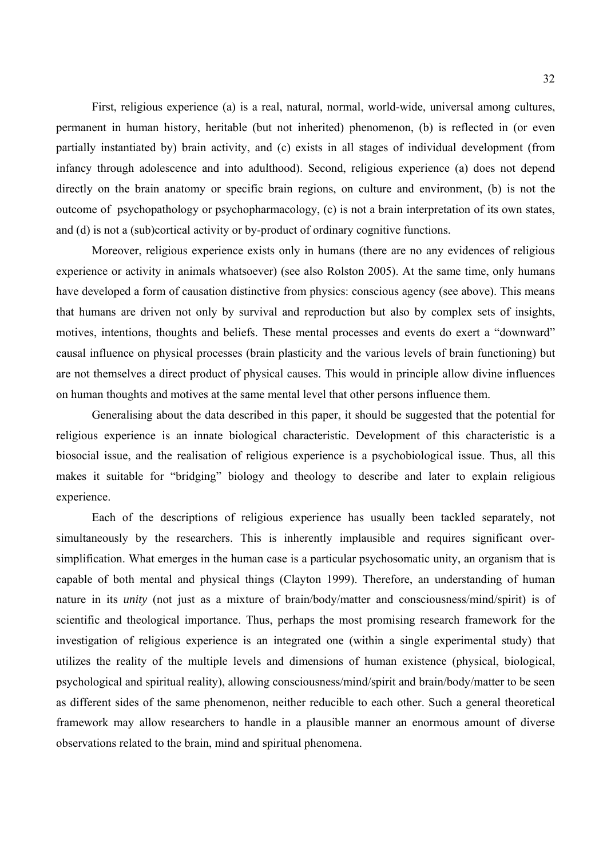First, religious experience (a) is a real, natural, normal, world-wide, universal among cultures, permanent in human history, heritable (but not inherited) phenomenon, (b) is reflected in (or even partially instantiated by) brain activity, and (c) exists in all stages of individual development (from infancy through adolescence and into adulthood). Second, religious experience (a) does not depend directly on the brain anatomy or specific brain regions, on culture and environment, (b) is not the outcome of psychopathology or psychopharmacology, (c) is not a brain interpretation of its own states, and (d) is not a (sub)cortical activity or by-product of ordinary cognitive functions.

Moreover, religious experience exists only in humans (there are no any evidences of religious experience or activity in animals whatsoever) (see also Rolston 2005). At the same time, only humans have developed a form of causation distinctive from physics: conscious agency (see above). This means that humans are driven not only by survival and reproduction but also by complex sets of insights, motives, intentions, thoughts and beliefs. These mental processes and events do exert a "downward" causal influence on physical processes (brain plasticity and the various levels of brain functioning) but are not themselves a direct product of physical causes. This would in principle allow divine influences on human thoughts and motives at the same mental level that other persons influence them.

Generalising about the data described in this paper, it should be suggested that the potential for religious experience is an innate biological characteristic. Development of this characteristic is a biosocial issue, and the realisation of religious experience is a psychobiological issue. Thus, all this makes it suitable for "bridging" biology and theology to describe and later to explain religious experience.

Each of the descriptions of religious experience has usually been tackled separately, not simultaneously by the researchers. This is inherently implausible and requires significant oversimplification. What emerges in the human case is a particular psychosomatic unity, an organism that is capable of both mental and physical things (Clayton 1999). Therefore, an understanding of human nature in its *unity* (not just as a mixture of brain/body/matter and consciousness/mind/spirit) is of scientific and theological importance. Thus, perhaps the most promising research framework for the investigation of religious experience is an integrated one (within a single experimental study) that utilizes the reality of the multiple levels and dimensions of human existence (physical, biological, psychological and spiritual reality), allowing consciousness/mind/spirit and brain/body/matter to be seen as different sides of the same phenomenon, neither reducible to each other. Such a general theoretical framework may allow researchers to handle in a plausible manner an enormous amount of diverse observations related to the brain, mind and spiritual phenomena.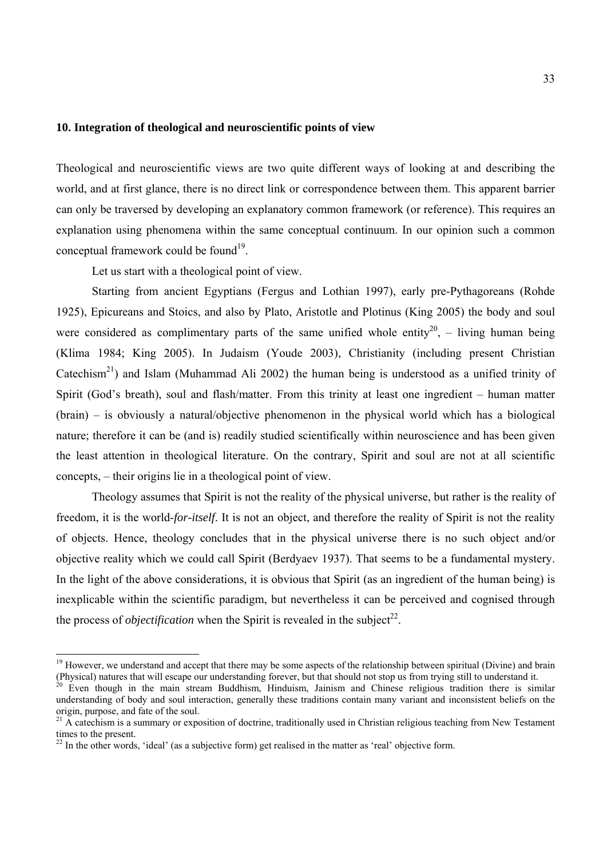# **10. Integration of theological and neuroscientific points of view**

Theological and neuroscientific views are two quite different ways of looking at and describing the world, and at first glance, there is no direct link or correspondence between them. This apparent barrier can only be traversed by developing an explanatory common framework (or reference). This requires an explanation using phenomena within the same conceptual continuum. In our opinion such a common conceptual framework could be found<sup>19</sup>.

Let us start with a theological point of view.

-

 Starting from ancient Egyptians (Fergus and Lothian 1997), early pre-Pythagoreans (Rohde 1925), Epicureans and Stoics, and also by Plato, Aristotle and Plotinus (King 2005) the body and soul were considered as complimentary parts of the same unified whole entity<sup>20</sup>, – living human being (Klima 1984; King 2005). In Judaism (Youde 2003), Christianity (including present Christian Catechism<sup>21</sup>) and Islam (Muhammad Ali 2002) the human being is understood as a unified trinity of Spirit (God's breath), soul and flash/matter. From this trinity at least one ingredient – human matter (brain) – is obviously a natural/objective phenomenon in the physical world which has a biological nature; therefore it can be (and is) readily studied scientifically within neuroscience and has been given the least attention in theological literature. On the contrary, Spirit and soul are not at all scientific concepts, – their origins lie in a theological point of view.

Theology assumes that Spirit is not the reality of the physical universe, but rather is the reality of freedom, it is the world-*for-itself*. It is not an object, and therefore the reality of Spirit is not the reality of objects. Hence, theology concludes that in the physical universe there is no such object and/or objective reality which we could call Spirit (Berdyaev 1937). That seems to be a fundamental mystery. In the light of the above considerations, it is obvious that Spirit (as an ingredient of the human being) is inexplicable within the scientific paradigm, but nevertheless it can be perceived and cognised through the process of *objectification* when the Spirit is revealed in the subject<sup>22</sup>.

<sup>&</sup>lt;sup>19</sup> However, we understand and accept that there may be some aspects of the relationship between spiritual (Divine) and brain (Physical) natures that will escape our understanding forever, but that should not stop us from trying still to understand it.

 $^{20}$  Even though in the main stream Buddhism, Hinduism, Jainism and Chinese religious tradition there is similar understanding of body and soul interaction, generally these traditions contain many variant and inconsistent beliefs on the origin, purpose, and fate of the soul.

<sup>&</sup>lt;sup>21</sup> A catechism is a summary or exposition of doctrine, traditionally used in Christian religious teaching from New Testament times to the present.

 $^{22}$  In the other words, 'ideal' (as a subjective form) get realised in the matter as 'real' objective form.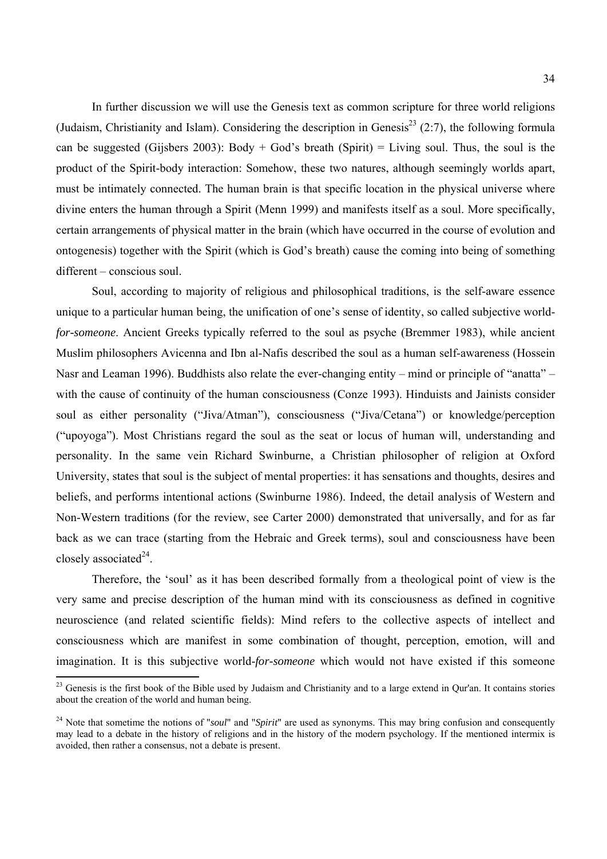In further discussion we will use the Genesis text as common scripture for three world religions (Judaism, Christianity and Islam). Considering the description in Genesis<sup>23</sup> (2:7), the following formula can be suggested (Gijsbers 2003): Body + God's breath (Spirit) = Living soul. Thus, the soul is the product of the Spirit-body interaction: Somehow, these two natures, although seemingly worlds apart, must be intimately connected. The human brain is that specific location in the physical universe where divine enters the human through a Spirit (Menn 1999) and manifests itself as a soul. More specifically, certain arrangements of physical matter in the brain (which have occurred in the course of evolution and ontogenesis) together with the Spirit (which is God's breath) cause the coming into being of something different – conscious soul.

Soul, according to majority of religious and philosophical traditions, is the self-aware essence unique to a particular human being, the unification of one's sense of identity, so called subjective world*for-someone*. Ancient Greeks typically referred to the soul as psyche (Bremmer 1983), while ancient Muslim philosophers Avicenna and Ibn al-Nafis described the soul as a human self-awareness (Hossein Nasr and Leaman 1996). Buddhists also relate the ever-changing entity – mind or principle of "anatta" – with the cause of continuity of the human consciousness (Conze 1993). Hinduists and Jainists consider soul as either personality ("Jiva/Atman"), consciousness ("Jiva/Cetana") or knowledge/perception ("upoyoga"). Most Christians regard the soul as the seat or locus of human will, understanding and personality. In the same vein Richard Swinburne, a Christian philosopher of religion at Oxford University, states that soul is the subject of mental properties: it has sensations and thoughts, desires and beliefs, and performs intentional actions (Swinburne 1986). Indeed, the detail analysis of Western and Non-Western traditions (for the review, see Carter 2000) demonstrated that universally, and for as far back as we can trace (starting from the Hebraic and Greek terms), soul and consciousness have been closely associated $^{24}$ .

Therefore, the 'soul' as it has been described formally from a theological point of view is the very same and precise description of the human mind with its consciousness as defined in cognitive neuroscience (and related scientific fields): Mind refers to the collective aspects of intellect and consciousness which are manifest in some combination of thought, perception, emotion, will and imagination. It is this subjective world-*for-someone* which would not have existed if this someone

-

<sup>&</sup>lt;sup>23</sup> Genesis is the first book of the Bible used by Judaism and Christianity and to a large extend in Qur'an. It contains stories about the creation of the world and human being.

<sup>&</sup>lt;sup>24</sup> Note that sometime the notions of "*soul*" and "*Spirit*" are used as synonyms. This may bring confusion and consequently may lead to a debate in the history of religions and in the history of the modern psychology. If the mentioned intermix is avoided, then rather a consensus, not a debate is present.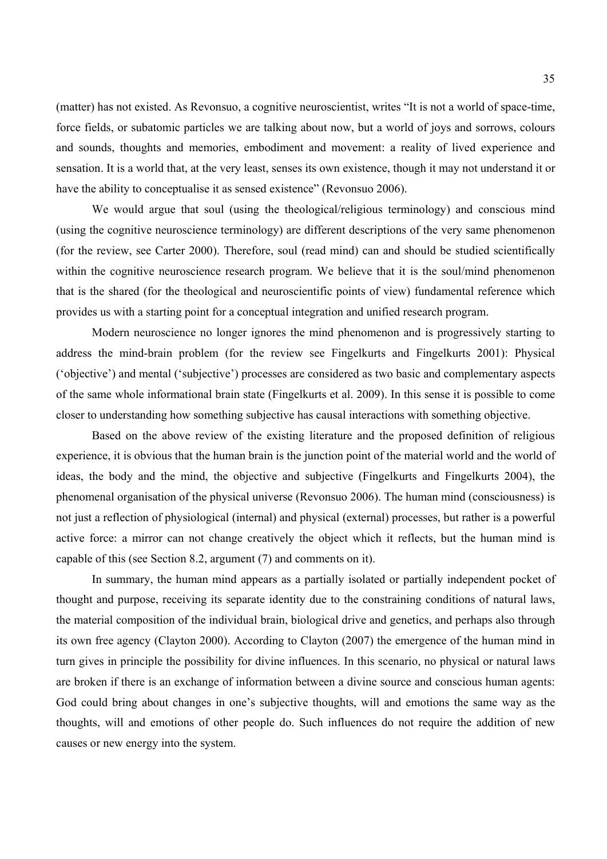(matter) has not existed. As Revonsuo, a cognitive neuroscientist, writes "It is not a world of space-time, force fields, or subatomic particles we are talking about now, but a world of joys and sorrows, colours and sounds, thoughts and memories, embodiment and movement: a reality of lived experience and sensation. It is a world that, at the very least, senses its own existence, though it may not understand it or have the ability to conceptualise it as sensed existence" (Revonsuo 2006).

We would argue that soul (using the theological/religious terminology) and conscious mind (using the cognitive neuroscience terminology) are different descriptions of the very same phenomenon (for the review, see Carter 2000). Therefore, soul (read mind) can and should be studied scientifically within the cognitive neuroscience research program. We believe that it is the soul/mind phenomenon that is the shared (for the theological and neuroscientific points of view) fundamental reference which provides us with a starting point for a conceptual integration and unified research program.

Modern neuroscience no longer ignores the mind phenomenon and is progressively starting to address the mind-brain problem (for the review see Fingelkurts and Fingelkurts 2001): Physical ('objective') and mental ('subjective') processes are considered as two basic and complementary aspects of the same whole informational brain state (Fingelkurts et al. 2009). In this sense it is possible to come closer to understanding how something subjective has causal interactions with something objective.

 Based on the above review of the existing literature and the proposed definition of religious experience, it is obvious that the human brain is the junction point of the material world and the world of ideas, the body and the mind, the objective and subjective (Fingelkurts and Fingelkurts 2004), the phenomenal organisation of the physical universe (Revonsuo 2006). The human mind (consciousness) is not just a reflection of physiological (internal) and physical (external) processes, but rather is a powerful active force: a mirror can not change creatively the object which it reflects, but the human mind is capable of this (see Section 8.2, argument (7) and comments on it).

In summary, the human mind appears as a partially isolated or partially independent pocket of thought and purpose, receiving its separate identity due to the constraining conditions of natural laws, the material composition of the individual brain, biological drive and genetics, and perhaps also through its own free agency (Clayton 2000). According to Clayton (2007) the emergence of the human mind in turn gives in principle the possibility for divine influences. In this scenario, no physical or natural laws are broken if there is an exchange of information between a divine source and conscious human agents: God could bring about changes in one's subjective thoughts, will and emotions the same way as the thoughts, will and emotions of other people do. Such influences do not require the addition of new causes or new energy into the system.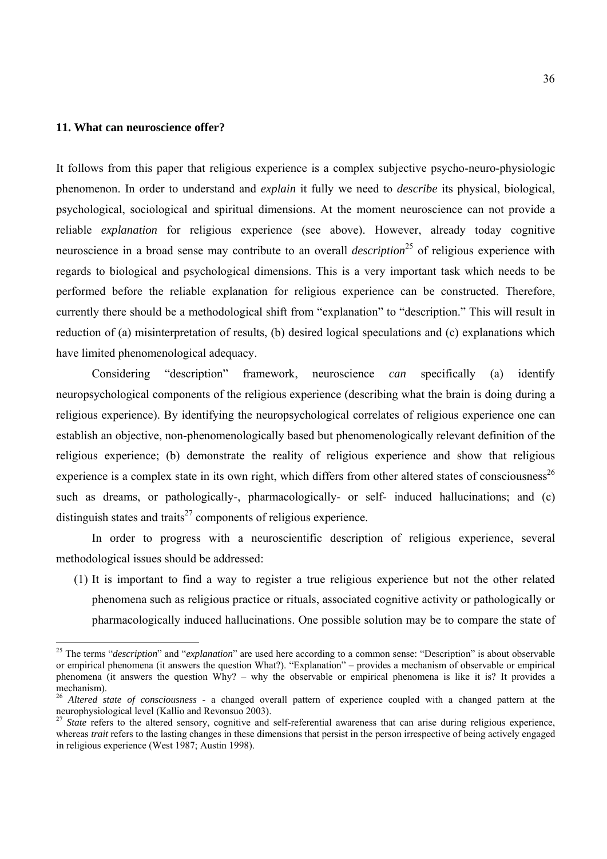#### **11. What can neuroscience offer?**

-

It follows from this paper that religious experience is a complex subjective psycho-neuro-physiologic phenomenon. In order to understand and *explain* it fully we need to *describe* its physical, biological, psychological, sociological and spiritual dimensions. At the moment neuroscience can not provide a reliable *explanation* for religious experience (see above). However, already today cognitive neuroscience in a broad sense may contribute to an overall *description*<sup>25</sup> of religious experience with regards to biological and psychological dimensions. This is a very important task which needs to be performed before the reliable explanation for religious experience can be constructed. Therefore, currently there should be a methodological shift from "explanation" to "description." This will result in reduction of (a) misinterpretation of results, (b) desired logical speculations and (c) explanations which have limited phenomenological adequacy.

Considering "description" framework, neuroscience *can* specifically (a) identify neuropsychological components of the religious experience (describing what the brain is doing during a religious experience). By identifying the neuropsychological correlates of religious experience one can establish an objective, non-phenomenologically based but phenomenologically relevant definition of the religious experience; (b) demonstrate the reality of religious experience and show that religious experience is a complex state in its own right, which differs from other altered states of consciousness<sup>26</sup> such as dreams, or pathologically-, pharmacologically- or self- induced hallucinations; and (c) distinguish states and traits<sup>27</sup> components of religious experience.

 In order to progress with a neuroscientific description of religious experience, several methodological issues should be addressed:

(1) It is important to find a way to register a true religious experience but not the other related phenomena such as religious practice or rituals, associated cognitive activity or pathologically or pharmacologically induced hallucinations. One possible solution may be to compare the state of

<sup>&</sup>lt;sup>25</sup> The terms "*description*" and "*explanation*" are used here according to a common sense: "Description" is about observable or empirical phenomena (it answers the question What?). "Explanation" – provides a mechanism of observable or empirical phenomena (it answers the question Why? – why the observable or empirical phenomena is like it is? It provides a mechanism).

<sup>&</sup>lt;sup>26</sup> *Altered state of consciousness* - a changed overall pattern of experience coupled with a changed pattern at the neurophysiological level (Kallio and Revonsuo 2003).

<sup>&</sup>lt;sup>7</sup> *State* refers to the altered sensory, cognitive and self-referential awareness that can arise during religious experience, whereas *trait* refers to the lasting changes in these dimensions that persist in the person irrespective of being actively engaged in religious experience (West 1987; Austin 1998).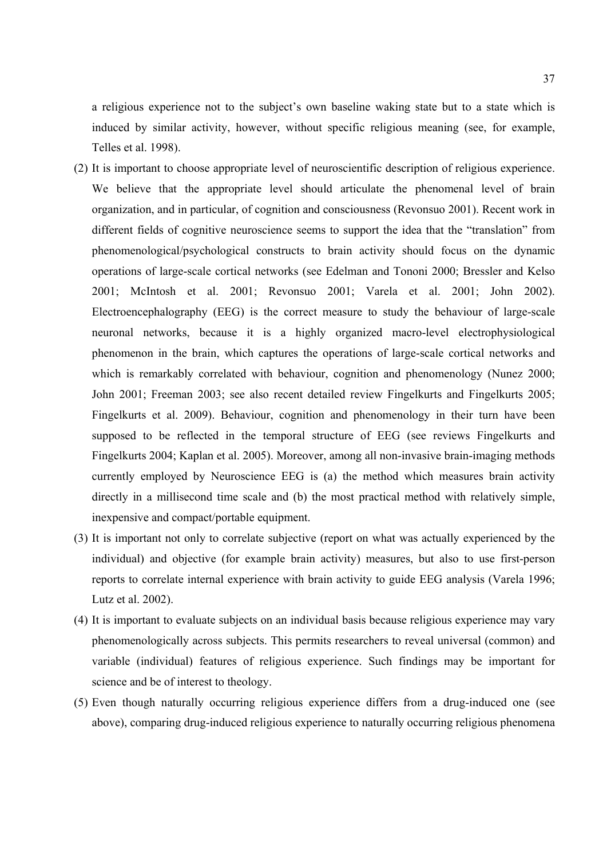a religious experience not to the subject's own baseline waking state but to a state which is induced by similar activity, however, without specific religious meaning (see, for example, Telles et al. 1998).

- (2) It is important to choose appropriate level of neuroscientific description of religious experience. We believe that the appropriate level should articulate the phenomenal level of brain organization, and in particular, of cognition and consciousness (Revonsuo 2001). Recent work in different fields of cognitive neuroscience seems to support the idea that the "translation" from phenomenological/psychological constructs to brain activity should focus on the dynamic operations of large-scale cortical networks (see Edelman and Tononi 2000; Bressler and Kelso 2001; McIntosh et al. 2001; Revonsuo 2001; Varela et al. 2001; John 2002). Electroencephalography (EEG) is the correct measure to study the behaviour of large-scale neuronal networks, because it is a highly organized macro-level electrophysiological phenomenon in the brain, which captures the operations of large-scale cortical networks and which is remarkably correlated with behaviour, cognition and phenomenology (Nunez 2000; John 2001; Freeman 2003; see also recent detailed review Fingelkurts and Fingelkurts 2005; Fingelkurts et al. 2009). Behaviour, cognition and phenomenology in their turn have been supposed to be reflected in the temporal structure of EEG (see reviews Fingelkurts and Fingelkurts 2004; Kaplan et al. 2005). Moreover, among all non-invasive brain-imaging methods currently employed by Neuroscience EEG is (a) the method which measures brain activity directly in a millisecond time scale and (b) the most practical method with relatively simple, inexpensive and compact/portable equipment.
- (3) It is important not only to correlate subjective (report on what was actually experienced by the individual) and objective (for example brain activity) measures, but also to use first-person reports to correlate internal experience with brain activity to guide EEG analysis (Varela 1996; Lutz et al. 2002).
- (4) It is important to evaluate subjects on an individual basis because religious experience may vary phenomenologically across subjects. This permits researchers to reveal universal (common) and variable (individual) features of religious experience. Such findings may be important for science and be of interest to theology.
- (5) Even though naturally occurring religious experience differs from a drug-induced one (see above), comparing drug-induced religious experience to naturally occurring religious phenomena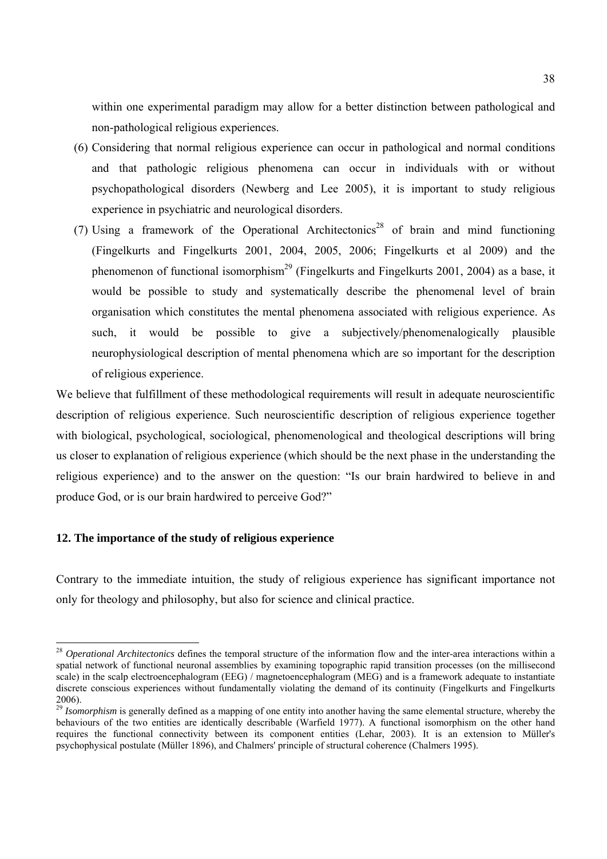within one experimental paradigm may allow for a better distinction between pathological and non-pathological religious experiences.

- (6) Considering that normal religious experience can occur in pathological and normal conditions and that pathologic religious phenomena can occur in individuals with or without psychopathological disorders (Newberg and Lee 2005), it is important to study religious experience in psychiatric and neurological disorders.
- (7) Using a framework of the Operational Architectonics<sup>28</sup> of brain and mind functioning (Fingelkurts and Fingelkurts 2001, 2004, 2005, 2006; Fingelkurts et al 2009) and the phenomenon of functional isomorphism<sup>29</sup> (Fingelkurts and Fingelkurts 2001, 2004) as a base, it would be possible to study and systematically describe the phenomenal level of brain organisation which constitutes the mental phenomena associated with religious experience. As such, it would be possible to give a subjectively/phenomenalogically plausible neurophysiological description of mental phenomena which are so important for the description of religious experience.

We believe that fulfillment of these methodological requirements will result in adequate neuroscientific description of religious experience. Such neuroscientific description of religious experience together with biological, psychological, sociological, phenomenological and theological descriptions will bring us closer to explanation of religious experience (which should be the next phase in the understanding the religious experience) and to the answer on the question: "Is our brain hardwired to believe in and produce God, or is our brain hardwired to perceive God?"

# **12. The importance of the study of religious experience**

-

Contrary to the immediate intuition, the study of religious experience has significant importance not only for theology and philosophy, but also for science and clinical practice.

<sup>&</sup>lt;sup>28</sup> *Operational Architectonics* defines the temporal structure of the information flow and the inter-area interactions within a spatial network of functional neuronal assemblies by examining topographic rapid transition processes (on the millisecond scale) in the scalp electroencephalogram (EEG) / magnetoencephalogram (MEG) and is a framework adequate to instantiate discrete conscious experiences without fundamentally violating the demand of its continuity (Fingelkurts and Fingelkurts 2006).

<sup>&</sup>lt;sup>29</sup> *Isomorphism* is generally defined as a mapping of one entity into another having the same elemental structure, whereby the behaviours of the two entities are identically describable (Warfield 1977). A functional isomorphism on the other hand requires the functional connectivity between its component entities (Lehar, 2003). It is an extension to Müller's psychophysical postulate (Müller 1896), and Chalmers' principle of structural coherence (Chalmers 1995).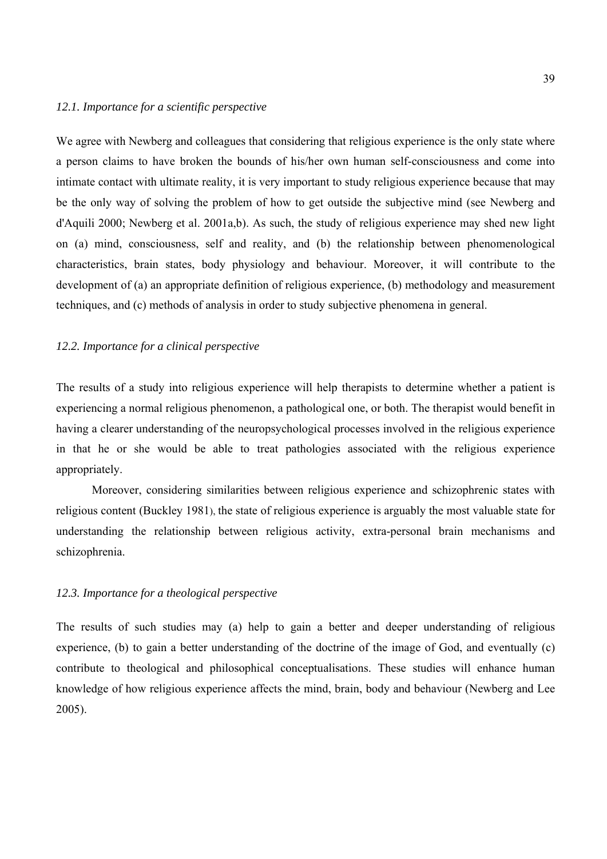## *12.1. Importance for a scientific perspective*

We agree with Newberg and colleagues that considering that religious experience is the only state where a person claims to have broken the bounds of his/her own human self-consciousness and come into intimate contact with ultimate reality, it is very important to study religious experience because that may be the only way of solving the problem of how to get outside the subjective mind (see Newberg and d'Aquili 2000; Newberg et al. 2001a,b). As such, the study of religious experience may shed new light on (a) mind, consciousness, self and reality, and (b) the relationship between phenomenological characteristics, brain states, body physiology and behaviour. Moreover, it will contribute to the development of (a) an appropriate definition of religious experience, (b) methodology and measurement techniques, and (c) methods of analysis in order to study subjective phenomena in general.

# *12.2. Importance for a clinical perspective*

The results of a study into religious experience will help therapists to determine whether a patient is experiencing a normal religious phenomenon, a pathological one, or both. The therapist would benefit in having a clearer understanding of the neuropsychological processes involved in the religious experience in that he or she would be able to treat pathologies associated with the religious experience appropriately.

Moreover, considering similarities between religious experience and schizophrenic states with religious content (Buckley 1981), the state of religious experience is arguably the most valuable state for understanding the relationship between religious activity, extra-personal brain mechanisms and schizophrenia.

#### *12.3. Importance for a theological perspective*

The results of such studies may (a) help to gain a better and deeper understanding of religious experience, (b) to gain a better understanding of the doctrine of the image of God, and eventually (c) contribute to theological and philosophical conceptualisations. These studies will enhance human knowledge of how religious experience affects the mind, brain, body and behaviour (Newberg and Lee 2005).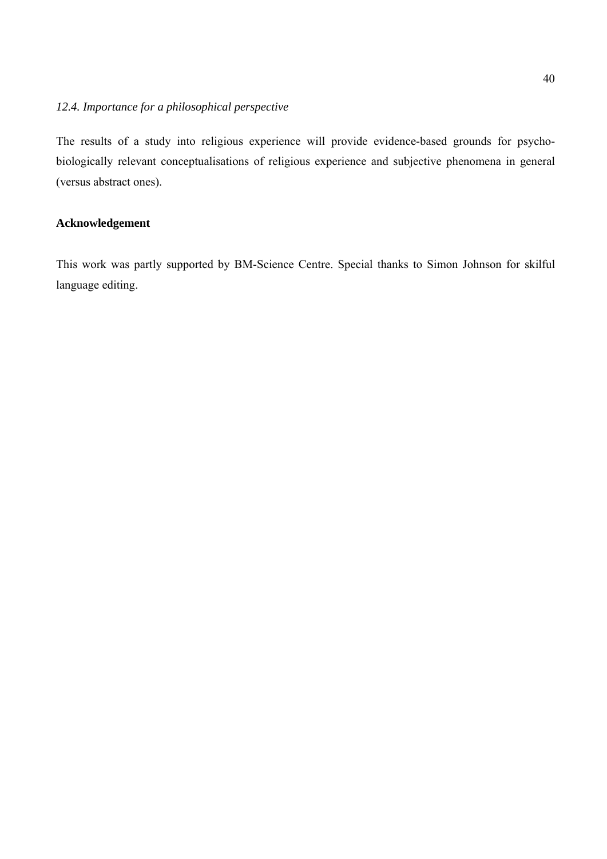# *12.4. Importance for a philosophical perspective*

The results of a study into religious experience will provide evidence-based grounds for psychobiologically relevant conceptualisations of religious experience and subjective phenomena in general (versus abstract ones).

# **Acknowledgement**

This work was partly supported by BM-Science Centre. Special thanks to Simon Johnson for skilful language editing.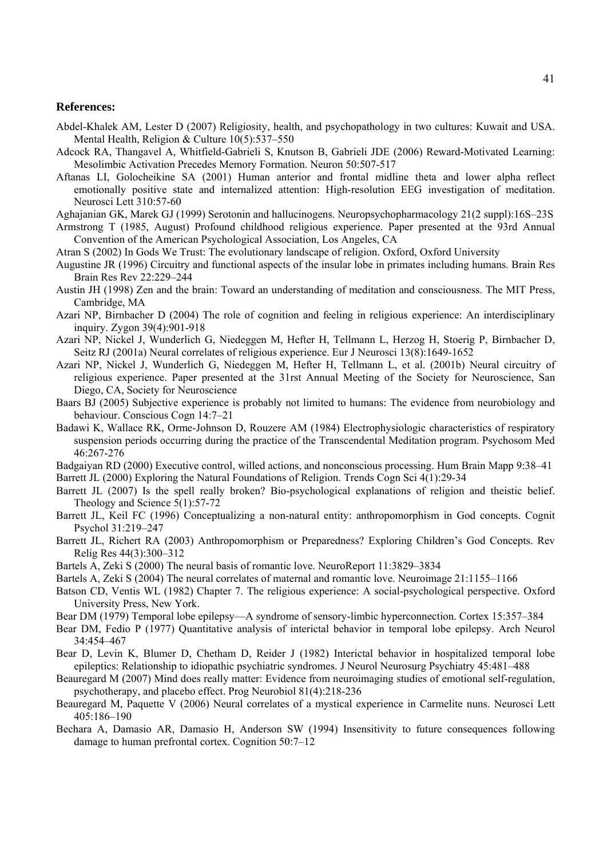#### **References:**

- Abdel-Khalek AM, Lester D (2007) Religiosity, health, and psychopathology in two cultures: Kuwait and USA. Mental Health, Religion & Culture 10(5):537–550
- Adcock RA, Thangavel A, Whitfield-Gabrieli S, Knutson B, Gabrieli JDE (2006) Reward-Motivated Learning: Mesolimbic Activation Precedes Memory Formation. Neuron 50:507-517
- Aftanas LI, Golocheikine SA (2001) Human anterior and frontal midline theta and lower alpha reflect emotionally positive state and internalized attention: High-resolution EEG investigation of meditation. Neurosci Lett 310:57-60
- Aghajanian GK, Marek GJ (1999) Serotonin and hallucinogens. Neuropsychopharmacology 21(2 suppl):16S–23S

Armstrong T (1985, August) Profound childhood religious experience. Paper presented at the 93rd Annual Convention of the American Psychological Association, Los Angeles, CA

- Atran S (2002) In Gods We Trust: The evolutionary landscape of religion. Oxford, Oxford University
- Augustine JR (1996) Circuitry and functional aspects of the insular lobe in primates including humans. Brain Res Brain Res Rev 22:229–244
- Austin JH (1998) Zen and the brain: Toward an understanding of meditation and consciousness. The MIT Press, Cambridge, MA
- Azari NP, Birnbacher D (2004) The role of cognition and feeling in religious experience: An interdisciplinary inquiry. Zygon 39(4):901-918
- Azari NP, Nickel J, Wunderlich G, Niedeggen M, Hefter H, Tellmann L, Herzog H, Stoerig P, Birnbacher D, Seitz RJ (2001a) Neural correlates of religious experience. Eur J Neurosci 13(8):1649-1652
- Azari NP, Nickel J, Wunderlich G, Niedeggen M, Hefter H, Tellmann L, et al. (2001b) Neural circuitry of religious experience. Paper presented at the 31rst Annual Meeting of the Society for Neuroscience, San Diego, CA, Society for Neuroscience
- Baars BJ (2005) Subjective experience is probably not limited to humans: The evidence from neurobiology and behaviour. Conscious Cogn 14:7–21
- Badawi K, Wallace RK, Orme-Johnson D, Rouzere AM (1984) Electrophysiologic characteristics of respiratory suspension periods occurring during the practice of the Transcendental Meditation program. Psychosom Med 46:267-276
- Badgaiyan RD (2000) Executive control, willed actions, and nonconscious processing. Hum Brain Mapp 9:38–41
- Barrett JL (2000) Exploring the Natural Foundations of Religion. Trends Cogn Sci 4(1):29-34
- Barrett JL (2007) Is the spell really broken? Bio-psychological explanations of religion and theistic belief. Theology and Science 5(1):57-72
- Barrett JL, Keil FC (1996) Conceptualizing a non-natural entity: anthropomorphism in God concepts. Cognit Psychol 31:219–247
- Barrett JL, Richert RA (2003) Anthropomorphism or Preparedness? Exploring Children's God Concepts. Rev Relig Res 44(3):300–312
- Bartels A, Zeki S (2000) The neural basis of romantic love. NeuroReport 11:3829–3834
- Bartels A, Zeki S (2004) The neural correlates of maternal and romantic love. Neuroimage 21:1155–1166
- Batson CD, Ventis WL (1982) Chapter 7. The religious experience: A social-psychological perspective. Oxford University Press, New York.
- Bear DM (1979) Temporal lobe epilepsy—A syndrome of sensory-limbic hyperconnection. Cortex 15:357–384
- Bear DM, Fedio P (1977) Quantitative analysis of interictal behavior in temporal lobe epilepsy. Arch Neurol 34:454–467
- Bear D, Levin K, Blumer D, Chetham D, Reider J (1982) Interictal behavior in hospitalized temporal lobe epileptics: Relationship to idiopathic psychiatric syndromes. J Neurol Neurosurg Psychiatry 45:481–488
- Beauregard M (2007) Mind does really matter: Evidence from neuroimaging studies of emotional self-regulation, psychotherapy, and placebo effect. Prog Neurobiol 81(4):218-236
- Beauregard M, Paquette V (2006) Neural correlates of a mystical experience in Carmelite nuns. Neurosci Lett 405:186–190
- Bechara A, Damasio AR, Damasio H, Anderson SW (1994) Insensitivity to future consequences following damage to human prefrontal cortex. Cognition 50:7–12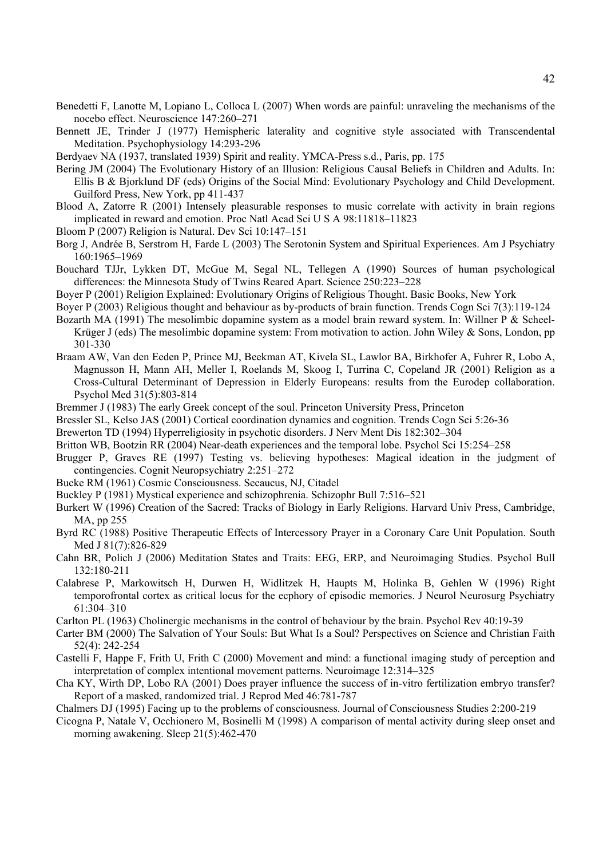- Benedetti F, Lanotte M, Lopiano L, Colloca L (2007) When words are painful: unraveling the mechanisms of the nocebo effect. Neuroscience 147:260–271
- Bennett JE, Trinder J (1977) Hemispheric laterality and cognitive style associated with Transcendental Meditation. Psychophysiology 14:293-296
- Berdyaev NA (1937, translated 1939) Spirit and reality. YMCA-Press s.d., Paris, pp. 175
- Bering JM (2004) The Evolutionary History of an Illusion: Religious Causal Beliefs in Children and Adults. In: Ellis B & Bjorklund DF (eds) Origins of the Social Mind: Evolutionary Psychology and Child Development. Guilford Press, New York, pp 411-437
- Blood A, Zatorre R (2001) Intensely pleasurable responses to music correlate with activity in brain regions implicated in reward and emotion. Proc Natl Acad Sci U S A 98:11818–11823
- Bloom P (2007) Religion is Natural. Dev Sci 10:147–151
- Borg J, Andrée B, Serstrom H, Farde L (2003) The Serotonin System and Spiritual Experiences. Am J Psychiatry 160:1965–1969
- Bouchard TJJr, Lykken DT, McGue M, Segal NL, Tellegen A (1990) Sources of human psychological differences: the Minnesota Study of Twins Reared Apart. Science 250:223–228
- Boyer P (2001) Religion Explained: Evolutionary Origins of Religious Thought. Basic Books, New York
- Boyer P (2003) Religious thought and behaviour as by-products of brain function. Trends Cogn Sci 7(3):119-124
- Bozarth MA (1991) The mesolimbic dopamine system as a model brain reward system. In: Willner P & Scheel-Krüger J (eds) The mesolimbic dopamine system: From motivation to action. John Wiley & Sons, London, pp. 301-330
- Braam AW, Van den Eeden P, Prince MJ, Beekman AT, Kivela SL, Lawlor BA, Birkhofer A, Fuhrer R, Lobo A, Magnusson H, Mann AH, Meller I, Roelands M, Skoog I, Turrina C, Copeland JR (2001) Religion as a Cross-Cultural Determinant of Depression in Elderly Europeans: results from the Eurodep collaboration. Psychol Med 31(5):803-814
- Bremmer J (1983) The early Greek concept of the soul. Princeton University Press, Princeton
- Bressler SL, Kelso JAS (2001) Cortical coordination dynamics and cognition. Trends Cogn Sci 5:26-36
- Brewerton TD (1994) Hyperreligiosity in psychotic disorders. J Nerv Ment Dis 182:302–304
- Britton WB, Bootzin RR (2004) Near-death experiences and the temporal lobe. Psychol Sci 15:254–258
- Brugger P, Graves RE (1997) Testing vs. believing hypotheses: Magical ideation in the judgment of contingencies. Cognit Neuropsychiatry 2:251–272
- Bucke RM (1961) Cosmic Consciousness. Secaucus, NJ, Citadel
- Buckley P (1981) Mystical experience and schizophrenia. Schizophr Bull 7:516–521
- Burkert W (1996) Creation of the Sacred: Tracks of Biology in Early Religions. Harvard Univ Press, Cambridge, MA, pp 255
- Byrd RC (1988) Positive Therapeutic Effects of Intercessory Prayer in a Coronary Care Unit Population. South Med J 81(7):826-829
- Cahn BR, Polich J (2006) Meditation States and Traits: EEG, ERP, and Neuroimaging Studies. Psychol Bull 132:180-211
- Calabrese P, Markowitsch H, Durwen H, Widlitzek H, Haupts M, Holinka B, Gehlen W (1996) Right temporofrontal cortex as critical locus for the ecphory of episodic memories. J Neurol Neurosurg Psychiatry 61:304–310
- Carlton PL (1963) Cholinergic mechanisms in the control of behaviour by the brain. Psychol Rev 40:19-39
- Carter BM (2000) The Salvation of Your Souls: But What Is a Soul? Perspectives on Science and Christian Faith 52(4): 242-254
- Castelli F, Happe F, Frith U, Frith C (2000) Movement and mind: a functional imaging study of perception and interpretation of complex intentional movement patterns. Neuroimage 12:314–325
- Cha KY, Wirth DP, Lobo RA (2001) Does prayer influence the success of in-vitro fertilization embryo transfer? Report of a masked, randomized trial. J Reprod Med 46:781-787
- Chalmers DJ (1995) Facing up to the problems of consciousness. Journal of Consciousness Studies 2:200-219
- Cicogna P, Natale V, Occhionero M, Bosinelli M (1998) A comparison of mental activity during sleep onset and morning awakening. Sleep 21(5):462-470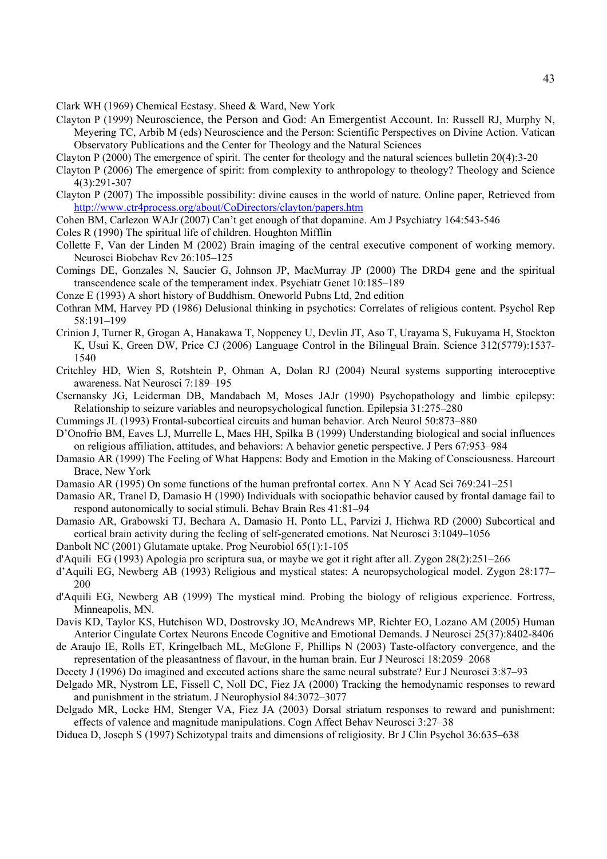Clark WH (1969) Chemical Ecstasy. Sheed & Ward, New York

Clayton P (1999) Neuroscience, the Person and God: An Emergentist Account. In: Russell RJ, Murphy N, Meyering TC, Arbib M (eds) Neuroscience and the Person: Scientific Perspectives on Divine Action. Vatican Observatory Publications and the Center for Theology and the Natural Sciences

Clayton P (2000) The emergence of spirit. The center for theology and the natural sciences bulletin 20(4):3-20

- Clayton P (2006) The emergence of spirit: from complexity to anthropology to theology? Theology and Science 4(3):291-307
- Clayton P (2007) The impossible possibility: divine causes in the world of nature. Online paper, Retrieved from http://www.ctr4process.org/about/CoDirectors/clayton/papers.htm
- Cohen BM, Carlezon WAJr (2007) Can't get enough of that dopamine. Am J Psychiatry 164:543-546
- Coles R (1990) The spiritual life of children. Houghton Mifflin
- Collette F, Van der Linden M (2002) Brain imaging of the central executive component of working memory. Neurosci Biobehav Rev 26:105–125
- Comings DE, Gonzales N, Saucier G, Johnson JP, MacMurray JP (2000) The DRD4 gene and the spiritual transcendence scale of the temperament index. Psychiatr Genet 10:185–189
- Conze E (1993) A short history of Buddhism. Oneworld Pubns Ltd, 2nd edition
- Cothran MM, Harvey PD (1986) Delusional thinking in psychotics: Correlates of religious content. Psychol Rep 58:191–199
- Crinion J, Turner R, Grogan A, Hanakawa T, Noppeney U, Devlin JT, Aso T, Urayama S, Fukuyama H, Stockton K, Usui K, Green DW, Price CJ (2006) Language Control in the Bilingual Brain. Science 312(5779):1537- 1540
- Critchley HD, Wien S, Rotshtein P, Ohman A, Dolan RJ (2004) Neural systems supporting interoceptive awareness. Nat Neurosci 7:189–195
- Csernansky JG, Leiderman DB, Mandabach M, Moses JAJr (1990) Psychopathology and limbic epilepsy: Relationship to seizure variables and neuropsychological function. Epilepsia 31:275–280
- Cummings JL (1993) Frontal-subcortical circuits and human behavior. Arch Neurol 50:873–880
- D'Onofrio BM, Eaves LJ, Murrelle L, Maes HH, Spilka B (1999) Understanding biological and social influences on religious affiliation, attitudes, and behaviors: A behavior genetic perspective. J Pers 67:953–984
- Damasio AR (1999) The Feeling of What Happens: Body and Emotion in the Making of Consciousness. Harcourt Brace, New York
- Damasio AR (1995) On some functions of the human prefrontal cortex. Ann N Y Acad Sci 769:241–251
- Damasio AR, Tranel D, Damasio H (1990) Individuals with sociopathic behavior caused by frontal damage fail to respond autonomically to social stimuli. Behav Brain Res 41:81–94
- Damasio AR, Grabowski TJ, Bechara A, Damasio H, Ponto LL, Parvizi J, Hichwa RD (2000) Subcortical and cortical brain activity during the feeling of self-generated emotions. Nat Neurosci 3:1049–1056
- Danbolt NC (2001) Glutamate uptake. Prog Neurobiol 65(1):1-105
- d'Aquili EG (1993) Apologia pro scriptura sua, or maybe we got it right after all. Zygon 28(2):251–266
- d'Aquili EG, Newberg AB (1993) Religious and mystical states: A neuropsychological model. Zygon 28:177– 200
- d'Aquili EG, Newberg AB (1999) The mystical mind. Probing the biology of religious experience. Fortress, Minneapolis, MN.
- Davis KD, Taylor KS, Hutchison WD, Dostrovsky JO, McAndrews MP, Richter EO, Lozano AM (2005) Human Anterior Cingulate Cortex Neurons Encode Cognitive and Emotional Demands. J Neurosci 25(37):8402-8406
- de Araujo IE, Rolls ET, Kringelbach ML, McGlone F, Phillips N (2003) Taste-olfactory convergence, and the representation of the pleasantness of flavour, in the human brain. Eur J Neurosci 18:2059–2068
- Decety J (1996) Do imagined and executed actions share the same neural substrate? Eur J Neurosci 3:87–93
- Delgado MR, Nystrom LE, Fissell C, Noll DC, Fiez JA (2000) Tracking the hemodynamic responses to reward and punishment in the striatum. J Neurophysiol 84:3072–3077
- Delgado MR, Locke HM, Stenger VA, Fiez JA (2003) Dorsal striatum responses to reward and punishment: effects of valence and magnitude manipulations. Cogn Affect Behav Neurosci 3:27–38
- Diduca D, Joseph S (1997) Schizotypal traits and dimensions of religiosity. Br J Clin Psychol 36:635–638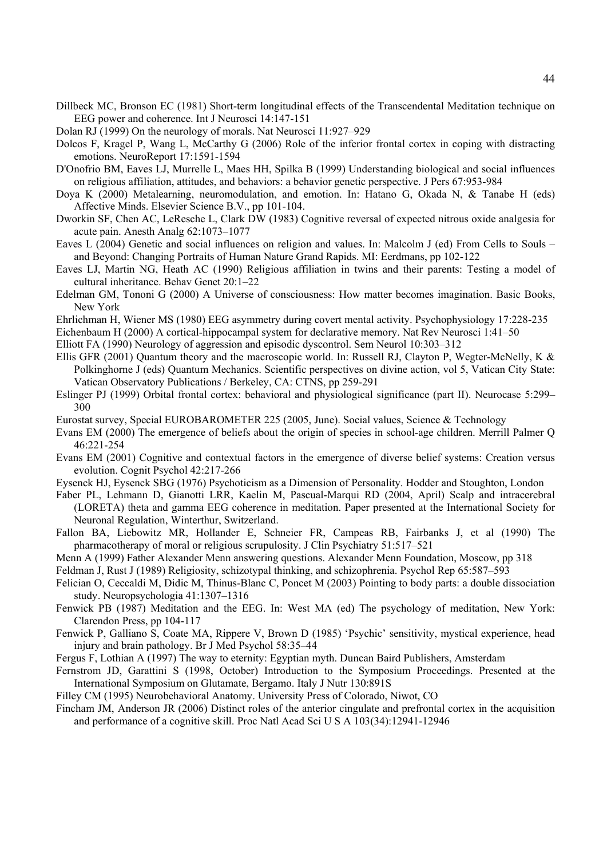- Dillbeck MC, Bronson EC (1981) Short-term longitudinal effects of the Transcendental Meditation technique on EEG power and coherence. Int J Neurosci 14:147-151
- Dolan RJ (1999) On the neurology of morals. Nat Neurosci 11:927–929
- Dolcos F, Kragel P, Wang L, McCarthy G (2006) Role of the inferior frontal cortex in coping with distracting emotions. NeuroReport 17:1591-1594
- D'Onofrio BM, Eaves LJ, Murrelle L, Maes HH, Spilka B (1999) Understanding biological and social influences on religious affiliation, attitudes, and behaviors: a behavior genetic perspective. J Pers 67:953-984
- Doya K (2000) Metalearning, neuromodulation, and emotion. In: Hatano G, Okada N, & Tanabe H (eds) Affective Minds. Elsevier Science B.V., pp 101-104.
- Dworkin SF, Chen AC, LeResche L, Clark DW (1983) Cognitive reversal of expected nitrous oxide analgesia for acute pain. Anesth Analg 62:1073–1077
- Eaves L (2004) Genetic and social influences on religion and values. In: Malcolm J (ed) From Cells to Souls and Beyond: Changing Portraits of Human Nature Grand Rapids. MI: Eerdmans, pp 102-122
- Eaves LJ, Martin NG, Heath AC (1990) Religious affiliation in twins and their parents: Testing a model of cultural inheritance. Behav Genet 20:1–22
- Edelman GM, Tononi G (2000) A Universe of consciousness: How matter becomes imagination. Basic Books, New York
- Ehrlichman H, Wiener MS (1980) EEG asymmetry during covert mental activity. Psychophysiology 17:228-235
- Eichenbaum H (2000) A cortical-hippocampal system for declarative memory. Nat Rev Neurosci 1:41–50
- Elliott FA (1990) Neurology of aggression and episodic dyscontrol. Sem Neurol 10:303–312
- Ellis GFR (2001) Quantum theory and the macroscopic world. In: Russell RJ, Clayton P, Wegter-McNelly, K & Polkinghorne J (eds) Quantum Mechanics. Scientific perspectives on divine action, vol 5, Vatican City State: Vatican Observatory Publications / Berkeley, CA: CTNS, pp 259-291
- Eslinger PJ (1999) Orbital frontal cortex: behavioral and physiological significance (part II). Neurocase 5:299– 300
- Eurostat survey, Special EUROBAROMETER 225 (2005, June). Social values, Science & Technology
- Evans EM (2000) The emergence of beliefs about the origin of species in school-age children. Merrill Palmer Q 46:221-254
- Evans EM (2001) Cognitive and contextual factors in the emergence of diverse belief systems: Creation versus evolution. Cognit Psychol 42:217-266
- Eysenck HJ, Eysenck SBG (1976) Psychoticism as a Dimension of Personality. Hodder and Stoughton, London
- Faber PL, Lehmann D, Gianotti LRR, Kaelin M, Pascual-Marqui RD (2004, April) Scalp and intracerebral (LORETA) theta and gamma EEG coherence in meditation. Paper presented at the International Society for Neuronal Regulation, Winterthur, Switzerland.
- Fallon BA, Liebowitz MR, Hollander E, Schneier FR, Campeas RB, Fairbanks J, et al (1990) The pharmacotherapy of moral or religious scrupulosity. J Clin Psychiatry 51:517–521
- Menn A (1999) Father Alexander Menn answering questions. Alexander Menn Foundation, Moscow, pp 318
- Feldman J, Rust J (1989) Religiosity, schizotypal thinking, and schizophrenia. Psychol Rep 65:587–593
- Felician O, Ceccaldi M, Didic M, Thinus-Blanc C, Poncet M (2003) Pointing to body parts: a double dissociation study. Neuropsychologia 41:1307–1316
- Fenwick PB (1987) Meditation and the EEG. In: West MA (ed) The psychology of meditation, New York: Clarendon Press, pp 104-117
- Fenwick P, Galliano S, Coate MA, Rippere V, Brown D (1985) 'Psychic' sensitivity, mystical experience, head injury and brain pathology. Br J Med Psychol 58:35–44
- Fergus F, Lothian A (1997) The way to eternity: Egyptian myth. Duncan Baird Publishers, Amsterdam
- Fernstrom JD, Garattini S (1998, October) Introduction to the Symposium Proceedings. Presented at the International Symposium on Glutamate, Bergamo. Italy J Nutr 130:891S
- Filley CM (1995) Neurobehavioral Anatomy. University Press of Colorado, Niwot, CO
- Fincham JM, Anderson JR (2006) Distinct roles of the anterior cingulate and prefrontal cortex in the acquisition and performance of a cognitive skill. Proc Natl Acad Sci U S A 103(34):12941-12946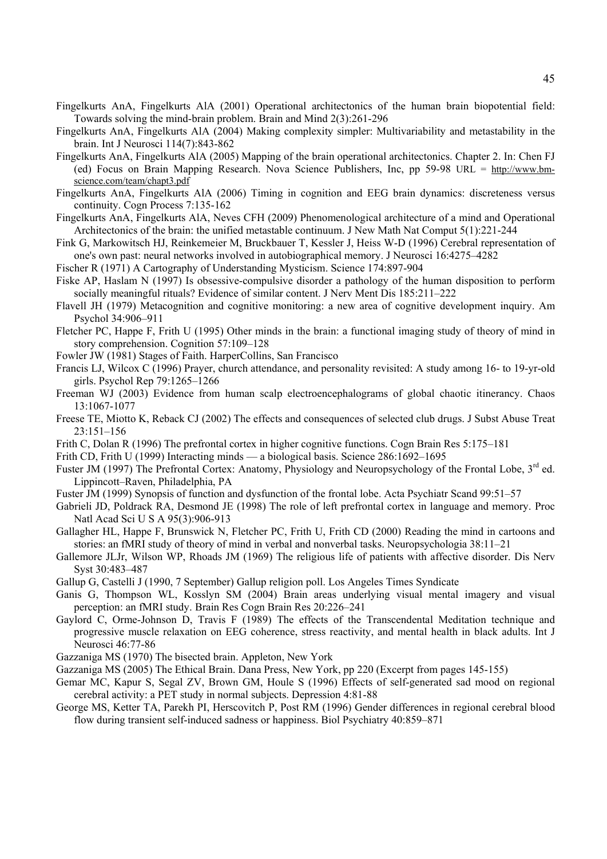- Fingelkurts AnA, Fingelkurts AlA (2001) Operational architectonics of the human brain biopotential field: Towards solving the mind-brain problem. Brain and Mind 2(3):261-296
- Fingelkurts AnA, Fingelkurts AlA (2004) Making complexity simpler: Multivariability and metastability in the brain. Int J Neurosci 114(7):843-862
- Fingelkurts AnA, Fingelkurts AlA (2005) Mapping of the brain operational architectonics. Chapter 2. In: Chen FJ (ed) Focus on Brain Mapping Research. Nova Science Publishers, Inc, pp 59-98 URL = http://www.bmscience.com/team/chapt3.pdf
- Fingelkurts AnA, Fingelkurts AlA (2006) Timing in cognition and EEG brain dynamics: discreteness versus continuity. Cogn Process 7:135-162
- Fingelkurts AnA, Fingelkurts AlA, Neves CFH (2009) Phenomenological architecture of a mind and Operational Architectonics of the brain: the unified metastable continuum. J New Math Nat Comput 5(1):221-244
- Fink G, Markowitsch HJ, Reinkemeier M, Bruckbauer T, Kessler J, Heiss W-D (1996) Cerebral representation of one's own past: neural networks involved in autobiographical memory. J Neurosci 16:4275–4282
- Fischer R (1971) A Cartography of Understanding Mysticism. Science 174:897-904
- Fiske AP, Haslam N (1997) Is obsessive-compulsive disorder a pathology of the human disposition to perform socially meaningful rituals? Evidence of similar content. J Nerv Ment Dis 185:211–222
- Flavell JH (1979) Metacognition and cognitive monitoring: a new area of cognitive development inquiry. Am Psychol 34:906–911
- Fletcher PC, Happe F, Frith U (1995) Other minds in the brain: a functional imaging study of theory of mind in story comprehension. Cognition 57:109–128
- Fowler JW (1981) Stages of Faith. HarperCollins, San Francisco
- Francis LJ, Wilcox C (1996) Prayer, church attendance, and personality revisited: A study among 16- to 19-yr-old girls. Psychol Rep 79:1265–1266
- Freeman WJ (2003) Evidence from human scalp electroencephalograms of global chaotic itinerancy. Chaos 13:1067-1077
- Freese TE, Miotto K, Reback CJ (2002) The effects and consequences of selected club drugs. J Subst Abuse Treat 23:151–156
- Frith C, Dolan R (1996) The prefrontal cortex in higher cognitive functions. Cogn Brain Res 5:175–181

Frith CD, Frith U (1999) Interacting minds — a biological basis. Science 286:1692–1695

- Fuster JM (1997) The Prefrontal Cortex: Anatomy, Physiology and Neuropsychology of the Frontal Lobe, 3<sup>rd</sup> ed. Lippincott–Raven, Philadelphia, PA
- Fuster JM (1999) Synopsis of function and dysfunction of the frontal lobe. Acta Psychiatr Scand 99:51–57
- Gabrieli JD, Poldrack RA, Desmond JE (1998) The role of left prefrontal cortex in language and memory. Proc Natl Acad Sci U S A 95(3):906-913
- Gallagher HL, Happe F, Brunswick N, Fletcher PC, Frith U, Frith CD (2000) Reading the mind in cartoons and stories: an fMRI study of theory of mind in verbal and nonverbal tasks. Neuropsychologia 38:11–21
- Gallemore JLJr, Wilson WP, Rhoads JM (1969) The religious life of patients with affective disorder. Dis Nerv Syst 30:483–487
- Gallup G, Castelli J (1990, 7 September) Gallup religion poll. Los Angeles Times Syndicate
- Ganis G, Thompson WL, Kosslyn SM (2004) Brain areas underlying visual mental imagery and visual perception: an fMRI study. Brain Res Cogn Brain Res 20:226–241
- Gaylord C, Orme-Johnson D, Travis F (1989) The effects of the Transcendental Meditation technique and progressive muscle relaxation on EEG coherence, stress reactivity, and mental health in black adults. Int J Neurosci 46:77-86
- Gazzaniga MS (1970) The bisected brain. Appleton, New York
- Gazzaniga MS (2005) The Ethical Brain. Dana Press, New York, pp 220 (Excerpt from pages 145-155)
- Gemar MC, Kapur S, Segal ZV, Brown GM, Houle S (1996) Effects of self-generated sad mood on regional cerebral activity: a PET study in normal subjects. Depression 4:81-88
- George MS, Ketter TA, Parekh PI, Herscovitch P, Post RM (1996) Gender differences in regional cerebral blood flow during transient self-induced sadness or happiness. Biol Psychiatry 40:859–871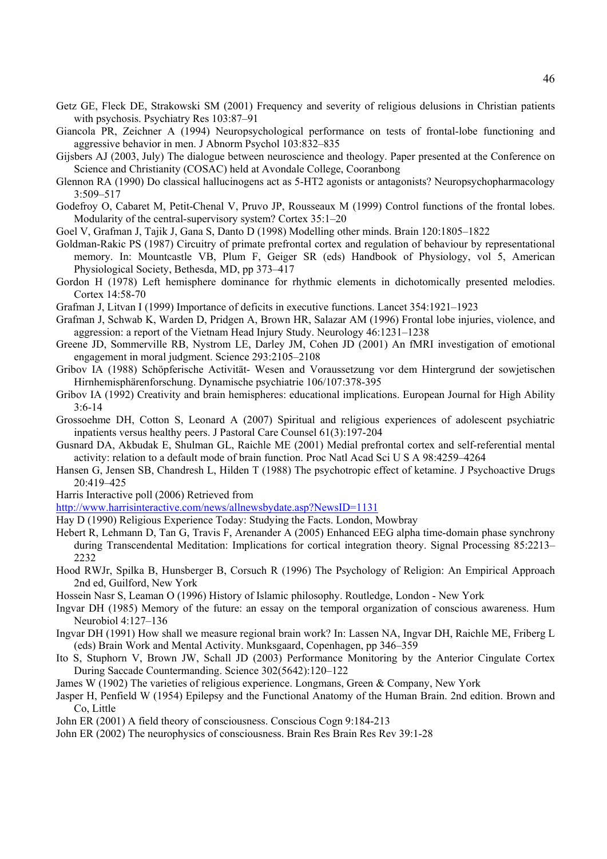- Getz GE, Fleck DE, Strakowski SM (2001) Frequency and severity of religious delusions in Christian patients with psychosis. Psychiatry Res 103:87–91
- Giancola PR, Zeichner A (1994) Neuropsychological performance on tests of frontal-lobe functioning and aggressive behavior in men. J Abnorm Psychol 103:832–835
- Gijsbers AJ (2003, July) The dialogue between neuroscience and theology. Paper presented at the Conference on Science and Christianity (COSAC) held at Avondale College, Cooranbong
- Glennon RA (1990) Do classical hallucinogens act as 5-HT2 agonists or antagonists? Neuropsychopharmacology 3:509–517
- Godefroy O, Cabaret M, Petit-Chenal V, Pruvo JP, Rousseaux M (1999) Control functions of the frontal lobes. Modularity of the central-supervisory system? Cortex 35:1–20
- Goel V, Grafman J, Tajik J, Gana S, Danto D (1998) Modelling other minds. Brain 120:1805–1822
- Goldman-Rakic PS (1987) Circuitry of primate prefrontal cortex and regulation of behaviour by representational memory. In: Mountcastle VB, Plum F, Geiger SR (eds) Handbook of Physiology, vol 5, American Physiological Society, Bethesda, MD, pp 373–417
- Gordon H (1978) Left hemisphere dominance for rhythmic elements in dichotomically presented melodies. Cortex 14:58-70
- Grafman J, Litvan I (1999) Importance of deficits in executive functions. Lancet 354:1921–1923
- Grafman J, Schwab K, Warden D, Pridgen A, Brown HR, Salazar AM (1996) Frontal lobe injuries, violence, and aggression: a report of the Vietnam Head Injury Study. Neurology 46:1231–1238
- Greene JD, Sommerville RB, Nystrom LE, Darley JM, Cohen JD (2001) An fMRI investigation of emotional engagement in moral judgment. Science 293:2105–2108
- Gribov IA (1988) Schöpferische Activität- Wesen and Voraussetzung vor dem Hintergrund der sowjetischen Hirnhemisphärenforschung. Dynamische psychiatrie 106/107:378-395
- Gribov IA (1992) Creativity and brain hemispheres: educational implications. European Journal for High Ability 3:6-14
- Grossoehme DH, Cotton S, Leonard A (2007) Spiritual and religious experiences of adolescent psychiatric inpatients versus healthy peers. J Pastoral Care Counsel 61(3):197-204
- Gusnard DA, Akbudak E, Shulman GL, Raichle ME (2001) Medial prefrontal cortex and self-referential mental activity: relation to a default mode of brain function. Proc Natl Acad Sci U S A 98:4259–4264
- Hansen G, Jensen SB, Chandresh L, Hilden T (1988) The psychotropic effect of ketamine. J Psychoactive Drugs 20:419–425
- Harris Interactive poll (2006) Retrieved from

http://www.harrisinteractive.com/news/allnewsbydate.asp?NewsID=1131

- Hay D (1990) Religious Experience Today: Studying the Facts. London, Mowbray
- Hebert R, Lehmann D, Tan G, Travis F, Arenander A (2005) Enhanced EEG alpha time-domain phase synchrony during Transcendental Meditation: Implications for cortical integration theory. Signal Processing 85:2213– 2232
- Hood RWJr, Spilka B, Hunsberger B, Corsuch R (1996) The Psychology of Religion: An Empirical Approach 2nd ed, Guilford, New York
- Hossein Nasr S, Leaman O (1996) History of Islamic philosophy. Routledge, London New York
- Ingvar DH (1985) Memory of the future: an essay on the temporal organization of conscious awareness. Hum Neurobiol 4:127–136
- Ingvar DH (1991) How shall we measure regional brain work? In: Lassen NA, Ingvar DH, Raichle ME, Friberg L (eds) Brain Work and Mental Activity. Munksgaard, Copenhagen, pp 346–359
- Ito S, Stuphorn V, Brown JW, Schall JD (2003) Performance Monitoring by the Anterior Cingulate Cortex During Saccade Countermanding. Science 302(5642):120–122
- James W (1902) The varieties of religious experience. Longmans, Green & Company, New York
- Jasper H, Penfield W (1954) Epilepsy and the Functional Anatomy of the Human Brain. 2nd edition. Brown and Co, Little
- John ER (2001) A field theory of consciousness. Conscious Cogn 9:184-213
- John ER (2002) The neurophysics of consciousness. Brain Res Brain Res Rev 39:1-28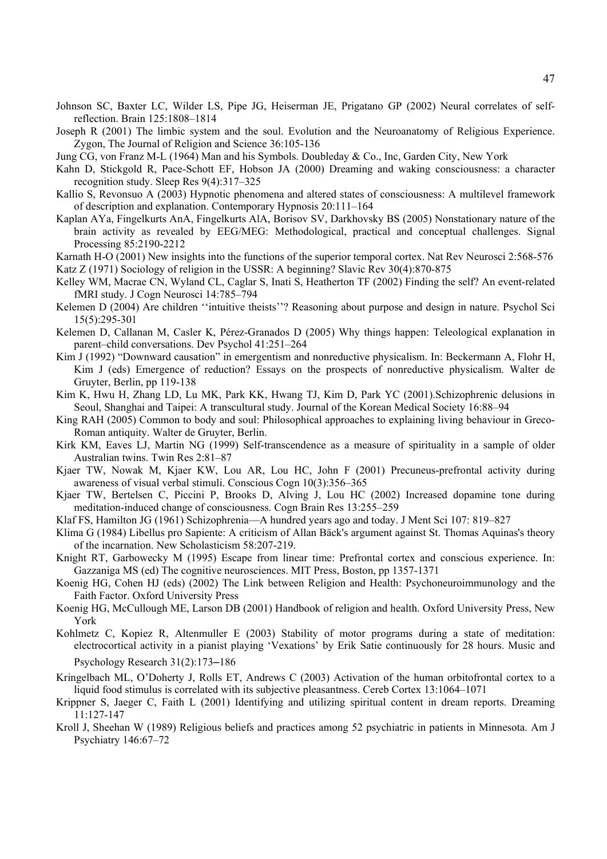- Johnson SC, Baxter LC, Wilder LS, Pipe JG, Heiserman JE, Prigatano GP (2002) Neural correlates of selfreflection. Brain 125:1808–1814
- Joseph R (2001) The limbic system and the soul. Evolution and the Neuroanatomy of Religious Experience. Zygon, The Journal of Religion and Science 36:105-136
- Jung CG, von Franz M-L (1964) Man and his Symbols. Doubleday & Co., Inc, Garden City, New York
- Kahn D, Stickgold R, Pace-Schott EF, Hobson JA (2000) Dreaming and waking consciousness: a character recognition study. Sleep Res 9(4):317–325
- Kallio S, Revonsuo A (2003) Hypnotic phenomena and altered states of consciousness: A multilevel framework of description and explanation. Contemporary Hypnosis 20:111–164
- Kaplan AYa, Fingelkurts AnA, Fingelkurts AlA, Borisov SV, Darkhovsky BS (2005) Nonstationary nature of the brain activity as revealed by EEG/MEG: Methodological, practical and conceptual challenges. Signal Processing 85:2190-2212
- Karnath H-O (2001) New insights into the functions of the superior temporal cortex. Nat Rev Neurosci 2:568-576
- Katz Z (1971) Sociology of religion in the USSR: A beginning? Slavic Rev 30(4):870-875 Kelley WM, Macrae CN, Wyland CL, Caglar S, Inati S, Heatherton TF (2002) Finding the self? An event-related fMRI study. J Cogn Neurosci 14:785–794
- Kelemen D (2004) Are children ''intuitive theists''? Reasoning about purpose and design in nature. Psychol Sci 15(5):295-301
- Kelemen D, Callanan M, Casler K, Pérez-Granados D (2005) Why things happen: Teleological explanation in parent–child conversations. Dev Psychol 41:251–264
- Kim J (1992) "Downward causation" in emergentism and nonreductive physicalism. In: Beckermann A, Flohr H, Kim J (eds) Emergence of reduction? Essays on the prospects of nonreductive physicalism. Walter de Gruyter, Berlin, pp 119-138
- Kim K, Hwu H, Zhang LD, Lu MK, Park KK, Hwang TJ, Kim D, Park YC (2001).Schizophrenic delusions in Seoul, Shanghai and Taipei: A transcultural study. Journal of the Korean Medical Society 16:88–94
- King RAH (2005) Common to body and soul: Philosophical approaches to explaining living behaviour in Greco-Roman antiquity. Walter de Gruyter, Berlin.
- Kirk KM, Eaves LJ, Martin NG (1999) Self-transcendence as a measure of spirituality in a sample of older Australian twins. Twin Res 2:81–87
- Kjaer TW, Nowak M, Kjaer KW, Lou AR, Lou HC, John F (2001) Precuneus-prefrontal activity during awareness of visual verbal stimuli. Conscious Cogn 10(3):356–365
- Kjaer TW, Bertelsen C, Piccini P, Brooks D, Alving J, Lou HC (2002) Increased dopamine tone during meditation-induced change of consciousness. Cogn Brain Res 13:255–259
- Klaf FS, Hamilton JG (1961) Schizophrenia—A hundred years ago and today. J Ment Sci 107: 819–827
- Klima G (1984) Libellus pro Sapiente: A criticism of Allan Bäck's argument against St. Thomas Aquinas's theory of the incarnation. New Scholasticism 58:207-219.
- Knight RT, Garbowecky M (1995) Escape from linear time: Prefrontal cortex and conscious experience. In: Gazzaniga MS (ed) The cognitive neurosciences. MIT Press, Boston, pp 1357-1371
- Koenig HG, Cohen HJ (eds) (2002) The Link between Religion and Health: Psychoneuroimmunology and the Faith Factor. Oxford University Press
- Koenig HG, McCullough ME, Larson DB (2001) Handbook of religion and health. Oxford University Press, New York
- Kohlmetz C, Kopiez R, Altenmuller E (2003) Stability of motor programs during a state of meditation: electrocortical activity in a pianist playing 'Vexations' by Erik Satie continuously for 28 hours. Music and Psychology Research 31(2):173-186
- Kringelbach ML, O'Doherty J, Rolls ET, Andrews C (2003) Activation of the human orbitofrontal cortex to a liquid food stimulus is correlated with its subjective pleasantness. Cereb Cortex 13:1064–1071
- Krippner S, Jaeger C, Faith L (2001) Identifying and utilizing spiritual content in dream reports. Dreaming 11:127-147
- Kroll J, Sheehan W (1989) Religious beliefs and practices among 52 psychiatric in patients in Minnesota. Am J Psychiatry 146:67–72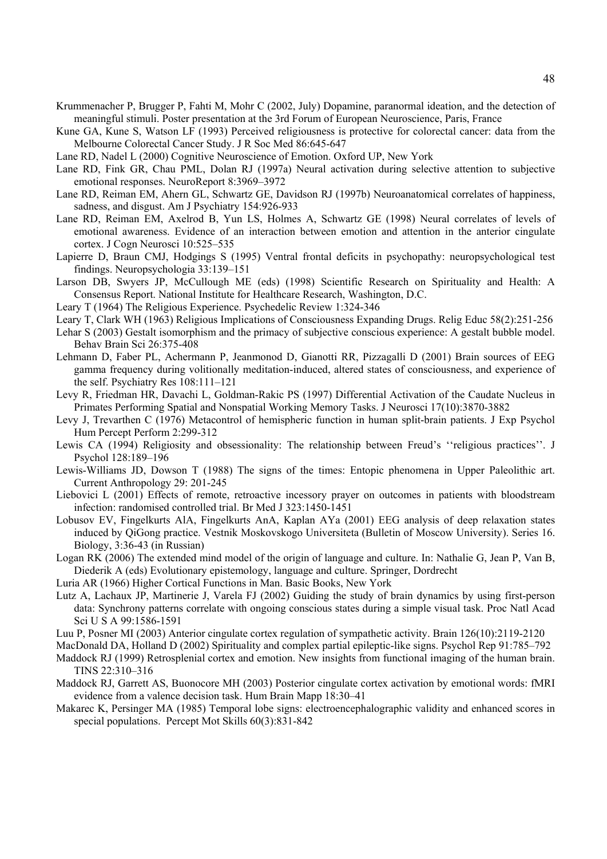- Krummenacher P, Brugger P, Fahti M, Mohr C (2002, July) Dopamine, paranormal ideation, and the detection of meaningful stimuli. Poster presentation at the 3rd Forum of European Neuroscience, Paris, France
- Kune GA, Kune S, Watson LF (1993) Perceived religiousness is protective for colorectal cancer: data from the Melbourne Colorectal Cancer Study. J R Soc Med 86:645-647
- Lane RD, Nadel L (2000) Cognitive Neuroscience of Emotion. Oxford UP, New York
- Lane RD, Fink GR, Chau PML, Dolan RJ (1997a) Neural activation during selective attention to subjective emotional responses. NeuroReport 8:3969–3972
- Lane RD, Reiman EM, Ahern GL, Schwartz GE, Davidson RJ (1997b) Neuroanatomical correlates of happiness, sadness, and disgust. Am J Psychiatry 154:926-933
- Lane RD, Reiman EM, Axelrod B, Yun LS, Holmes A, Schwartz GE (1998) Neural correlates of levels of emotional awareness. Evidence of an interaction between emotion and attention in the anterior cingulate cortex. J Cogn Neurosci 10:525–535
- Lapierre D, Braun CMJ, Hodgings S (1995) Ventral frontal deficits in psychopathy: neuropsychological test findings. Neuropsychologia 33:139–151
- Larson DB, Swyers JP, McCullough ME (eds) (1998) Scientific Research on Spirituality and Health: A Consensus Report. National Institute for Healthcare Research, Washington, D.C.
- Leary T (1964) The Religious Experience. Psychedelic Review 1:324-346
- Leary T, Clark WH (1963) Religious Implications of Consciousness Expanding Drugs. Relig Educ 58(2):251-256
- Lehar S (2003) Gestalt isomorphism and the primacy of subjective conscious experience: A gestalt bubble model. Behav Brain Sci 26:375-408
- Lehmann D, Faber PL, Achermann P, Jeanmonod D, Gianotti RR, Pizzagalli D (2001) Brain sources of EEG gamma frequency during volitionally meditation-induced, altered states of consciousness, and experience of the self. Psychiatry Res 108:111–121
- Levy R, Friedman HR, Davachi L, Goldman-Rakic PS (1997) Differential Activation of the Caudate Nucleus in Primates Performing Spatial and Nonspatial Working Memory Tasks. J Neurosci 17(10):3870-3882
- Levy J, Trevarthen C (1976) Metacontrol of hemispheric function in human split-brain patients. J Exp Psychol Hum Percept Perform 2:299-312
- Lewis CA (1994) Religiosity and obsessionality: The relationship between Freud's ''religious practices''. J Psychol 128:189–196
- Lewis-Williams JD, Dowson T (1988) The signs of the times: Entopic phenomena in Upper Paleolithic art. Current Anthropology 29: 201-245
- Liebovici L (2001) Effects of remote, retroactive incessory prayer on outcomes in patients with bloodstream infection: randomised controlled trial. Br Med J 323:1450-1451
- Lobusov EV, Fingelkurts AlA, Fingelkurts AnA, Kaplan AYa (2001) EEG analysis of deep relaxation states induced by QiGong practice. Vestnik Moskovskogo Universiteta (Bulletin of Moscow University). Series 16. Biology, 3:36-43 (in Russian)
- Logan RK (2006) The extended mind model of the origin of language and culture. In: Nathalie G, Jean P, Van B, Diederik A (eds) Evolutionary epistemology, language and culture. Springer, Dordrecht
- Luria AR (1966) Higher Cortical Functions in Man. Basic Books, New York
- Lutz A, Lachaux JP, Martinerie J, Varela FJ (2002) Guiding the study of brain dynamics by using first-person data: Synchrony patterns correlate with ongoing conscious states during a simple visual task. Proc Natl Acad Sci U S A 99:1586-1591
- Luu P, Posner MI (2003) Anterior cingulate cortex regulation of sympathetic activity. Brain 126(10):2119-2120
- MacDonald DA, Holland D (2002) Spirituality and complex partial epileptic-like signs. Psychol Rep 91:785–792
- Maddock RJ (1999) Retrosplenial cortex and emotion. New insights from functional imaging of the human brain. TINS 22:310–316
- Maddock RJ, Garrett AS, Buonocore MH (2003) Posterior cingulate cortex activation by emotional words: fMRI evidence from a valence decision task. Hum Brain Mapp 18:30–41
- Makarec K, Persinger MA (1985) Temporal lobe signs: electroencephalographic validity and enhanced scores in special populations. Percept Mot Skills 60(3):831-842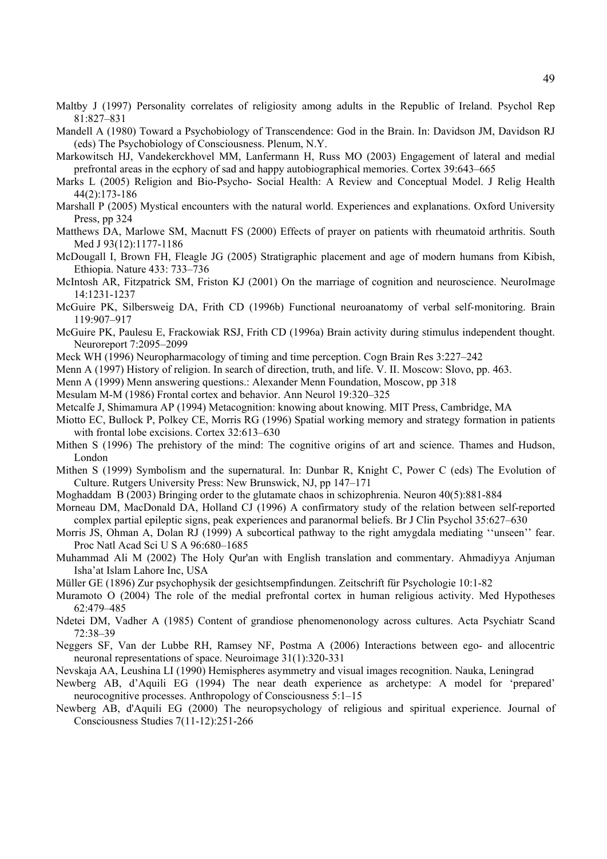- Maltby J (1997) Personality correlates of religiosity among adults in the Republic of Ireland. Psychol Rep 81:827–831
- Mandell A (1980) Toward a Psychobiology of Transcendence: God in the Brain. In: Davidson JM, Davidson RJ (eds) The Psychobiology of Consciousness. Plenum, N.Y.
- Markowitsch HJ, Vandekerckhovel MM, Lanfermann H, Russ MO (2003) Engagement of lateral and medial prefrontal areas in the ecphory of sad and happy autobiographical memories. Cortex 39:643–665
- Marks L (2005) Religion and Bio-Psycho- Social Health: A Review and Conceptual Model. J Relig Health 44(2):173-186
- Marshall P (2005) Mystical encounters with the natural world. Experiences and explanations. Oxford University Press, pp 324
- Matthews DA, Marlowe SM, Macnutt FS (2000) Effects of prayer on patients with rheumatoid arthritis. South Med J 93(12):1177-1186
- McDougall I, Brown FH, Fleagle JG (2005) Stratigraphic placement and age of modern humans from Kibish, Ethiopia. Nature 433: 733–736
- McIntosh AR, Fitzpatrick SM, Friston KJ (2001) On the marriage of cognition and neuroscience. NeuroImage 14:1231-1237
- McGuire PK, Silbersweig DA, Frith CD (1996b) Functional neuroanatomy of verbal self-monitoring. Brain 119:907–917
- McGuire PK, Paulesu E, Frackowiak RSJ, Frith CD (1996a) Brain activity during stimulus independent thought. Neuroreport 7:2095–2099
- Meck WH (1996) Neuropharmacology of timing and time perception. Cogn Brain Res 3:227–242
- Menn A (1997) History of religion. In search of direction, truth, and life. V. II. Moscow: Slovo, pp. 463.
- Menn A (1999) Menn answering questions.: Alexander Menn Foundation, Moscow, pp 318
- Mesulam M-M (1986) Frontal cortex and behavior. Ann Neurol 19:320–325
- Metcalfe J, Shimamura AP (1994) Metacognition: knowing about knowing. MIT Press, Cambridge, MA
- Miotto EC, Bullock P, Polkey CE, Morris RG (1996) Spatial working memory and strategy formation in patients with frontal lobe excisions. Cortex 32:613–630
- Mithen S (1996) The prehistory of the mind: The cognitive origins of art and science. Thames and Hudson, London
- Mithen S (1999) Symbolism and the supernatural. In: Dunbar R, Knight C, Power C (eds) The Evolution of Culture. Rutgers University Press: New Brunswick, NJ, pp 147–171
- Moghaddam B (2003) Bringing order to the glutamate chaos in schizophrenia. Neuron 40(5):881-884
- Morneau DM, MacDonald DA, Holland CJ (1996) A confirmatory study of the relation between self-reported complex partial epileptic signs, peak experiences and paranormal beliefs. Br J Clin Psychol 35:627–630
- Morris JS, Ohman A, Dolan RJ (1999) A subcortical pathway to the right amygdala mediating ''unseen'' fear. Proc Natl Acad Sci U S A 96:680–1685
- Muhammad Ali M (2002) The Holy Qur'an with English translation and commentary. Ahmadiyya Anjuman Isha'at Islam Lahore Inc, USA
- Müller GE (1896) Zur psychophysik der gesichtsempfindungen. Zeitschrift für Psychologie 10:1-82
- Muramoto O (2004) The role of the medial prefrontal cortex in human religious activity. Med Hypotheses 62:479–485
- Ndetei DM, Vadher A (1985) Content of grandiose phenomenonology across cultures. Acta Psychiatr Scand 72:38–39
- Neggers SF, Van der Lubbe RH, Ramsey NF, Postma A (2006) Interactions between ego- and allocentric neuronal representations of space. Neuroimage 31(1):320-331
- Nevskaja AA, Leushina LI (1990) Hemispheres asymmetry and visual images recognition. Nauka, Leningrad
- Newberg AB, d'Aquili EG (1994) The near death experience as archetype: A model for 'prepared' neurocognitive processes. Anthropology of Consciousness 5:1–15
- Newberg AB, d'Aquili EG (2000) The neuropsychology of religious and spiritual experience. Journal of Consciousness Studies 7(11-12):251-266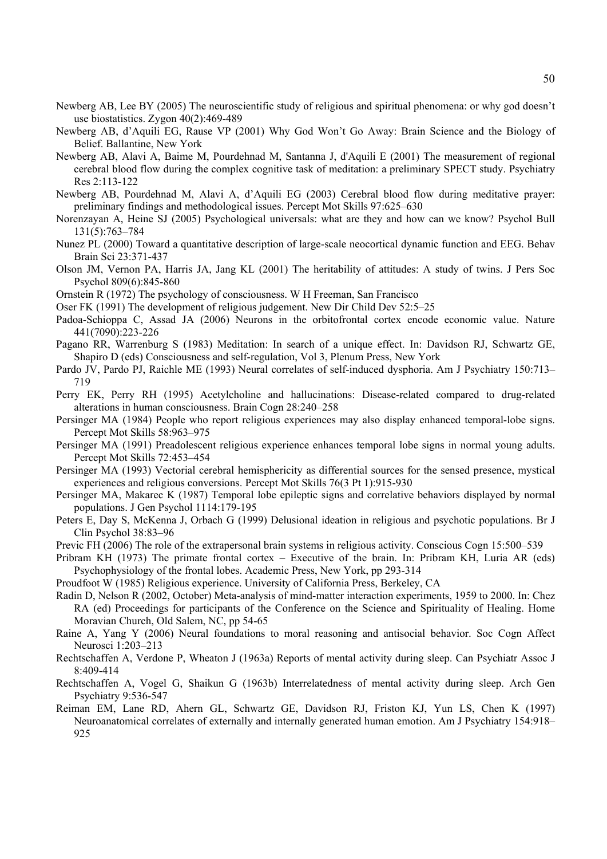- Newberg AB, Lee BY (2005) The neuroscientific study of religious and spiritual phenomena: or why god doesn't use biostatistics. Zygon 40(2):469-489
- Newberg AB, d'Aquili EG, Rause VP (2001) Why God Won't Go Away: Brain Science and the Biology of Belief. Ballantine, New York
- Newberg AB, Alavi A, Baime M, Pourdehnad M, Santanna J, d'Aquili E (2001) The measurement of regional cerebral blood flow during the complex cognitive task of meditation: a preliminary SPECT study. Psychiatry Res 2:113-122
- Newberg AB, Pourdehnad M, Alavi A, d'Aquili EG (2003) Cerebral blood flow during meditative prayer: preliminary findings and methodological issues. Percept Mot Skills 97:625–630
- Norenzayan A, Heine SJ (2005) Psychological universals: what are they and how can we know? Psychol Bull 131(5):763–784
- Nunez PL (2000) Toward a quantitative description of large-scale neocortical dynamic function and EEG. Behav Brain Sci 23:371-437
- Olson JM, Vernon PA, Harris JA, Jang KL (2001) The heritability of attitudes: A study of twins. J Pers Soc Psychol 809(6):845-860
- Ornstein R (1972) The psychology of consciousness. W H Freeman, San Francisco
- Oser FK (1991) The development of religious judgement. New Dir Child Dev 52:5–25
- Padoa-Schioppa C, Assad JA (2006) Neurons in the orbitofrontal cortex encode economic value. Nature 441(7090):223-226
- Pagano RR, Warrenburg S (1983) Meditation: In search of a unique effect. In: Davidson RJ, Schwartz GE, Shapiro D (eds) Consciousness and self-regulation, Vol 3, Plenum Press, New York
- Pardo JV, Pardo PJ, Raichle ME (1993) Neural correlates of self-induced dysphoria. Am J Psychiatry 150:713– 719
- Perry EK, Perry RH (1995) Acetylcholine and hallucinations: Disease-related compared to drug-related alterations in human consciousness. Brain Cogn 28:240–258
- Persinger MA (1984) People who report religious experiences may also display enhanced temporal-lobe signs. Percept Mot Skills 58:963–975
- Persinger MA (1991) Preadolescent religious experience enhances temporal lobe signs in normal young adults. Percept Mot Skills 72:453–454
- Persinger MA (1993) Vectorial cerebral hemisphericity as differential sources for the sensed presence, mystical experiences and religious conversions. Percept Mot Skills 76(3 Pt 1):915-930
- Persinger MA, Makarec K (1987) Temporal lobe epileptic signs and correlative behaviors displayed by normal populations. J Gen Psychol 1114:179-195
- Peters E, Day S, McKenna J, Orbach G (1999) Delusional ideation in religious and psychotic populations. Br J Clin Psychol 38:83–96
- Previc FH (2006) The role of the extrapersonal brain systems in religious activity. Conscious Cogn 15:500–539
- Pribram KH (1973) The primate frontal cortex Executive of the brain. In: Pribram KH, Luria AR (eds) Psychophysiology of the frontal lobes. Academic Press, New York, pp 293-314
- Proudfoot W (1985) Religious experience. University of California Press, Berkeley, CA
- Radin D, Nelson R (2002, October) Meta-analysis of mind-matter interaction experiments, 1959 to 2000. In: Chez RA (ed) Proceedings for participants of the Conference on the Science and Spirituality of Healing. Home Moravian Church, Old Salem, NC, pp 54-65
- Raine A, Yang Y (2006) Neural foundations to moral reasoning and antisocial behavior. Soc Cogn Affect Neurosci 1:203–213
- Rechtschaffen A, Verdone P, Wheaton J (1963a) Reports of mental activity during sleep. Can Psychiatr Assoc J 8:409-414
- Rechtschaffen A, Vogel G, Shaikun G (1963b) Interrelatedness of mental activity during sleep. Arch Gen Psychiatry 9:536-547
- Reiman EM, Lane RD, Ahern GL, Schwartz GE, Davidson RJ, Friston KJ, Yun LS, Chen K (1997) Neuroanatomical correlates of externally and internally generated human emotion. Am J Psychiatry 154:918– 925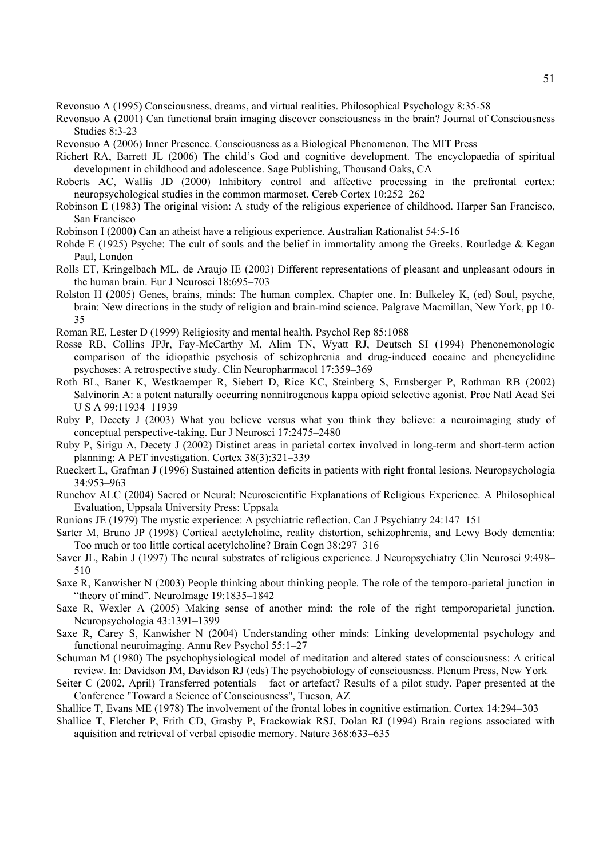Revonsuo A (1995) Consciousness, dreams, and virtual realities. Philosophical Psychology 8:35-58

Revonsuo A (2001) Can functional brain imaging discover consciousness in the brain? Journal of Consciousness Studies 8:3-23

Revonsuo A (2006) Inner Presence. Consciousness as a Biological Phenomenon. The MIT Press

- Richert RA, Barrett JL (2006) The child's God and cognitive development. The encyclopaedia of spiritual development in childhood and adolescence. Sage Publishing, Thousand Oaks, CA
- Roberts AC, Wallis JD (2000) Inhibitory control and affective processing in the prefrontal cortex: neuropsychological studies in the common marmoset. Cereb Cortex 10:252–262

Robinson E (1983) The original vision: A study of the religious experience of childhood. Harper San Francisco, San Francisco

Robinson I (2000) Can an atheist have a religious experience. Australian Rationalist 54:5-16

- Rohde E (1925) Psyche: The cult of souls and the belief in immortality among the Greeks. Routledge  $\&$  Kegan Paul, London
- Rolls ET, Kringelbach ML, de Araujo IE (2003) Different representations of pleasant and unpleasant odours in the human brain. Eur J Neurosci 18:695–703
- Rolston H (2005) Genes, brains, minds: The human complex. Chapter one. In: Bulkeley K, (ed) Soul, psyche, brain: New directions in the study of religion and brain-mind science. Palgrave Macmillan, New York, pp 10- 35

Roman RE, Lester D (1999) Religiosity and mental health. Psychol Rep 85:1088

- Rosse RB, Collins JPJr, Fay-McCarthy M, Alim TN, Wyatt RJ, Deutsch SI (1994) Phenonemonologic comparison of the idiopathic psychosis of schizophrenia and drug-induced cocaine and phencyclidine psychoses: A retrospective study. Clin Neuropharmacol 17:359–369
- Roth BL, Baner K, Westkaemper R, Siebert D, Rice KC, Steinberg S, Ernsberger P, Rothman RB (2002) Salvinorin A: a potent naturally occurring nonnitrogenous kappa opioid selective agonist. Proc Natl Acad Sci U S A 99:11934–11939
- Ruby P, Decety J (2003) What you believe versus what you think they believe: a neuroimaging study of conceptual perspective-taking. Eur J Neurosci 17:2475–2480
- Ruby P, Sirigu A, Decety J (2002) Distinct areas in parietal cortex involved in long-term and short-term action planning: A PET investigation. Cortex 38(3):321–339
- Rueckert L, Grafman J (1996) Sustained attention deficits in patients with right frontal lesions. Neuropsychologia 34:953–963
- Runehov ALC (2004) Sacred or Neural: Neuroscientific Explanations of Religious Experience. A Philosophical Evaluation, Uppsala University Press: Uppsala
- Runions JE (1979) The mystic experience: A psychiatric reflection. Can J Psychiatry 24:147–151
- Sarter M, Bruno JP (1998) Cortical acetylcholine, reality distortion, schizophrenia, and Lewy Body dementia: Too much or too little cortical acetylcholine? Brain Cogn 38:297–316
- Saver JL, Rabin J (1997) The neural substrates of religious experience. J Neuropsychiatry Clin Neurosci 9:498– 510
- Saxe R, Kanwisher N (2003) People thinking about thinking people. The role of the temporo-parietal junction in "theory of mind". NeuroImage 19:1835–1842
- Saxe R, Wexler A (2005) Making sense of another mind: the role of the right temporoparietal junction. Neuropsychologia 43:1391–1399
- Saxe R, Carey S, Kanwisher N (2004) Understanding other minds: Linking developmental psychology and functional neuroimaging. Annu Rev Psychol 55:1–27
- Schuman M (1980) The psychophysiological model of meditation and altered states of consciousness: A critical review. In: Davidson JM, Davidson RJ (eds) The psychobiology of consciousness. Plenum Press, New York
- Seiter C (2002, April) Transferred potentials fact or artefact? Results of a pilot study. Paper presented at the Conference "Toward a Science of Consciousness", Tucson, AZ

Shallice T, Evans ME (1978) The involvement of the frontal lobes in cognitive estimation. Cortex 14:294–303

Shallice T, Fletcher P, Frith CD, Grasby P, Frackowiak RSJ, Dolan RJ (1994) Brain regions associated with aquisition and retrieval of verbal episodic memory. Nature 368:633–635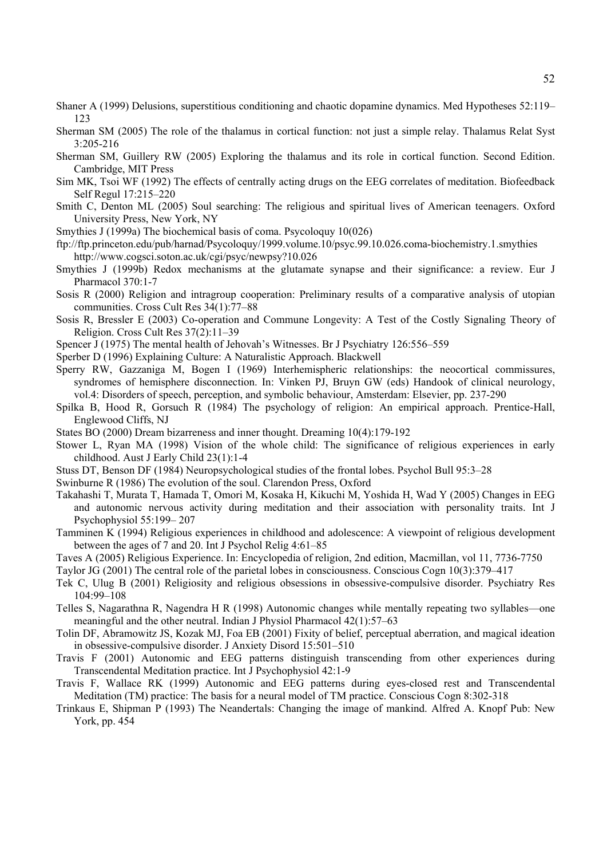- Shaner A (1999) Delusions, superstitious conditioning and chaotic dopamine dynamics. Med Hypotheses 52:119– 123
- Sherman SM (2005) The role of the thalamus in cortical function: not just a simple relay. Thalamus Relat Syst 3:205-216
- Sherman SM, Guillery RW (2005) Exploring the thalamus and its role in cortical function. Second Edition. Cambridge, MIT Press
- Sim MK, Tsoi WF (1992) The effects of centrally acting drugs on the EEG correlates of meditation. Biofeedback Self Regul 17:215–220
- Smith C, Denton ML (2005) Soul searching: The religious and spiritual lives of American teenagers. Oxford University Press, New York, NY
- Smythies J (1999a) The biochemical basis of coma. Psycoloquy 10(026)
- ftp://ftp.princeton.edu/pub/harnad/Psycoloquy/1999.volume.10/psyc.99.10.026.coma-biochemistry.1.smythies http://www.cogsci.soton.ac.uk/cgi/psyc/newpsy?10.026
- Smythies J (1999b) Redox mechanisms at the glutamate synapse and their significance: a review. Eur J Pharmacol 370:1-7
- Sosis R (2000) Religion and intragroup cooperation: Preliminary results of a comparative analysis of utopian communities. Cross Cult Res 34(1):77–88
- Sosis R, Bressler E (2003) Co-operation and Commune Longevity: A Test of the Costly Signaling Theory of Religion. Cross Cult Res 37(2):11–39
- Spencer J (1975) The mental health of Jehovah's Witnesses. Br J Psychiatry 126:556–559
- Sperber D (1996) Explaining Culture: A Naturalistic Approach. Blackwell
- Sperry RW, Gazzaniga M, Bogen I (1969) Interhemispheric relationships: the neocortical commissures, syndromes of hemisphere disconnection. In: Vinken PJ, Bruyn GW (eds) Handook of clinical neurology, vol.4: Disorders of speech, perception, and symbolic behaviour, Amsterdam: Elsevier, pp. 237-290
- Spilka B, Hood R, Gorsuch R (1984) The psychology of religion: An empirical approach. Prentice-Hall, Englewood Cliffs, NJ
- States BO (2000) Dream bizarreness and inner thought. Dreaming 10(4):179-192
- Stower L, Ryan MA (1998) Vision of the whole child: The significance of religious experiences in early childhood. Aust J Early Child 23(1):1-4
- Stuss DT, Benson DF (1984) Neuropsychological studies of the frontal lobes. Psychol Bull 95:3–28
- Swinburne R (1986) The evolution of the soul. Clarendon Press, Oxford
- Takahashi T, Murata T, Hamada T, Omori M, Kosaka H, Kikuchi M, Yoshida H, Wad Y (2005) Changes in EEG and autonomic nervous activity during meditation and their association with personality traits. Int J Psychophysiol 55:199– 207
- Tamminen K (1994) Religious experiences in childhood and adolescence: A viewpoint of religious development between the ages of 7 and 20. Int J Psychol Relig 4:61–85
- Taves A (2005) Religious Experience. In: Encyclopedia of religion, 2nd edition, Macmillan, vol 11, 7736-7750
- Taylor JG (2001) The central role of the parietal lobes in consciousness. Conscious Cogn 10(3):379–417
- Tek C, Ulug B (2001) Religiosity and religious obsessions in obsessive-compulsive disorder. Psychiatry Res 104:99–108
- Telles S, Nagarathna R, Nagendra H R (1998) Autonomic changes while mentally repeating two syllables—one meaningful and the other neutral. Indian J Physiol Pharmacol 42(1):57–63
- Tolin DF, Abramowitz JS, Kozak MJ, Foa EB (2001) Fixity of belief, perceptual aberration, and magical ideation in obsessive-compulsive disorder. J Anxiety Disord 15:501–510
- Travis F (2001) Autonomic and EEG patterns distinguish transcending from other experiences during Transcendental Meditation practice. Int J Psychophysiol 42:1-9
- Travis F, Wallace RK (1999) Autonomic and EEG patterns during eyes-closed rest and Transcendental Meditation (TM) practice: The basis for a neural model of TM practice. Conscious Cogn 8:302-318
- Trinkaus E, Shipman P (1993) The Neandertals: Changing the image of mankind. Alfred A. Knopf Pub: New York, pp. 454